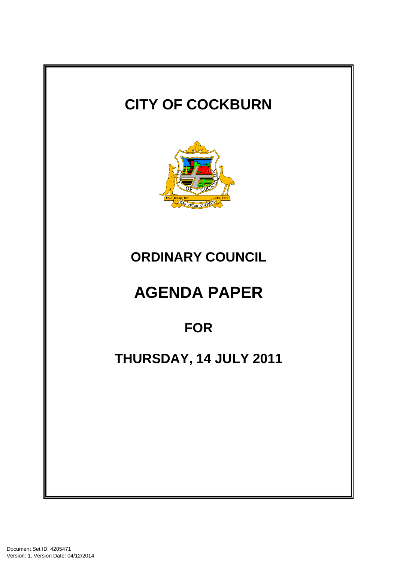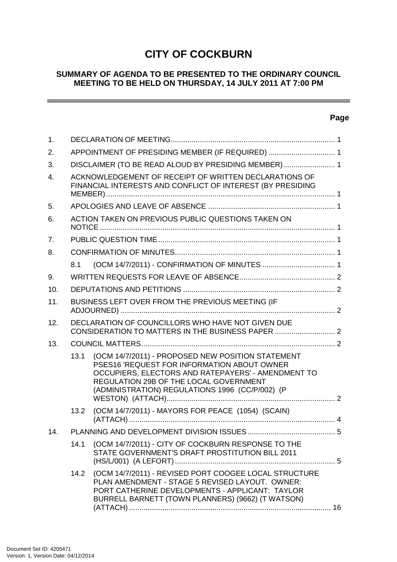# **CITY OF COCKBURN**

#### **SUMMARY OF AGENDA TO BE PRESENTED TO THE ORDINARY COUNCIL MEETING TO BE HELD ON THURSDAY, 14 JULY 2011 AT 7:00 PM**

## **Page**

 $\sim$ 

| 1.             |                                                                                                                     |                                                                                                                                                                                                                                                     |  |  |  |
|----------------|---------------------------------------------------------------------------------------------------------------------|-----------------------------------------------------------------------------------------------------------------------------------------------------------------------------------------------------------------------------------------------------|--|--|--|
| 2.             | APPOINTMENT OF PRESIDING MEMBER (IF REQUIRED)  1                                                                    |                                                                                                                                                                                                                                                     |  |  |  |
| 3.             |                                                                                                                     | DISCLAIMER (TO BE READ ALOUD BY PRESIDING MEMBER) 1                                                                                                                                                                                                 |  |  |  |
| 4.             | ACKNOWLEDGEMENT OF RECEIPT OF WRITTEN DECLARATIONS OF<br>FINANCIAL INTERESTS AND CONFLICT OF INTEREST (BY PRESIDING |                                                                                                                                                                                                                                                     |  |  |  |
| 5.             |                                                                                                                     |                                                                                                                                                                                                                                                     |  |  |  |
| 6.             | ACTION TAKEN ON PREVIOUS PUBLIC QUESTIONS TAKEN ON                                                                  |                                                                                                                                                                                                                                                     |  |  |  |
| 7 <sub>1</sub> |                                                                                                                     |                                                                                                                                                                                                                                                     |  |  |  |
| 8.             |                                                                                                                     |                                                                                                                                                                                                                                                     |  |  |  |
|                | 8.1                                                                                                                 |                                                                                                                                                                                                                                                     |  |  |  |
| 9.             |                                                                                                                     |                                                                                                                                                                                                                                                     |  |  |  |
| 10.            |                                                                                                                     |                                                                                                                                                                                                                                                     |  |  |  |
| 11.            | BUSINESS LEFT OVER FROM THE PREVIOUS MEETING (IF                                                                    |                                                                                                                                                                                                                                                     |  |  |  |
| 12.            | DECLARATION OF COUNCILLORS WHO HAVE NOT GIVEN DUE                                                                   |                                                                                                                                                                                                                                                     |  |  |  |
| 13.            |                                                                                                                     |                                                                                                                                                                                                                                                     |  |  |  |
|                | 13.1                                                                                                                | (OCM 14/7/2011) - PROPOSED NEW POSITION STATEMENT<br>PSES16 'REQUEST FOR INFORMATION ABOUT OWNER<br>OCCUPIERS, ELECTORS AND RATEPAYERS' - AMENDMENT TO<br>REGULATION 29B OF THE LOCAL GOVERNMENT<br>(ADMINISTRATION) REGULATIONS 1996 (CC/P/002) (P |  |  |  |
|                | 13.2                                                                                                                | (OCM 14/7/2011) - MAYORS FOR PEACE (1054) (SCAIN)                                                                                                                                                                                                   |  |  |  |
| 14.            |                                                                                                                     |                                                                                                                                                                                                                                                     |  |  |  |
|                | 14.1                                                                                                                | (OCM 14/7/2011) - CITY OF COCKBURN RESPONSE TO THE<br>STATE GOVERNMENT'S DRAFT PROSTITUTION BILL 2011                                                                                                                                               |  |  |  |
|                | 14.2                                                                                                                | (OCM 14/7/2011) - REVISED PORT COOGEE LOCAL STRUCTURE<br>PLAN AMENDMENT - STAGE 5 REVISED LAYOUT. OWNER:<br>PORT CATHERINE DEVELOPMENTS - APPLICANT: TAYLOR<br>BURRELL BARNETT (TOWN PLANNERS) (9662) (T WATSON)                                    |  |  |  |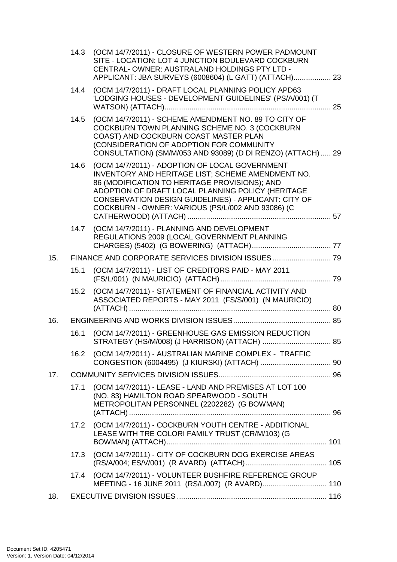|     |      | 14.3 (OCM 14/7/2011) - CLOSURE OF WESTERN POWER PADMOUNT<br>SITE - LOCATION: LOT 4 JUNCTION BOULEVARD COCKBURN<br>CENTRAL-OWNER: AUSTRALAND HOLDINGS PTY LTD -<br>APPLICANT: JBA SURVEYS (6008604) (L GATT) (ATTACH) 23                                                                                                |  |  |  |
|-----|------|------------------------------------------------------------------------------------------------------------------------------------------------------------------------------------------------------------------------------------------------------------------------------------------------------------------------|--|--|--|
|     | 14.4 | (OCM 14/7/2011) - DRAFT LOCAL PLANNING POLICY APD63<br>'LODGING HOUSES - DEVELOPMENT GUIDELINES' (PS/A/001) (T                                                                                                                                                                                                         |  |  |  |
|     | 14.5 | (OCM 14/7/2011) - SCHEME AMENDMENT NO. 89 TO CITY OF<br>COCKBURN TOWN PLANNING SCHEME NO. 3 (COCKBURN<br>COAST) AND COCKBURN COAST MASTER PLAN<br>(CONSIDERATION OF ADOPTION FOR COMMUNITY<br>CONSULTATION) (SM/M/053 AND 93089) (D DI RENZO) (ATTACH)  29                                                             |  |  |  |
|     | 14.6 | (OCM 14/7/2011) - ADOPTION OF LOCAL GOVERNMENT<br>INVENTORY AND HERITAGE LIST; SCHEME AMENDMENT NO.<br>86 (MODIFICATION TO HERITAGE PROVISIONS); AND<br>ADOPTION OF DRAFT LOCAL PLANNING POLICY (HERITAGE<br>CONSERVATION DESIGN GUIDELINES) - APPLICANT: CITY OF<br>COCKBURN - OWNER: VARIOUS (PS/L/002 AND 93086) (C |  |  |  |
|     | 14.7 | (OCM 14/7/2011) - PLANNING AND DEVELOPMENT<br>REGULATIONS 2009 (LOCAL GOVERNMENT PLANNING                                                                                                                                                                                                                              |  |  |  |
| 15. |      |                                                                                                                                                                                                                                                                                                                        |  |  |  |
|     | 15.1 | (OCM 14/7/2011) - LIST OF CREDITORS PAID - MAY 2011                                                                                                                                                                                                                                                                    |  |  |  |
|     | 15.2 | (OCM 14/7/2011) - STATEMENT OF FINANCIAL ACTIVITY AND<br>ASSOCIATED REPORTS - MAY 2011 (FS/S/001) (N MAURICIO)                                                                                                                                                                                                         |  |  |  |
| 16. |      |                                                                                                                                                                                                                                                                                                                        |  |  |  |
|     | 16.1 | (OCM 14/7/2011) - GREENHOUSE GAS EMISSION REDUCTION<br>STRATEGY (HS/M/008) (J HARRISON) (ATTACH)  85                                                                                                                                                                                                                   |  |  |  |
|     | 16.2 | (OCM 14/7/2011) - AUSTRALIAN MARINE COMPLEX - TRAFFIC                                                                                                                                                                                                                                                                  |  |  |  |
| 17. |      |                                                                                                                                                                                                                                                                                                                        |  |  |  |
|     | 17.1 | (OCM 14/7/2011) - LEASE - LAND AND PREMISES AT LOT 100<br>(NO. 83) HAMILTON ROAD SPEARWOOD - SOUTH<br>METROPOLITAN PERSONNEL (2202282) (G BOWMAN)                                                                                                                                                                      |  |  |  |
|     | 17.2 | (OCM 14/7/2011) - COCKBURN YOUTH CENTRE - ADDITIONAL<br>LEASE WITH TRE COLORI FAMILY TRUST (CR/M/103) (G                                                                                                                                                                                                               |  |  |  |
|     | 17.3 | (OCM 14/7/2011) - CITY OF COCKBURN DOG EXERCISE AREAS                                                                                                                                                                                                                                                                  |  |  |  |
|     | 17.4 | (OCM 14/7/2011) - VOLUNTEER BUSHFIRE REFERENCE GROUP<br>MEETING - 16 JUNE 2011 (RS/L/007) (R AVARD) 110                                                                                                                                                                                                                |  |  |  |
| 18. |      |                                                                                                                                                                                                                                                                                                                        |  |  |  |
|     |      |                                                                                                                                                                                                                                                                                                                        |  |  |  |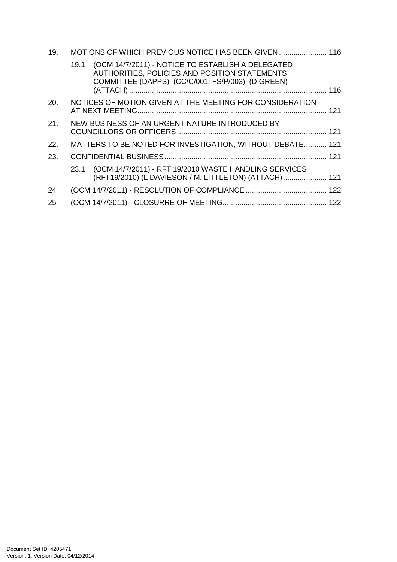| 19. | MOTIONS OF WHICH PREVIOUS NOTICE HAS BEEN GIVEN  116 |                                                                                                                                                        |  |
|-----|------------------------------------------------------|--------------------------------------------------------------------------------------------------------------------------------------------------------|--|
|     | 19.1                                                 | (OCM 14/7/2011) - NOTICE TO ESTABLISH A DELEGATED<br>AUTHORITIES, POLICIES AND POSITION STATEMENTS<br>COMMITTEE (DAPPS) (CC/C/001; FS/P/003) (D GREEN) |  |
| 20. |                                                      | NOTICES OF MOTION GIVEN AT THE MEETING FOR CONSIDERATION                                                                                               |  |
| 21. |                                                      | NEW BUSINESS OF AN URGENT NATURE INTRODUCED BY                                                                                                         |  |
| 22. |                                                      | MATTERS TO BE NOTED FOR INVESTIGATION, WITHOUT DEBATE 121                                                                                              |  |
| 23. |                                                      |                                                                                                                                                        |  |
|     | 23.1                                                 | (OCM 14/7/2011) - RFT 19/2010 WASTE HANDLING SERVICES<br>(RFT19/2010) (L DAVIESON / M. LITTLETON) (ATTACH)  121                                        |  |
| 24  |                                                      |                                                                                                                                                        |  |
| 25  |                                                      |                                                                                                                                                        |  |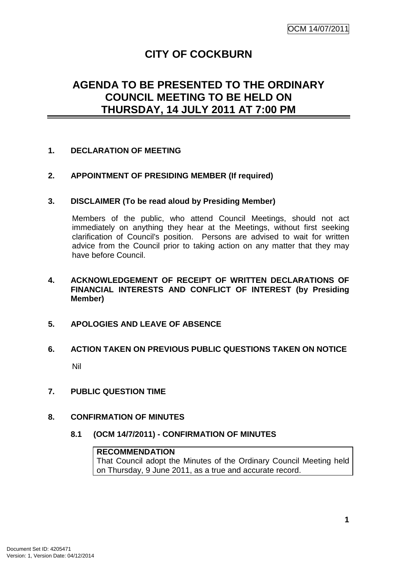# **CITY OF COCKBURN**

# **AGENDA TO BE PRESENTED TO THE ORDINARY COUNCIL MEETING TO BE HELD ON THURSDAY, 14 JULY 2011 AT 7:00 PM**

#### **1. DECLARATION OF MEETING**

#### **2. APPOINTMENT OF PRESIDING MEMBER (If required)**

#### **3. DISCLAIMER (To be read aloud by Presiding Member)**

Members of the public, who attend Council Meetings, should not act immediately on anything they hear at the Meetings, without first seeking clarification of Council's position. Persons are advised to wait for written advice from the Council prior to taking action on any matter that they may have before Council.

#### **4. ACKNOWLEDGEMENT OF RECEIPT OF WRITTEN DECLARATIONS OF FINANCIAL INTERESTS AND CONFLICT OF INTEREST (by Presiding Member)**

#### **5. APOLOGIES AND LEAVE OF ABSENCE**

# **6. ACTION TAKEN ON PREVIOUS PUBLIC QUESTIONS TAKEN ON NOTICE**  Nil

#### **7. PUBLIC QUESTION TIME**

#### **8. CONFIRMATION OF MINUTES**

#### **8.1 (OCM 14/7/2011) - CONFIRMATION OF MINUTES**

#### **RECOMMENDATION**

That Council adopt the Minutes of the Ordinary Council Meeting held on Thursday, 9 June 2011, as a true and accurate record.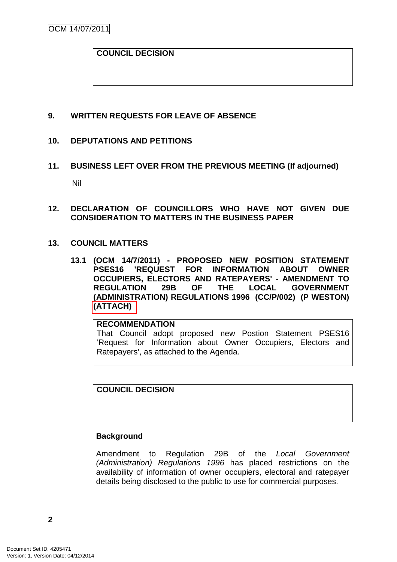#### **COUNCIL DECISION**

#### **9. WRITTEN REQUESTS FOR LEAVE OF ABSENCE**

#### **10. DEPUTATIONS AND PETITIONS**

- **11. BUSINESS LEFT OVER FROM THE PREVIOUS MEETING (If adjourned)**  Nil
- **12. DECLARATION OF COUNCILLORS WHO HAVE NOT GIVEN DUE CONSIDERATION TO MATTERS IN THE BUSINESS PAPER**
- **13. COUNCIL MATTERS** 
	- **13.1 (OCM 14/7/2011) PROPOSED NEW POSITION STATEMENT PSES16 'REQUEST FOR INFORMATION ABOUT OWNER OCCUPIERS, ELECTORS AND RATEPAYERS' - AMENDMENT TO REGULATION 29B OF THE LOCAL GOVERNMENT (ADMINISTRATION) REGULATIONS 1996 (CC/P/002) (P WESTON) (ATTACH)**

**RECOMMENDATION** That Council adopt proposed new Postion Statement PSES16 'Request for Information about Owner Occupiers, Electors and Ratepayers', as attached to the Agenda.

**COUNCIL DECISION**

#### **Background**

Amendment to Regulation 29B of the Local Government (Administration) Regulations 1996 has placed restrictions on the availability of information of owner occupiers, electoral and ratepayer details being disclosed to the public to use for commercial purposes.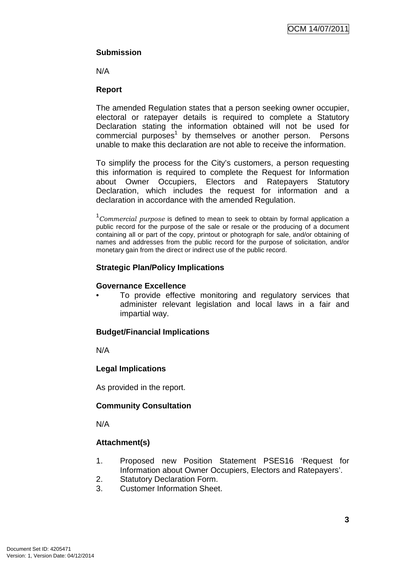## **Submission**

N/A

## **Report**

The amended Regulation states that a person seeking owner occupier, electoral or ratepayer details is required to complete a Statutory Declaration stating the information obtained will not be used for commercial purposes<sup>1</sup> by themselves or another person. Persons unable to make this declaration are not able to receive the information.

To simplify the process for the City's customers, a person requesting this information is required to complete the Request for Information about Owner Occupiers, Electors and Ratepayers Statutory Declaration, which includes the request for information and a declaration in accordance with the amended Regulation.

 $1$ Commercial purpose is defined to mean to seek to obtain by formal application a public record for the purpose of the sale or resale or the producing of a document containing all or part of the copy, printout or photograph for sale, and/or obtaining of names and addresses from the public record for the purpose of solicitation, and/or monetary gain from the direct or indirect use of the public record.

## **Strategic Plan/Policy Implications**

#### **Governance Excellence**

To provide effective monitoring and regulatory services that administer relevant legislation and local laws in a fair and impartial way.

## **Budget/Financial Implications**

N/A

## **Legal Implications**

As provided in the report.

## **Community Consultation**

N/A

## **Attachment(s)**

- 1. Proposed new Position Statement PSES16 'Request for Information about Owner Occupiers, Electors and Ratepayers'.
- 2. Statutory Declaration Form.
- 3. Customer Information Sheet.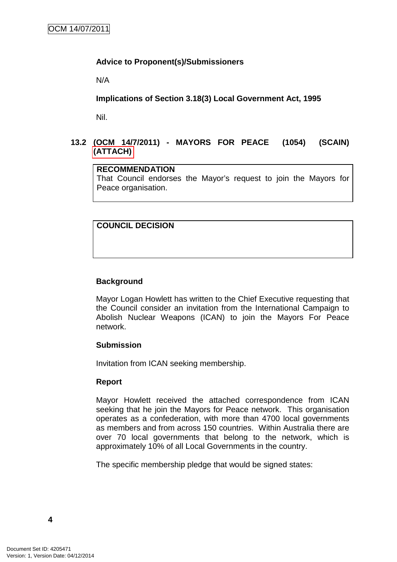#### **Advice to Proponent(s)/Submissioners**

N/A

**Implications of Section 3.18(3) Local Government Act, 1995**

Nil.

## **13.2 (OCM 14/7/2011) - MAYORS FOR PEACE (1054) (SCAIN) (ATTACH)**

#### **RECOMMENDATION**

That Council endorses the Mayor's request to join the Mayors for Peace organisation.

## **COUNCIL DECISION**

#### **Background**

Mayor Logan Howlett has written to the Chief Executive requesting that the Council consider an invitation from the International Campaign to Abolish Nuclear Weapons (ICAN) to join the Mayors For Peace network.

#### **Submission**

Invitation from ICAN seeking membership.

#### **Report**

Mayor Howlett received the attached correspondence from ICAN seeking that he join the Mayors for Peace network. This organisation operates as a confederation, with more than 4700 local governments as members and from across 150 countries. Within Australia there are over 70 local governments that belong to the network, which is approximately 10% of all Local Governments in the country.

The specific membership pledge that would be signed states: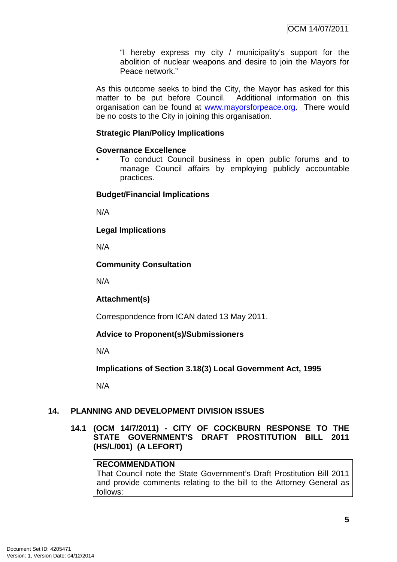"I hereby express my city / municipality's support for the abolition of nuclear weapons and desire to join the Mayors for Peace network."

As this outcome seeks to bind the City, the Mayor has asked for this matter to be put before Council. Additional information on this organisation can be found at www.mayorsforpeace.org. There would be no costs to the City in joining this organisation.

## **Strategic Plan/Policy Implications**

#### **Governance Excellence**

• To conduct Council business in open public forums and to manage Council affairs by employing publicly accountable practices.

#### **Budget/Financial Implications**

N/A

**Legal Implications** 

N/A

#### **Community Consultation**

N/A

#### **Attachment(s)**

Correspondence from ICAN dated 13 May 2011.

## **Advice to Proponent(s)/Submissioners**

N/A

**Implications of Section 3.18(3) Local Government Act, 1995**

N/A

## **14. PLANNING AND DEVELOPMENT DIVISION ISSUES**

**14.1 (OCM 14/7/2011) - CITY OF COCKBURN RESPONSE TO THE STATE GOVERNMENT'S DRAFT PROSTITUTION BILL 2011 (HS/L/001) (A LEFORT)** 

#### **RECOMMENDATION**

That Council note the State Government's Draft Prostitution Bill 2011 and provide comments relating to the bill to the Attorney General as follows: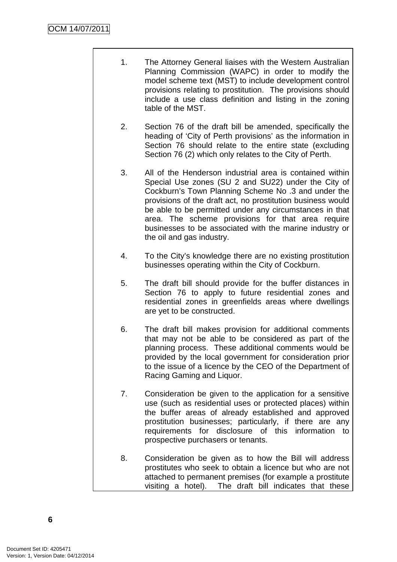- 1. The Attorney General liaises with the Western Australian Planning Commission (WAPC) in order to modify the model scheme text (MST) to include development control provisions relating to prostitution. The provisions should include a use class definition and listing in the zoning table of the MST.
- 2. Section 76 of the draft bill be amended, specifically the heading of 'City of Perth provisions' as the information in Section 76 should relate to the entire state (excluding Section 76 (2) which only relates to the City of Perth.
- 3. All of the Henderson industrial area is contained within Special Use zones (SU 2 and SU22) under the City of Cockburn's Town Planning Scheme No .3 and under the provisions of the draft act, no prostitution business would be able to be permitted under any circumstances in that area. The scheme provisions for that area require businesses to be associated with the marine industry or the oil and gas industry.
- 4. To the City's knowledge there are no existing prostitution businesses operating within the City of Cockburn.
- 5. The draft bill should provide for the buffer distances in Section 76 to apply to future residential zones and residential zones in greenfields areas where dwellings are yet to be constructed.
- 6. The draft bill makes provision for additional comments that may not be able to be considered as part of the planning process. These additional comments would be provided by the local government for consideration prior to the issue of a licence by the CEO of the Department of Racing Gaming and Liquor.
- 7. Consideration be given to the application for a sensitive use (such as residential uses or protected places) within the buffer areas of already established and approved prostitution businesses; particularly, if there are any requirements for disclosure of this information to prospective purchasers or tenants.
- 8. Consideration be given as to how the Bill will address prostitutes who seek to obtain a licence but who are not attached to permanent premises (for example a prostitute visiting a hotel). The draft bill indicates that these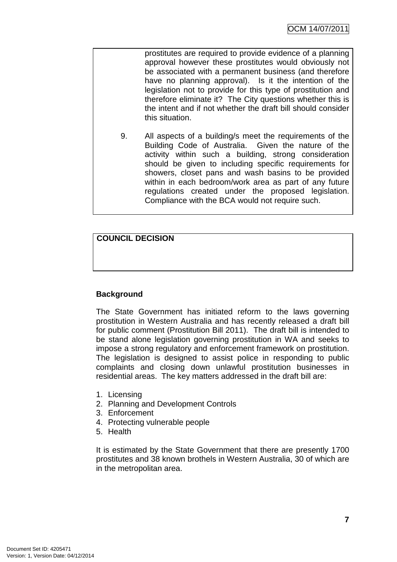prostitutes are required to provide evidence of a planning approval however these prostitutes would obviously not be associated with a permanent business (and therefore have no planning approval). Is it the intention of the legislation not to provide for this type of prostitution and therefore eliminate it? The City questions whether this is the intent and if not whether the draft bill should consider this situation.

9. All aspects of a building/s meet the requirements of the Building Code of Australia. Given the nature of the activity within such a building, strong consideration should be given to including specific requirements for showers, closet pans and wash basins to be provided within in each bedroom/work area as part of any future regulations created under the proposed legislation. Compliance with the BCA would not require such.

## **COUNCIL DECISION**

## **Background**

The State Government has initiated reform to the laws governing prostitution in Western Australia and has recently released a draft bill for public comment (Prostitution Bill 2011). The draft bill is intended to be stand alone legislation governing prostitution in WA and seeks to impose a strong regulatory and enforcement framework on prostitution. The legislation is designed to assist police in responding to public complaints and closing down unlawful prostitution businesses in residential areas. The key matters addressed in the draft bill are:

- 1. Licensing
- 2. Planning and Development Controls
- 3. Enforcement
- 4. Protecting vulnerable people
- 5. Health

It is estimated by the State Government that there are presently 1700 prostitutes and 38 known brothels in Western Australia, 30 of which are in the metropolitan area.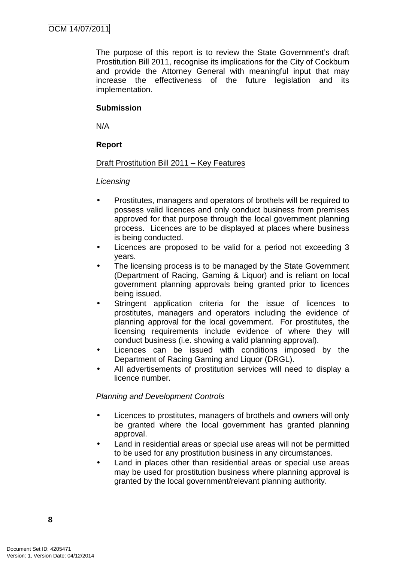The purpose of this report is to review the State Government's draft Prostitution Bill 2011, recognise its implications for the City of Cockburn and provide the Attorney General with meaningful input that may increase the effectiveness of the future legislation and its implementation.

## **Submission**

N/A

## **Report**

#### Draft Prostitution Bill 2011 – Key Features

#### **Licensing**

- Prostitutes, managers and operators of brothels will be required to possess valid licences and only conduct business from premises approved for that purpose through the local government planning process. Licences are to be displayed at places where business is being conducted.
- Licences are proposed to be valid for a period not exceeding 3 years.
- The licensing process is to be managed by the State Government (Department of Racing, Gaming & Liquor) and is reliant on local government planning approvals being granted prior to licences being issued.
- Stringent application criteria for the issue of licences to prostitutes, managers and operators including the evidence of planning approval for the local government. For prostitutes, the licensing requirements include evidence of where they will conduct business (i.e. showing a valid planning approval).
- Licences can be issued with conditions imposed by the Department of Racing Gaming and Liquor (DRGL).
- All advertisements of prostitution services will need to display a licence number.

## Planning and Development Controls

- Licences to prostitutes, managers of brothels and owners will only be granted where the local government has granted planning approval.
- Land in residential areas or special use areas will not be permitted to be used for any prostitution business in any circumstances.
- Land in places other than residential areas or special use areas may be used for prostitution business where planning approval is granted by the local government/relevant planning authority.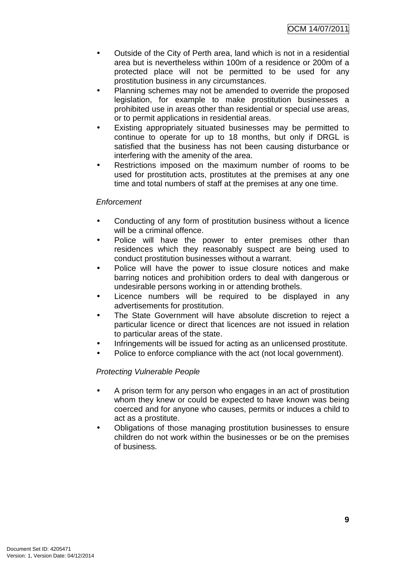OCM 14/07/2011

- Outside of the City of Perth area, land which is not in a residential area but is nevertheless within 100m of a residence or 200m of a protected place will not be permitted to be used for any prostitution business in any circumstances.
- Planning schemes may not be amended to override the proposed legislation, for example to make prostitution businesses a prohibited use in areas other than residential or special use areas, or to permit applications in residential areas.
- Existing appropriately situated businesses may be permitted to continue to operate for up to 18 months, but only if DRGL is satisfied that the business has not been causing disturbance or interfering with the amenity of the area.
- Restrictions imposed on the maximum number of rooms to be used for prostitution acts, prostitutes at the premises at any one time and total numbers of staff at the premises at any one time.

#### Enforcement

- Conducting of any form of prostitution business without a licence will be a criminal offence.
- Police will have the power to enter premises other than residences which they reasonably suspect are being used to conduct prostitution businesses without a warrant.
- Police will have the power to issue closure notices and make barring notices and prohibition orders to deal with dangerous or undesirable persons working in or attending brothels.
- Licence numbers will be required to be displayed in any advertisements for prostitution.
- The State Government will have absolute discretion to reject a particular licence or direct that licences are not issued in relation to particular areas of the state.
- Infringements will be issued for acting as an unlicensed prostitute.
- Police to enforce compliance with the act (not local government).

#### Protecting Vulnerable People

- A prison term for any person who engages in an act of prostitution whom they knew or could be expected to have known was being coerced and for anyone who causes, permits or induces a child to act as a prostitute.
- Obligations of those managing prostitution businesses to ensure children do not work within the businesses or be on the premises of business.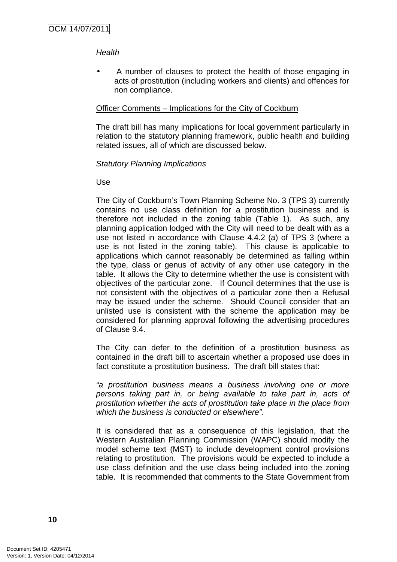#### **Health**

• A number of clauses to protect the health of those engaging in acts of prostitution (including workers and clients) and offences for non compliance.

#### Officer Comments – Implications for the City of Cockburn

The draft bill has many implications for local government particularly in relation to the statutory planning framework, public health and building related issues, all of which are discussed below.

#### Statutory Planning Implications

#### Use

The City of Cockburn's Town Planning Scheme No. 3 (TPS 3) currently contains no use class definition for a prostitution business and is therefore not included in the zoning table (Table 1). As such, any planning application lodged with the City will need to be dealt with as a use not listed in accordance with Clause 4.4.2 (a) of TPS 3 (where a use is not listed in the zoning table). This clause is applicable to applications which cannot reasonably be determined as falling within the type, class or genus of activity of any other use category in the table. It allows the City to determine whether the use is consistent with objectives of the particular zone. If Council determines that the use is not consistent with the objectives of a particular zone then a Refusal may be issued under the scheme. Should Council consider that an unlisted use is consistent with the scheme the application may be considered for planning approval following the advertising procedures of Clause 9.4.

The City can defer to the definition of a prostitution business as contained in the draft bill to ascertain whether a proposed use does in fact constitute a prostitution business. The draft bill states that:

"a prostitution business means a business involving one or more persons taking part in, or being available to take part in, acts of prostitution whether the acts of prostitution take place in the place from which the business is conducted or elsewhere".

It is considered that as a consequence of this legislation, that the Western Australian Planning Commission (WAPC) should modify the model scheme text (MST) to include development control provisions relating to prostitution. The provisions would be expected to include a use class definition and the use class being included into the zoning table. It is recommended that comments to the State Government from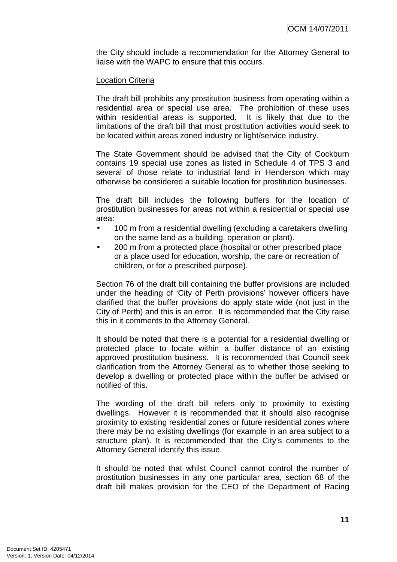the City should include a recommendation for the Attorney General to liaise with the WAPC to ensure that this occurs.

#### Location Criteria

The draft bill prohibits any prostitution business from operating within a residential area or special use area. The prohibition of these uses within residential areas is supported. It is likely that due to the limitations of the draft bill that most prostitution activities would seek to be located within areas zoned industry or light/service industry.

The State Government should be advised that the City of Cockburn contains 19 special use zones as listed in Schedule 4 of TPS 3 and several of those relate to industrial land in Henderson which may otherwise be considered a suitable location for prostitution businesses.

The draft bill includes the following buffers for the location of prostitution businesses for areas not within a residential or special use area:

- 100 m from a residential dwelling (excluding a caretakers dwelling on the same land as a building, operation or plant).
- 200 m from a protected place (hospital or other prescribed place or a place used for education, worship, the care or recreation of children, or for a prescribed purpose).

Section 76 of the draft bill containing the buffer provisions are included under the heading of 'City of Perth provisions' however officers have clarified that the buffer provisions do apply state wide (not just in the City of Perth) and this is an error. It is recommended that the City raise this in it comments to the Attorney General.

It should be noted that there is a potential for a residential dwelling or protected place to locate within a buffer distance of an existing approved prostitution business. It is recommended that Council seek clarification from the Attorney General as to whether those seeking to develop a dwelling or protected place within the buffer be advised or notified of this.

The wording of the draft bill refers only to proximity to existing dwellings. However it is recommended that it should also recognise proximity to existing residential zones or future residential zones where there may be no existing dwellings (for example in an area subject to a structure plan). It is recommended that the City's comments to the Attorney General identify this issue.

It should be noted that whilst Council cannot control the number of prostitution businesses in any one particular area, section 68 of the draft bill makes provision for the CEO of the Department of Racing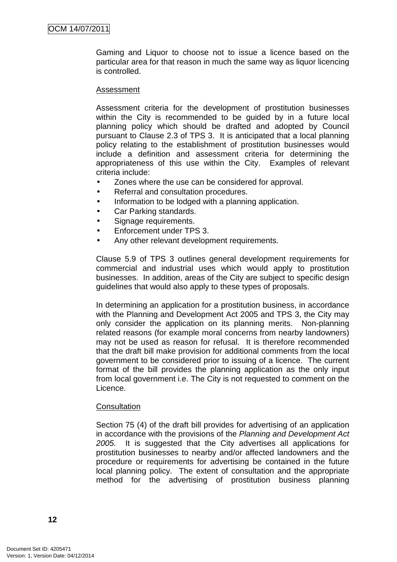Gaming and Liquor to choose not to issue a licence based on the particular area for that reason in much the same way as liquor licencing is controlled.

#### Assessment

Assessment criteria for the development of prostitution businesses within the City is recommended to be guided by in a future local planning policy which should be drafted and adopted by Council pursuant to Clause 2.3 of TPS 3. It is anticipated that a local planning policy relating to the establishment of prostitution businesses would include a definition and assessment criteria for determining the appropriateness of this use within the City. Examples of relevant criteria include:

- Zones where the use can be considered for approval.
- Referral and consultation procedures.
- Information to be lodged with a planning application.
- Car Parking standards.
- Signage requirements.
- Enforcement under TPS 3.
- Any other relevant development requirements.

Clause 5.9 of TPS 3 outlines general development requirements for commercial and industrial uses which would apply to prostitution businesses. In addition, areas of the City are subject to specific design guidelines that would also apply to these types of proposals.

In determining an application for a prostitution business, in accordance with the Planning and Development Act 2005 and TPS 3, the City may only consider the application on its planning merits. Non-planning related reasons (for example moral concerns from nearby landowners) may not be used as reason for refusal. It is therefore recommended that the draft bill make provision for additional comments from the local government to be considered prior to issuing of a licence. The current format of the bill provides the planning application as the only input from local government i.e. The City is not requested to comment on the Licence.

#### **Consultation**

Section 75 (4) of the draft bill provides for advertising of an application in accordance with the provisions of the Planning and Development Act 2005. It is suggested that the City advertises all applications for prostitution businesses to nearby and/or affected landowners and the procedure or requirements for advertising be contained in the future local planning policy. The extent of consultation and the appropriate method for the advertising of prostitution business planning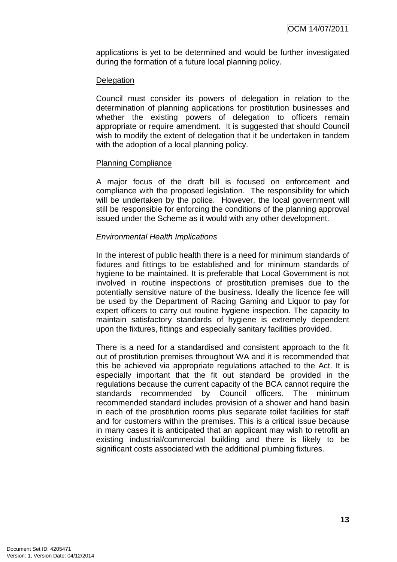applications is yet to be determined and would be further investigated during the formation of a future local planning policy.

#### **Delegation**

Council must consider its powers of delegation in relation to the determination of planning applications for prostitution businesses and whether the existing powers of delegation to officers remain appropriate or require amendment. It is suggested that should Council wish to modify the extent of delegation that it be undertaken in tandem with the adoption of a local planning policy.

#### Planning Compliance

A major focus of the draft bill is focused on enforcement and compliance with the proposed legislation. The responsibility for which will be undertaken by the police. However, the local government will still be responsible for enforcing the conditions of the planning approval issued under the Scheme as it would with any other development.

#### Environmental Health Implications

In the interest of public health there is a need for minimum standards of fixtures and fittings to be established and for minimum standards of hygiene to be maintained. It is preferable that Local Government is not involved in routine inspections of prostitution premises due to the potentially sensitive nature of the business. Ideally the licence fee will be used by the Department of Racing Gaming and Liquor to pay for expert officers to carry out routine hygiene inspection. The capacity to maintain satisfactory standards of hygiene is extremely dependent upon the fixtures, fittings and especially sanitary facilities provided.

There is a need for a standardised and consistent approach to the fit out of prostitution premises throughout WA and it is recommended that this be achieved via appropriate regulations attached to the Act. It is especially important that the fit out standard be provided in the regulations because the current capacity of the BCA cannot require the standards recommended by Council officers. The minimum recommended standard includes provision of a shower and hand basin in each of the prostitution rooms plus separate toilet facilities for staff and for customers within the premises. This is a critical issue because in many cases it is anticipated that an applicant may wish to retrofit an existing industrial/commercial building and there is likely to be significant costs associated with the additional plumbing fixtures.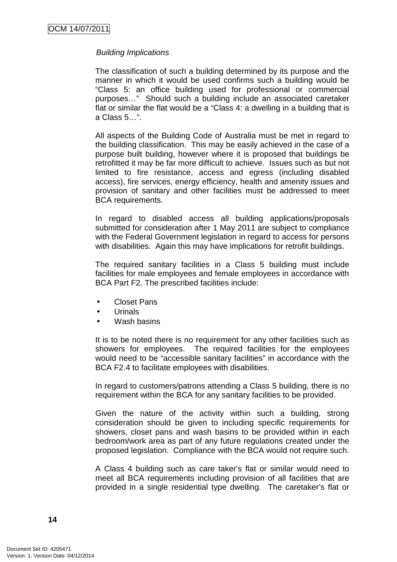#### Building Implications

The classification of such a building determined by its purpose and the manner in which it would be used confirms such a building would be "Class 5: an office building used for professional or commercial purposes…" Should such a building include an associated caretaker flat or similar the flat would be a "Class 4: a dwelling in a building that is a Class 5…".

All aspects of the Building Code of Australia must be met in regard to the building classification. This may be easily achieved in the case of a purpose built building, however where it is proposed that buildings be retrofitted it may be far more difficult to achieve. Issues such as but not limited to fire resistance, access and egress (including disabled access), fire services, energy efficiency, health and amenity issues and provision of sanitary and other facilities must be addressed to meet BCA requirements.

In regard to disabled access all building applications/proposals submitted for consideration after 1 May 2011 are subject to compliance with the Federal Government legislation in regard to access for persons with disabilities. Again this may have implications for retrofit buildings.

The required sanitary facilities in a Class 5 building must include facilities for male employees and female employees in accordance with BCA Part F2. The prescribed facilities include:

- Closet Pans
- Urinals
- Wash basins

It is to be noted there is no requirement for any other facilities such as showers for employees. The required facilities for the employees would need to be "accessible sanitary facilities" in accordance with the BCA F2.4 to facilitate employees with disabilities.

In regard to customers/patrons attending a Class 5 building, there is no requirement within the BCA for any sanitary facilities to be provided.

Given the nature of the activity within such a building, strong consideration should be given to including specific requirements for showers, closet pans and wash basins to be provided within in each bedroom/work area as part of any future regulations created under the proposed legislation. Compliance with the BCA would not require such.

A Class 4 building such as care taker's flat or similar would need to meet all BCA requirements including provision of all facilities that are provided in a single residential type dwelling. The caretaker's flat or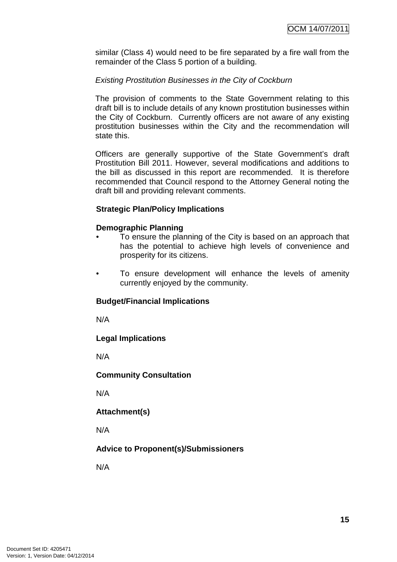similar (Class 4) would need to be fire separated by a fire wall from the remainder of the Class 5 portion of a building.

#### Existing Prostitution Businesses in the City of Cockburn

The provision of comments to the State Government relating to this draft bill is to include details of any known prostitution businesses within the City of Cockburn. Currently officers are not aware of any existing prostitution businesses within the City and the recommendation will state this.

Officers are generally supportive of the State Government's draft Prostitution Bill 2011. However, several modifications and additions to the bill as discussed in this report are recommended. It is therefore recommended that Council respond to the Attorney General noting the draft bill and providing relevant comments.

#### **Strategic Plan/Policy Implications**

#### **Demographic Planning**

- To ensure the planning of the City is based on an approach that has the potential to achieve high levels of convenience and prosperity for its citizens.
- To ensure development will enhance the levels of amenity currently enjoyed by the community.

## **Budget/Financial Implications**

N/A

#### **Legal Implications**

N/A

#### **Community Consultation**

N/A

**Attachment(s)**

N/A

## **Advice to Proponent(s)/Submissioners**

N/A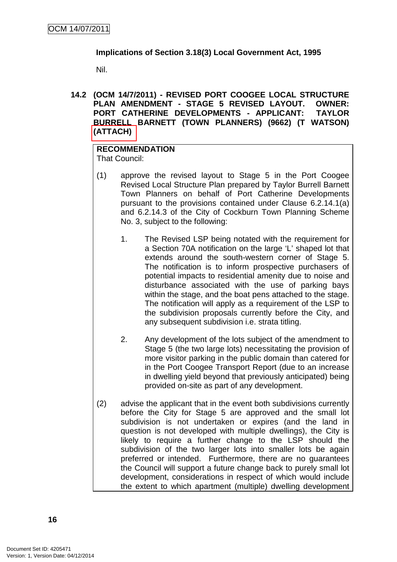#### **Implications of Section 3.18(3) Local Government Act, 1995**

Nil.

**14.2 (OCM 14/7/2011) - REVISED PORT COOGEE LOCAL STRUCTURE PLAN AMENDMENT - STAGE 5 REVISED LAYOUT. OWNER: PORT CATHERINE DEVELOPMENTS - APPLICANT: TAYLOR BURRELL BARNETT (TOWN PLANNERS) (9662) (T WATSON) (ATTACH)** 

## **RECOMMENDATION**

That Council:

- (1) approve the revised layout to Stage 5 in the Port Coogee Revised Local Structure Plan prepared by Taylor Burrell Barnett Town Planners on behalf of Port Catherine Developments pursuant to the provisions contained under Clause 6.2.14.1(a) and 6.2.14.3 of the City of Cockburn Town Planning Scheme No. 3, subject to the following:
	- 1. The Revised LSP being notated with the requirement for a Section 70A notification on the large 'L' shaped lot that extends around the south-western corner of Stage 5. The notification is to inform prospective purchasers of potential impacts to residential amenity due to noise and disturbance associated with the use of parking bays within the stage, and the boat pens attached to the stage. The notification will apply as a requirement of the LSP to the subdivision proposals currently before the City, and any subsequent subdivision i.e. strata titling.
	- 2. Any development of the lots subject of the amendment to Stage 5 (the two large lots) necessitating the provision of more visitor parking in the public domain than catered for in the Port Coogee Transport Report (due to an increase in dwelling yield beyond that previously anticipated) being provided on-site as part of any development.
- (2) advise the applicant that in the event both subdivisions currently before the City for Stage 5 are approved and the small lot subdivision is not undertaken or expires (and the land in question is not developed with multiple dwellings), the City is likely to require a further change to the LSP should the subdivision of the two larger lots into smaller lots be again preferred or intended. Furthermore, there are no guarantees the Council will support a future change back to purely small lot development, considerations in respect of which would include the extent to which apartment (multiple) dwelling development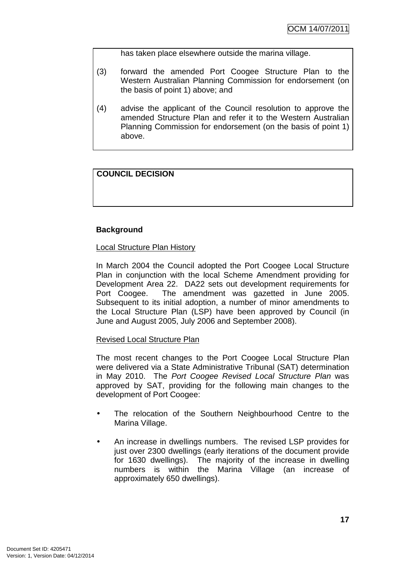has taken place elsewhere outside the marina village.

- (3) forward the amended Port Coogee Structure Plan to the Western Australian Planning Commission for endorsement (on the basis of point 1) above; and
- (4) advise the applicant of the Council resolution to approve the amended Structure Plan and refer it to the Western Australian Planning Commission for endorsement (on the basis of point 1) above.

## **COUNCIL DECISION**

## **Background**

Local Structure Plan History

In March 2004 the Council adopted the Port Coogee Local Structure Plan in conjunction with the local Scheme Amendment providing for Development Area 22. DA22 sets out development requirements for Port Coogee. The amendment was gazetted in June 2005. Subsequent to its initial adoption, a number of minor amendments to the Local Structure Plan (LSP) have been approved by Council (in June and August 2005, July 2006 and September 2008).

#### Revised Local Structure Plan

The most recent changes to the Port Coogee Local Structure Plan were delivered via a State Administrative Tribunal (SAT) determination in May 2010. The Port Coogee Revised Local Structure Plan was approved by SAT, providing for the following main changes to the development of Port Coogee:

- The relocation of the Southern Neighbourhood Centre to the Marina Village.
- An increase in dwellings numbers. The revised LSP provides for just over 2300 dwellings (early iterations of the document provide for 1630 dwellings). The majority of the increase in dwelling numbers is within the Marina Village (an increase of approximately 650 dwellings).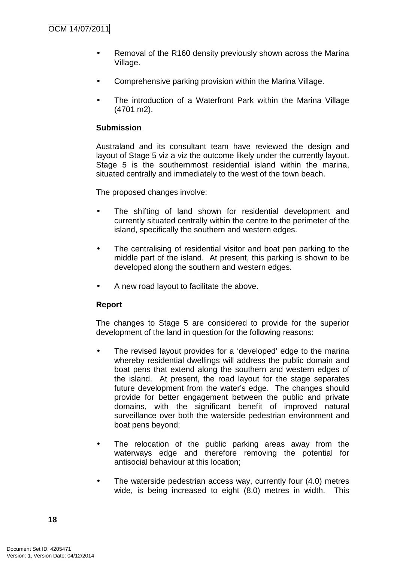- Removal of the R160 density previously shown across the Marina Village.
- Comprehensive parking provision within the Marina Village.
- The introduction of a Waterfront Park within the Marina Village (4701 m2).

## **Submission**

Australand and its consultant team have reviewed the design and layout of Stage 5 viz a viz the outcome likely under the currently layout. Stage 5 is the southernmost residential island within the marina, situated centrally and immediately to the west of the town beach.

The proposed changes involve:

- The shifting of land shown for residential development and currently situated centrally within the centre to the perimeter of the island, specifically the southern and western edges.
- The centralising of residential visitor and boat pen parking to the middle part of the island. At present, this parking is shown to be developed along the southern and western edges.
- A new road layout to facilitate the above.

#### **Report**

The changes to Stage 5 are considered to provide for the superior development of the land in question for the following reasons:

- The revised layout provides for a 'developed' edge to the marina whereby residential dwellings will address the public domain and boat pens that extend along the southern and western edges of the island. At present, the road layout for the stage separates future development from the water's edge. The changes should provide for better engagement between the public and private domains, with the significant benefit of improved natural surveillance over both the waterside pedestrian environment and boat pens beyond;
- The relocation of the public parking areas away from the waterways edge and therefore removing the potential for antisocial behaviour at this location;
- The waterside pedestrian access way, currently four (4.0) metres wide, is being increased to eight (8.0) metres in width. This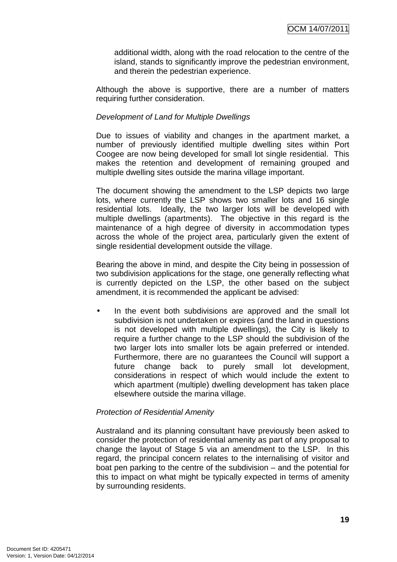additional width, along with the road relocation to the centre of the island, stands to significantly improve the pedestrian environment, and therein the pedestrian experience.

Although the above is supportive, there are a number of matters requiring further consideration.

#### Development of Land for Multiple Dwellings

Due to issues of viability and changes in the apartment market, a number of previously identified multiple dwelling sites within Port Coogee are now being developed for small lot single residential. This makes the retention and development of remaining grouped and multiple dwelling sites outside the marina village important.

The document showing the amendment to the LSP depicts two large lots, where currently the LSP shows two smaller lots and 16 single residential lots. Ideally, the two larger lots will be developed with multiple dwellings (apartments). The objective in this regard is the maintenance of a high degree of diversity in accommodation types across the whole of the project area, particularly given the extent of single residential development outside the village.

Bearing the above in mind, and despite the City being in possession of two subdivision applications for the stage, one generally reflecting what is currently depicted on the LSP, the other based on the subject amendment, it is recommended the applicant be advised:

In the event both subdivisions are approved and the small lot subdivision is not undertaken or expires (and the land in questions is not developed with multiple dwellings), the City is likely to require a further change to the LSP should the subdivision of the two larger lots into smaller lots be again preferred or intended. Furthermore, there are no guarantees the Council will support a future change back to purely small lot development, considerations in respect of which would include the extent to which apartment (multiple) dwelling development has taken place elsewhere outside the marina village.

#### Protection of Residential Amenity

Australand and its planning consultant have previously been asked to consider the protection of residential amenity as part of any proposal to change the layout of Stage 5 via an amendment to the LSP. In this regard, the principal concern relates to the internalising of visitor and boat pen parking to the centre of the subdivision – and the potential for this to impact on what might be typically expected in terms of amenity by surrounding residents.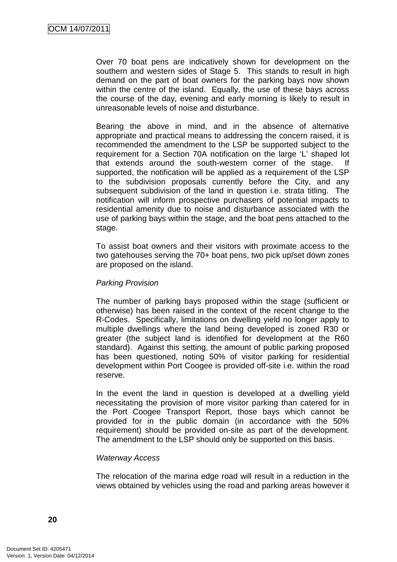Over 70 boat pens are indicatively shown for development on the southern and western sides of Stage 5. This stands to result in high demand on the part of boat owners for the parking bays now shown within the centre of the island. Equally, the use of these bays across the course of the day, evening and early morning is likely to result in unreasonable levels of noise and disturbance.

Bearing the above in mind, and in the absence of alternative appropriate and practical means to addressing the concern raised, it is recommended the amendment to the LSP be supported subject to the requirement for a Section 70A notification on the large 'L' shaped lot that extends around the south-western corner of the stage. If supported, the notification will be applied as a requirement of the LSP to the subdivision proposals currently before the City, and any subsequent subdivision of the land in question i.e. strata titling. The notification will inform prospective purchasers of potential impacts to residential amenity due to noise and disturbance associated with the use of parking bays within the stage, and the boat pens attached to the stage.

To assist boat owners and their visitors with proximate access to the two gatehouses serving the 70+ boat pens, two pick up/set down zones are proposed on the island.

#### Parking Provision

The number of parking bays proposed within the stage (sufficient or otherwise) has been raised in the context of the recent change to the R-Codes. Specifically, limitations on dwelling yield no longer apply to multiple dwellings where the land being developed is zoned R30 or greater (the subject land is identified for development at the R60 standard). Against this setting, the amount of public parking proposed has been questioned, noting 50% of visitor parking for residential development within Port Coogee is provided off-site i.e. within the road reserve.

In the event the land in question is developed at a dwelling yield necessitating the provision of more visitor parking than catered for in the Port Coogee Transport Report, those bays which cannot be provided for in the public domain (in accordance with the 50% requirement) should be provided on-site as part of the development. The amendment to the LSP should only be supported on this basis.

#### Waterway Access

The relocation of the marina edge road will result in a reduction in the views obtained by vehicles using the road and parking areas however it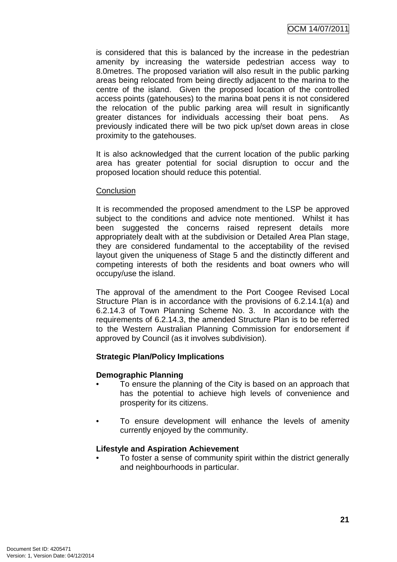is considered that this is balanced by the increase in the pedestrian amenity by increasing the waterside pedestrian access way to 8.0metres. The proposed variation will also result in the public parking areas being relocated from being directly adjacent to the marina to the centre of the island. Given the proposed location of the controlled access points (gatehouses) to the marina boat pens it is not considered the relocation of the public parking area will result in significantly greater distances for individuals accessing their boat pens. As previously indicated there will be two pick up/set down areas in close proximity to the gatehouses.

It is also acknowledged that the current location of the public parking area has greater potential for social disruption to occur and the proposed location should reduce this potential.

#### **Conclusion**

It is recommended the proposed amendment to the LSP be approved subject to the conditions and advice note mentioned. Whilst it has been suggested the concerns raised represent details more appropriately dealt with at the subdivision or Detailed Area Plan stage, they are considered fundamental to the acceptability of the revised layout given the uniqueness of Stage 5 and the distinctly different and competing interests of both the residents and boat owners who will occupy/use the island.

The approval of the amendment to the Port Coogee Revised Local Structure Plan is in accordance with the provisions of 6.2.14.1(a) and 6.2.14.3 of Town Planning Scheme No. 3. In accordance with the requirements of 6.2.14.3, the amended Structure Plan is to be referred to the Western Australian Planning Commission for endorsement if approved by Council (as it involves subdivision).

#### **Strategic Plan/Policy Implications**

#### **Demographic Planning**

- To ensure the planning of the City is based on an approach that has the potential to achieve high levels of convenience and prosperity for its citizens.
- To ensure development will enhance the levels of amenity currently enjoyed by the community.

#### **Lifestyle and Aspiration Achievement**

• To foster a sense of community spirit within the district generally and neighbourhoods in particular.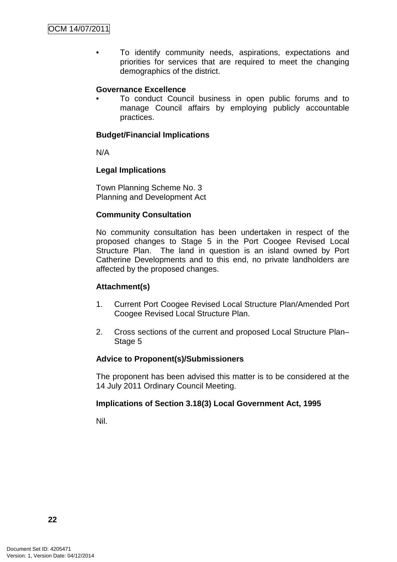• To identify community needs, aspirations, expectations and priorities for services that are required to meet the changing demographics of the district.

#### **Governance Excellence**

• To conduct Council business in open public forums and to manage Council affairs by employing publicly accountable practices.

#### **Budget/Financial Implications**

N/A

#### **Legal Implications**

Town Planning Scheme No. 3 Planning and Development Act

#### **Community Consultation**

No community consultation has been undertaken in respect of the proposed changes to Stage 5 in the Port Coogee Revised Local Structure Plan. The land in question is an island owned by Port Catherine Developments and to this end, no private landholders are affected by the proposed changes.

#### **Attachment(s)**

- 1. Current Port Coogee Revised Local Structure Plan/Amended Port Coogee Revised Local Structure Plan.
- 2. Cross sections of the current and proposed Local Structure Plan– Stage 5

#### **Advice to Proponent(s)/Submissioners**

The proponent has been advised this matter is to be considered at the 14 July 2011 Ordinary Council Meeting.

#### **Implications of Section 3.18(3) Local Government Act, 1995**

Nil.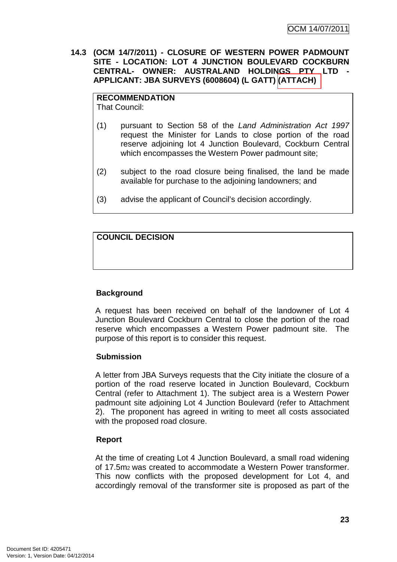**14.3 (OCM 14/7/2011) - CLOSURE OF WESTERN POWER PADMOUNT SITE - LOCATION: LOT 4 JUNCTION BOULEVARD COCKBURN CENTRAL- OWNER: AUSTRALAND HOLDINGS PTY LTD - APPLICANT: JBA SURVEYS (6008604) (L GATT) (ATTACH)** 

#### **RECOMMENDATION**

That Council:

- (1) pursuant to Section 58 of the Land Administration Act 1997 request the Minister for Lands to close portion of the road reserve adjoining lot 4 Junction Boulevard, Cockburn Central which encompasses the Western Power padmount site;
- (2) subject to the road closure being finalised, the land be made available for purchase to the adjoining landowners; and
- (3) advise the applicant of Council's decision accordingly.

**COUNCIL DECISION**

## **Background**

A request has been received on behalf of the landowner of Lot 4 Junction Boulevard Cockburn Central to close the portion of the road reserve which encompasses a Western Power padmount site. The purpose of this report is to consider this request.

#### **Submission**

A letter from JBA Surveys requests that the City initiate the closure of a portion of the road reserve located in Junction Boulevard, Cockburn Central (refer to Attachment 1). The subject area is a Western Power padmount site adjoining Lot 4 Junction Boulevard (refer to Attachment 2). The proponent has agreed in writing to meet all costs associated with the proposed road closure.

#### **Report**

At the time of creating Lot 4 Junction Boulevard, a small road widening of 17.5m2 was created to accommodate a Western Power transformer. This now conflicts with the proposed development for Lot 4, and accordingly removal of the transformer site is proposed as part of the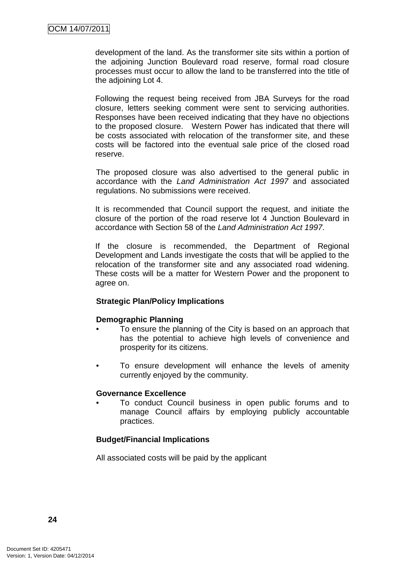development of the land. As the transformer site sits within a portion of the adjoining Junction Boulevard road reserve, formal road closure processes must occur to allow the land to be transferred into the title of the adjoining Lot 4.

Following the request being received from JBA Surveys for the road closure, letters seeking comment were sent to servicing authorities. Responses have been received indicating that they have no objections to the proposed closure. Western Power has indicated that there will be costs associated with relocation of the transformer site, and these costs will be factored into the eventual sale price of the closed road reserve.

The proposed closure was also advertised to the general public in accordance with the Land Administration Act 1997 and associated regulations. No submissions were received.

It is recommended that Council support the request, and initiate the closure of the portion of the road reserve lot 4 Junction Boulevard in accordance with Section 58 of the Land Administration Act 1997.

If the closure is recommended, the Department of Regional Development and Lands investigate the costs that will be applied to the relocation of the transformer site and any associated road widening. These costs will be a matter for Western Power and the proponent to agree on.

## **Strategic Plan/Policy Implications**

#### **Demographic Planning**

- To ensure the planning of the City is based on an approach that has the potential to achieve high levels of convenience and prosperity for its citizens.
- To ensure development will enhance the levels of amenity currently enjoyed by the community.

#### **Governance Excellence**

• To conduct Council business in open public forums and to manage Council affairs by employing publicly accountable practices.

#### **Budget/Financial Implications**

All associated costs will be paid by the applicant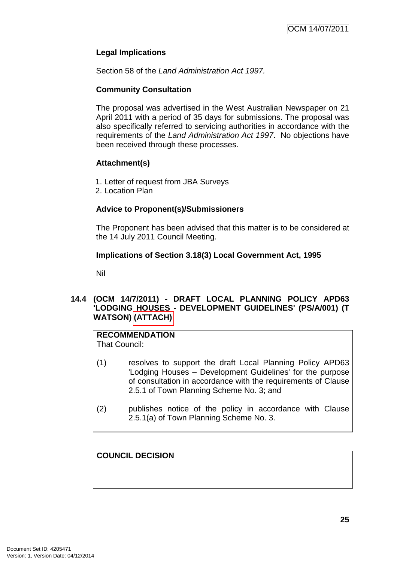## **Legal Implications**

Section 58 of the Land Administration Act 1997.

## **Community Consultation**

The proposal was advertised in the West Australian Newspaper on 21 April 2011 with a period of 35 days for submissions. The proposal was also specifically referred to servicing authorities in accordance with the requirements of the Land Administration Act 1997. No objections have been received through these processes.

#### **Attachment(s)**

- 1. Letter of request from JBA Surveys
- 2. Location Plan

## **Advice to Proponent(s)/Submissioners**

The Proponent has been advised that this matter is to be considered at the 14 July 2011 Council Meeting.

#### **Implications of Section 3.18(3) Local Government Act, 1995**

Nil

## **14.4 (OCM 14/7/2011) - DRAFT LOCAL PLANNING POLICY APD63 'LODGING HOUSES - DEVELOPMENT GUIDELINES' (PS/A/001) (T WATSON) (ATTACH)**

# **RECOMMENDATION**

That Council:

- (1) resolves to support the draft Local Planning Policy APD63 'Lodging Houses – Development Guidelines' for the purpose of consultation in accordance with the requirements of Clause 2.5.1 of Town Planning Scheme No. 3; and
- (2) publishes notice of the policy in accordance with Clause 2.5.1(a) of Town Planning Scheme No. 3.

**COUNCIL DECISION**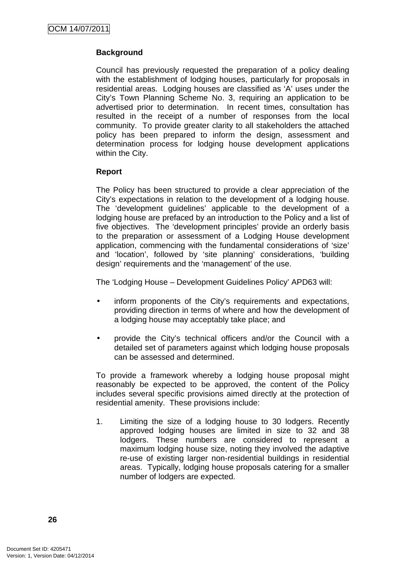## **Background**

Council has previously requested the preparation of a policy dealing with the establishment of lodging houses, particularly for proposals in residential areas. Lodging houses are classified as 'A' uses under the City's Town Planning Scheme No. 3, requiring an application to be advertised prior to determination. In recent times, consultation has resulted in the receipt of a number of responses from the local community. To provide greater clarity to all stakeholders the attached policy has been prepared to inform the design, assessment and determination process for lodging house development applications within the City.

#### **Report**

The Policy has been structured to provide a clear appreciation of the City's expectations in relation to the development of a lodging house. The 'development guidelines' applicable to the development of a lodging house are prefaced by an introduction to the Policy and a list of five objectives. The 'development principles' provide an orderly basis to the preparation or assessment of a Lodging House development application, commencing with the fundamental considerations of 'size' and 'location', followed by 'site planning' considerations, 'building design' requirements and the 'management' of the use.

The 'Lodging House – Development Guidelines Policy' APD63 will:

- inform proponents of the City's requirements and expectations, providing direction in terms of where and how the development of a lodging house may acceptably take place; and
- provide the City's technical officers and/or the Council with a detailed set of parameters against which lodging house proposals can be assessed and determined.

To provide a framework whereby a lodging house proposal might reasonably be expected to be approved, the content of the Policy includes several specific provisions aimed directly at the protection of residential amenity. These provisions include:

1. Limiting the size of a lodging house to 30 lodgers. Recently approved lodging houses are limited in size to 32 and 38 lodgers. These numbers are considered to represent a maximum lodging house size, noting they involved the adaptive re-use of existing larger non-residential buildings in residential areas. Typically, lodging house proposals catering for a smaller number of lodgers are expected.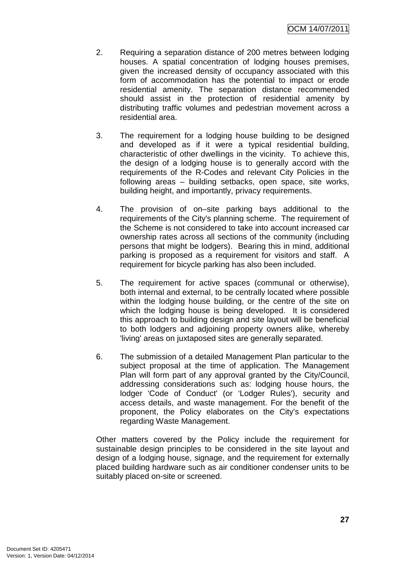- 2. Requiring a separation distance of 200 metres between lodging houses. A spatial concentration of lodging houses premises, given the increased density of occupancy associated with this form of accommodation has the potential to impact or erode residential amenity. The separation distance recommended should assist in the protection of residential amenity by distributing traffic volumes and pedestrian movement across a residential area.
- 3. The requirement for a lodging house building to be designed and developed as if it were a typical residential building, characteristic of other dwellings in the vicinity. To achieve this, the design of a lodging house is to generally accord with the requirements of the R-Codes and relevant City Policies in the following areas – building setbacks, open space, site works, building height, and importantly, privacy requirements.
- 4. The provision of on–site parking bays additional to the requirements of the City's planning scheme. The requirement of the Scheme is not considered to take into account increased car ownership rates across all sections of the community (including persons that might be lodgers). Bearing this in mind, additional parking is proposed as a requirement for visitors and staff. A requirement for bicycle parking has also been included.
- 5. The requirement for active spaces (communal or otherwise), both internal and external, to be centrally located where possible within the lodging house building, or the centre of the site on which the lodging house is being developed. It is considered this approach to building design and site layout will be beneficial to both lodgers and adjoining property owners alike, whereby 'living' areas on juxtaposed sites are generally separated.
- 6. The submission of a detailed Management Plan particular to the subject proposal at the time of application. The Management Plan will form part of any approval granted by the City/Council, addressing considerations such as: lodging house hours, the lodger 'Code of Conduct' (or 'Lodger Rules'), security and access details, and waste management. For the benefit of the proponent, the Policy elaborates on the City's expectations regarding Waste Management.

Other matters covered by the Policy include the requirement for sustainable design principles to be considered in the site layout and design of a lodging house, signage, and the requirement for externally placed building hardware such as air conditioner condenser units to be suitably placed on-site or screened.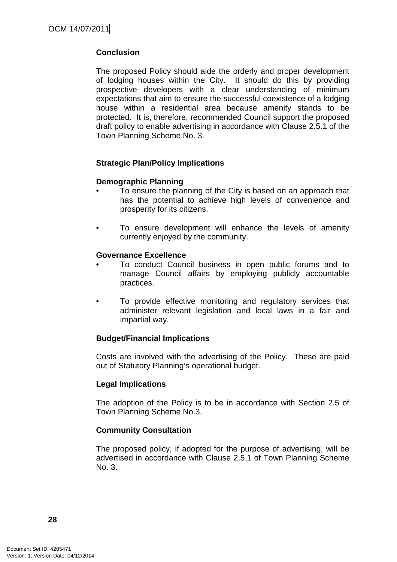## **Conclusion**

The proposed Policy should aide the orderly and proper development of lodging houses within the City. It should do this by providing prospective developers with a clear understanding of minimum expectations that aim to ensure the successful coexistence of a lodging house within a residential area because amenity stands to be protected. It is, therefore, recommended Council support the proposed draft policy to enable advertising in accordance with Clause 2.5.1 of the Town Planning Scheme No. 3.

#### **Strategic Plan/Policy Implications**

#### **Demographic Planning**

- To ensure the planning of the City is based on an approach that has the potential to achieve high levels of convenience and prosperity for its citizens.
- To ensure development will enhance the levels of amenity currently enjoyed by the community.

#### **Governance Excellence**

- To conduct Council business in open public forums and to manage Council affairs by employing publicly accountable practices.
- To provide effective monitoring and regulatory services that administer relevant legislation and local laws in a fair and impartial way.

#### **Budget/Financial Implications**

Costs are involved with the advertising of the Policy. These are paid out of Statutory Planning's operational budget.

#### **Legal Implications**

The adoption of the Policy is to be in accordance with Section 2.5 of Town Planning Scheme No.3.

#### **Community Consultation**

The proposed policy, if adopted for the purpose of advertising, will be advertised in accordance with Clause 2.5.1 of Town Planning Scheme No. 3.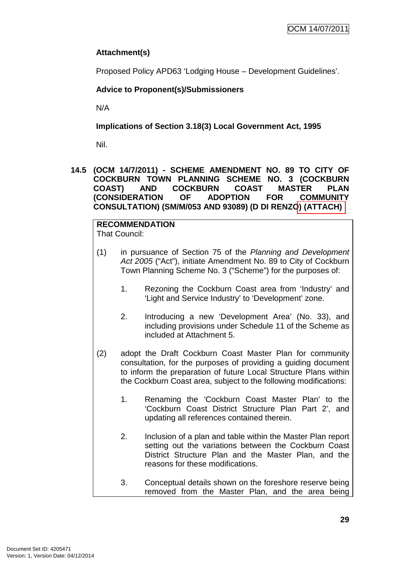## **Attachment(s)**

Proposed Policy APD63 'Lodging House – Development Guidelines'.

## **Advice to Proponent(s)/Submissioners**

N/A

**Implications of Section 3.18(3) Local Government Act, 1995**

Nil.

**14.5 (OCM 14/7/2011) - SCHEME AMENDMENT NO. 89 TO CITY OF COCKBURN TOWN PLANNING SCHEME NO. 3 (COCKBURN COAST) AND COCKBURN COAST MASTER PLAN (CONSIDERATION OF ADOPTION FOR COMMUNITY CONSULTATION) (SM/M/053 AND 93089) (D DI RENZO) (ATTACH)** 

**RECOMMENDATION** That Council:

- (1) in pursuance of Section 75 of the Planning and Development Act 2005 ("Act"), initiate Amendment No. 89 to City of Cockburn Town Planning Scheme No. 3 ("Scheme") for the purposes of:
	- 1. Rezoning the Cockburn Coast area from 'Industry' and 'Light and Service Industry' to 'Development' zone.
	- 2. Introducing a new 'Development Area' (No. 33), and including provisions under Schedule 11 of the Scheme as included at Attachment 5.
- (2) adopt the Draft Cockburn Coast Master Plan for community consultation, for the purposes of providing a guiding document to inform the preparation of future Local Structure Plans within the Cockburn Coast area, subject to the following modifications:
	- 1. Renaming the 'Cockburn Coast Master Plan' to the 'Cockburn Coast District Structure Plan Part 2', and updating all references contained therein.
	- 2. Inclusion of a plan and table within the Master Plan report setting out the variations between the Cockburn Coast District Structure Plan and the Master Plan, and the reasons for these modifications.
	- 3. Conceptual details shown on the foreshore reserve being removed from the Master Plan, and the area being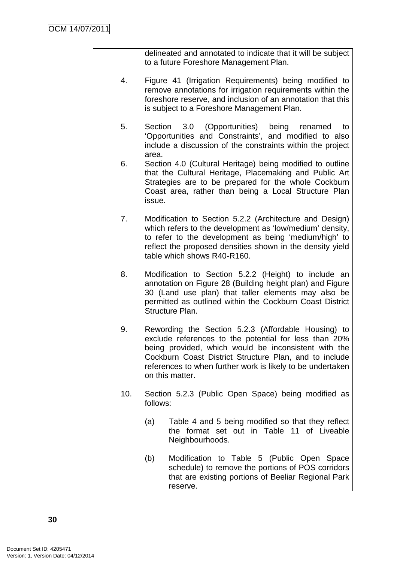delineated and annotated to indicate that it will be subject to a future Foreshore Management Plan.

- 4. Figure 41 (Irrigation Requirements) being modified to remove annotations for irrigation requirements within the foreshore reserve, and inclusion of an annotation that this is subject to a Foreshore Management Plan.
- 5. Section 3.0 (Opportunities) being renamed to 'Opportunities and Constraints', and modified to also include a discussion of the constraints within the project area.
- 6. Section 4.0 (Cultural Heritage) being modified to outline that the Cultural Heritage, Placemaking and Public Art Strategies are to be prepared for the whole Cockburn Coast area, rather than being a Local Structure Plan issue.
- 7. Modification to Section 5.2.2 (Architecture and Design) which refers to the development as 'low/medium' density, to refer to the development as being 'medium/high' to reflect the proposed densities shown in the density yield table which shows R40-R160.
- 8. Modification to Section 5.2.2 (Height) to include an annotation on Figure 28 (Building height plan) and Figure 30 (Land use plan) that taller elements may also be permitted as outlined within the Cockburn Coast District Structure Plan.
- 9. Rewording the Section 5.2.3 (Affordable Housing) to exclude references to the potential for less than 20% being provided, which would be inconsistent with the Cockburn Coast District Structure Plan, and to include references to when further work is likely to be undertaken on this matter.
- 10. Section 5.2.3 (Public Open Space) being modified as follows:
	- (a) Table 4 and 5 being modified so that they reflect the format set out in Table 11 of Liveable Neighbourhoods.
	- (b) Modification to Table 5 (Public Open Space schedule) to remove the portions of POS corridors that are existing portions of Beeliar Regional Park reserve.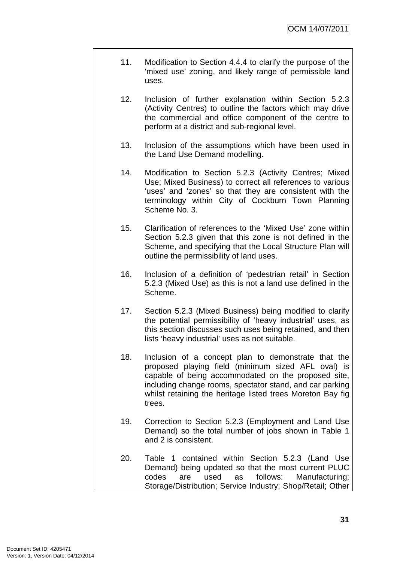- 11. Modification to Section 4.4.4 to clarify the purpose of the 'mixed use' zoning, and likely range of permissible land uses.
- 12. Inclusion of further explanation within Section 5.2.3 (Activity Centres) to outline the factors which may drive the commercial and office component of the centre to perform at a district and sub-regional level.
- 13. Inclusion of the assumptions which have been used in the Land Use Demand modelling.
- 14. Modification to Section 5.2.3 (Activity Centres; Mixed Use; Mixed Business) to correct all references to various 'uses' and 'zones' so that they are consistent with the terminology within City of Cockburn Town Planning Scheme No. 3.
- 15. Clarification of references to the 'Mixed Use' zone within Section 5.2.3 given that this zone is not defined in the Scheme, and specifying that the Local Structure Plan will outline the permissibility of land uses.
- 16. Inclusion of a definition of 'pedestrian retail' in Section 5.2.3 (Mixed Use) as this is not a land use defined in the Scheme.
- 17. Section 5.2.3 (Mixed Business) being modified to clarify the potential permissibility of 'heavy industrial' uses, as this section discusses such uses being retained, and then lists 'heavy industrial' uses as not suitable.
- 18. Inclusion of a concept plan to demonstrate that the proposed playing field (minimum sized AFL oval) is capable of being accommodated on the proposed site, including change rooms, spectator stand, and car parking whilst retaining the heritage listed trees Moreton Bay fig trees.
- 19. Correction to Section 5.2.3 (Employment and Land Use Demand) so the total number of jobs shown in Table 1 and 2 is consistent.
- 20. Table 1 contained within Section 5.2.3 (Land Use Demand) being updated so that the most current PLUC codes are used as follows: Manufacturing; Storage/Distribution; Service Industry; Shop/Retail; Other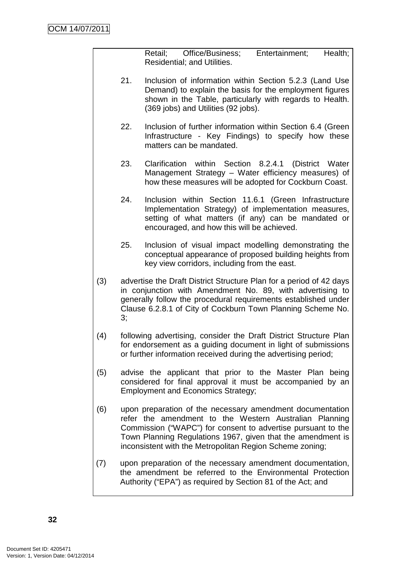Retail; Office/Business; Entertainment; Health; Residential; and Utilities.

- 21. Inclusion of information within Section 5.2.3 (Land Use Demand) to explain the basis for the employment figures shown in the Table, particularly with regards to Health. (369 jobs) and Utilities (92 jobs).
- 22. Inclusion of further information within Section 6.4 (Green Infrastructure - Key Findings) to specify how these matters can be mandated.
- 23. Clarification within Section 8.2.4.1 (District Water Management Strategy – Water efficiency measures) of how these measures will be adopted for Cockburn Coast.
- 24. Inclusion within Section 11.6.1 (Green Infrastructure Implementation Strategy) of implementation measures, setting of what matters (if any) can be mandated or encouraged, and how this will be achieved.
- 25. Inclusion of visual impact modelling demonstrating the conceptual appearance of proposed building heights from key view corridors, including from the east.
- (3) advertise the Draft District Structure Plan for a period of 42 days in conjunction with Amendment No. 89, with advertising to generally follow the procedural requirements established under Clause 6.2.8.1 of City of Cockburn Town Planning Scheme No. 3;
- (4) following advertising, consider the Draft District Structure Plan for endorsement as a guiding document in light of submissions or further information received during the advertising period;
- (5) advise the applicant that prior to the Master Plan being considered for final approval it must be accompanied by an Employment and Economics Strategy;
- (6) upon preparation of the necessary amendment documentation refer the amendment to the Western Australian Planning Commission ("WAPC") for consent to advertise pursuant to the Town Planning Regulations 1967, given that the amendment is inconsistent with the Metropolitan Region Scheme zoning;
- (7) upon preparation of the necessary amendment documentation, the amendment be referred to the Environmental Protection Authority ("EPA") as required by Section 81 of the Act; and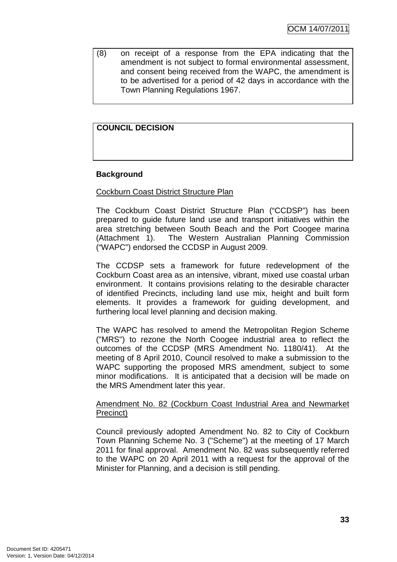(8) on receipt of a response from the EPA indicating that the amendment is not subject to formal environmental assessment, and consent being received from the WAPC, the amendment is to be advertised for a period of 42 days in accordance with the Town Planning Regulations 1967.

# **COUNCIL DECISION**

# **Background**

## Cockburn Coast District Structure Plan

The Cockburn Coast District Structure Plan ("CCDSP") has been prepared to guide future land use and transport initiatives within the area stretching between South Beach and the Port Coogee marina (Attachment 1). The Western Australian Planning Commission ("WAPC") endorsed the CCDSP in August 2009.

The CCDSP sets a framework for future redevelopment of the Cockburn Coast area as an intensive, vibrant, mixed use coastal urban environment. It contains provisions relating to the desirable character of identified Precincts, including land use mix, height and built form elements. It provides a framework for guiding development, and furthering local level planning and decision making.

The WAPC has resolved to amend the Metropolitan Region Scheme ("MRS") to rezone the North Coogee industrial area to reflect the outcomes of the CCDSP (MRS Amendment No. 1180/41). At the meeting of 8 April 2010, Council resolved to make a submission to the WAPC supporting the proposed MRS amendment, subject to some minor modifications. It is anticipated that a decision will be made on the MRS Amendment later this year.

## Amendment No. 82 (Cockburn Coast Industrial Area and Newmarket Precinct)

Council previously adopted Amendment No. 82 to City of Cockburn Town Planning Scheme No. 3 ("Scheme") at the meeting of 17 March 2011 for final approval. Amendment No. 82 was subsequently referred to the WAPC on 20 April 2011 with a request for the approval of the Minister for Planning, and a decision is still pending.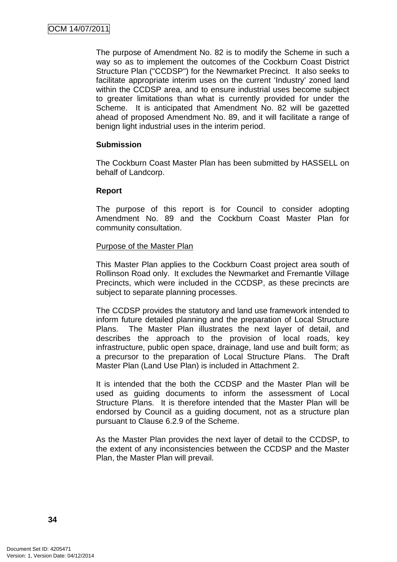The purpose of Amendment No. 82 is to modify the Scheme in such a way so as to implement the outcomes of the Cockburn Coast District Structure Plan ("CCDSP") for the Newmarket Precinct. It also seeks to facilitate appropriate interim uses on the current 'Industry' zoned land within the CCDSP area, and to ensure industrial uses become subject to greater limitations than what is currently provided for under the Scheme. It is anticipated that Amendment No. 82 will be gazetted ahead of proposed Amendment No. 89, and it will facilitate a range of benign light industrial uses in the interim period.

# **Submission**

The Cockburn Coast Master Plan has been submitted by HASSELL on behalf of Landcorp.

# **Report**

The purpose of this report is for Council to consider adopting Amendment No. 89 and the Cockburn Coast Master Plan for community consultation.

## Purpose of the Master Plan

This Master Plan applies to the Cockburn Coast project area south of Rollinson Road only. It excludes the Newmarket and Fremantle Village Precincts, which were included in the CCDSP, as these precincts are subject to separate planning processes.

The CCDSP provides the statutory and land use framework intended to inform future detailed planning and the preparation of Local Structure Plans. The Master Plan illustrates the next layer of detail, and describes the approach to the provision of local roads, key infrastructure, public open space, drainage, land use and built form; as a precursor to the preparation of Local Structure Plans. The Draft Master Plan (Land Use Plan) is included in Attachment 2.

It is intended that the both the CCDSP and the Master Plan will be used as guiding documents to inform the assessment of Local Structure Plans. It is therefore intended that the Master Plan will be endorsed by Council as a guiding document, not as a structure plan pursuant to Clause 6.2.9 of the Scheme.

As the Master Plan provides the next layer of detail to the CCDSP, to the extent of any inconsistencies between the CCDSP and the Master Plan, the Master Plan will prevail.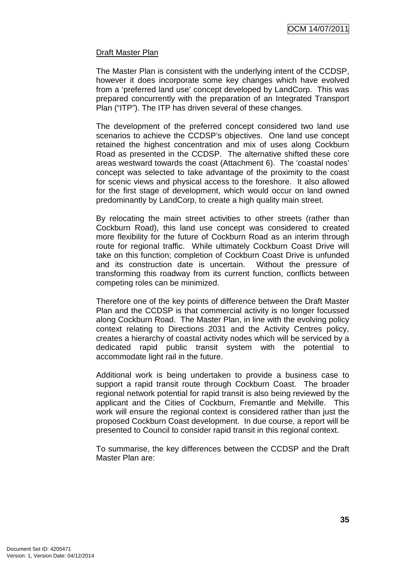# Draft Master Plan

The Master Plan is consistent with the underlying intent of the CCDSP, however it does incorporate some key changes which have evolved from a 'preferred land use' concept developed by LandCorp. This was prepared concurrently with the preparation of an Integrated Transport Plan ("ITP"). The ITP has driven several of these changes.

The development of the preferred concept considered two land use scenarios to achieve the CCDSP's objectives. One land use concept retained the highest concentration and mix of uses along Cockburn Road as presented in the CCDSP. The alternative shifted these core areas westward towards the coast (Attachment 6). The 'coastal nodes' concept was selected to take advantage of the proximity to the coast for scenic views and physical access to the foreshore. It also allowed for the first stage of development, which would occur on land owned predominantly by LandCorp, to create a high quality main street.

By relocating the main street activities to other streets (rather than Cockburn Road), this land use concept was considered to created more flexibility for the future of Cockburn Road as an interim through route for regional traffic. While ultimately Cockburn Coast Drive will take on this function; completion of Cockburn Coast Drive is unfunded and its construction date is uncertain. Without the pressure of transforming this roadway from its current function, conflicts between competing roles can be minimized.

Therefore one of the key points of difference between the Draft Master Plan and the CCDSP is that commercial activity is no longer focussed along Cockburn Road. The Master Plan, in line with the evolving policy context relating to Directions 2031 and the Activity Centres policy, creates a hierarchy of coastal activity nodes which will be serviced by a dedicated rapid public transit system with the potential to accommodate light rail in the future.

Additional work is being undertaken to provide a business case to support a rapid transit route through Cockburn Coast. The broader regional network potential for rapid transit is also being reviewed by the applicant and the Cities of Cockburn, Fremantle and Melville. This work will ensure the regional context is considered rather than just the proposed Cockburn Coast development. In due course, a report will be presented to Council to consider rapid transit in this regional context.

To summarise, the key differences between the CCDSP and the Draft Master Plan are: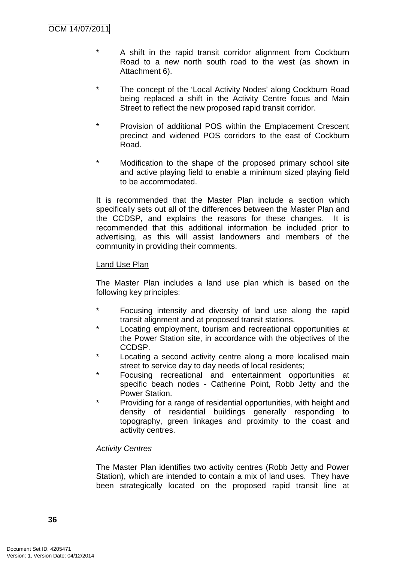- \* A shift in the rapid transit corridor alignment from Cockburn Road to a new north south road to the west (as shown in Attachment 6).
- \* The concept of the 'Local Activity Nodes' along Cockburn Road being replaced a shift in the Activity Centre focus and Main Street to reflect the new proposed rapid transit corridor.
- \* Provision of additional POS within the Emplacement Crescent precinct and widened POS corridors to the east of Cockburn Road.
- \* Modification to the shape of the proposed primary school site and active playing field to enable a minimum sized playing field to be accommodated.

It is recommended that the Master Plan include a section which specifically sets out all of the differences between the Master Plan and the CCDSP, and explains the reasons for these changes. It is recommended that this additional information be included prior to advertising, as this will assist landowners and members of the community in providing their comments.

## Land Use Plan

The Master Plan includes a land use plan which is based on the following key principles:

- Focusing intensity and diversity of land use along the rapid transit alignment and at proposed transit stations.
- \* Locating employment, tourism and recreational opportunities at the Power Station site, in accordance with the objectives of the CCDSP.
- Locating a second activity centre along a more localised main street to service day to day needs of local residents;
- Focusing recreational and entertainment opportunities at specific beach nodes - Catherine Point, Robb Jetty and the Power Station.
- Providing for a range of residential opportunities, with height and density of residential buildings generally responding to topography, green linkages and proximity to the coast and activity centres.

## Activity Centres

The Master Plan identifies two activity centres (Robb Jetty and Power Station), which are intended to contain a mix of land uses. They have been strategically located on the proposed rapid transit line at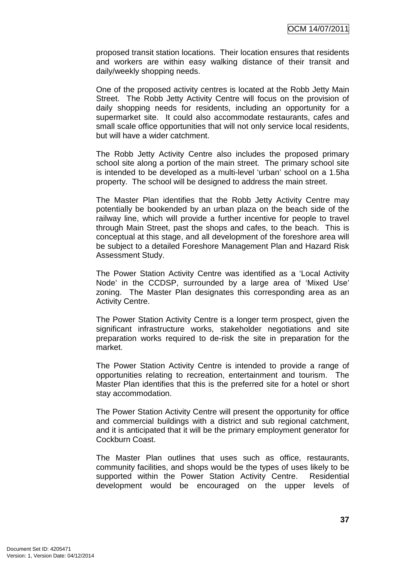proposed transit station locations. Their location ensures that residents and workers are within easy walking distance of their transit and daily/weekly shopping needs.

One of the proposed activity centres is located at the Robb Jetty Main Street. The Robb Jetty Activity Centre will focus on the provision of daily shopping needs for residents, including an opportunity for a supermarket site. It could also accommodate restaurants, cafes and small scale office opportunities that will not only service local residents, but will have a wider catchment.

The Robb Jetty Activity Centre also includes the proposed primary school site along a portion of the main street. The primary school site is intended to be developed as a multi-level 'urban' school on a 1.5ha property. The school will be designed to address the main street.

The Master Plan identifies that the Robb Jetty Activity Centre may potentially be bookended by an urban plaza on the beach side of the railway line, which will provide a further incentive for people to travel through Main Street, past the shops and cafes, to the beach. This is conceptual at this stage, and all development of the foreshore area will be subject to a detailed Foreshore Management Plan and Hazard Risk Assessment Study.

The Power Station Activity Centre was identified as a 'Local Activity Node' in the CCDSP, surrounded by a large area of 'Mixed Use' zoning. The Master Plan designates this corresponding area as an Activity Centre.

The Power Station Activity Centre is a longer term prospect, given the significant infrastructure works, stakeholder negotiations and site preparation works required to de-risk the site in preparation for the market.

The Power Station Activity Centre is intended to provide a range of opportunities relating to recreation, entertainment and tourism. The Master Plan identifies that this is the preferred site for a hotel or short stay accommodation.

The Power Station Activity Centre will present the opportunity for office and commercial buildings with a district and sub regional catchment, and it is anticipated that it will be the primary employment generator for Cockburn Coast.

The Master Plan outlines that uses such as office, restaurants, community facilities, and shops would be the types of uses likely to be supported within the Power Station Activity Centre. Residential development would be encouraged on the upper levels of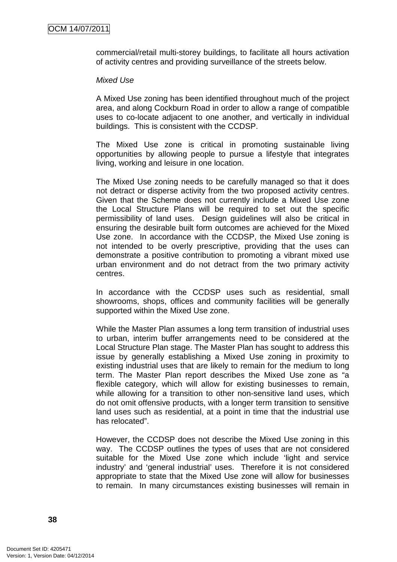commercial/retail multi-storey buildings, to facilitate all hours activation of activity centres and providing surveillance of the streets below.

## Mixed Use

A Mixed Use zoning has been identified throughout much of the project area, and along Cockburn Road in order to allow a range of compatible uses to co-locate adjacent to one another, and vertically in individual buildings. This is consistent with the CCDSP.

The Mixed Use zone is critical in promoting sustainable living opportunities by allowing people to pursue a lifestyle that integrates living, working and leisure in one location.

The Mixed Use zoning needs to be carefully managed so that it does not detract or disperse activity from the two proposed activity centres. Given that the Scheme does not currently include a Mixed Use zone the Local Structure Plans will be required to set out the specific permissibility of land uses. Design guidelines will also be critical in ensuring the desirable built form outcomes are achieved for the Mixed Use zone. In accordance with the CCDSP, the Mixed Use zoning is not intended to be overly prescriptive, providing that the uses can demonstrate a positive contribution to promoting a vibrant mixed use urban environment and do not detract from the two primary activity centres.

In accordance with the CCDSP uses such as residential, small showrooms, shops, offices and community facilities will be generally supported within the Mixed Use zone.

While the Master Plan assumes a long term transition of industrial uses to urban, interim buffer arrangements need to be considered at the Local Structure Plan stage. The Master Plan has sought to address this issue by generally establishing a Mixed Use zoning in proximity to existing industrial uses that are likely to remain for the medium to long term. The Master Plan report describes the Mixed Use zone as "a flexible category, which will allow for existing businesses to remain, while allowing for a transition to other non-sensitive land uses, which do not omit offensive products, with a longer term transition to sensitive land uses such as residential, at a point in time that the industrial use has relocated".

However, the CCDSP does not describe the Mixed Use zoning in this way. The CCDSP outlines the types of uses that are not considered suitable for the Mixed Use zone which include 'light and service industry' and 'general industrial' uses. Therefore it is not considered appropriate to state that the Mixed Use zone will allow for businesses to remain. In many circumstances existing businesses will remain in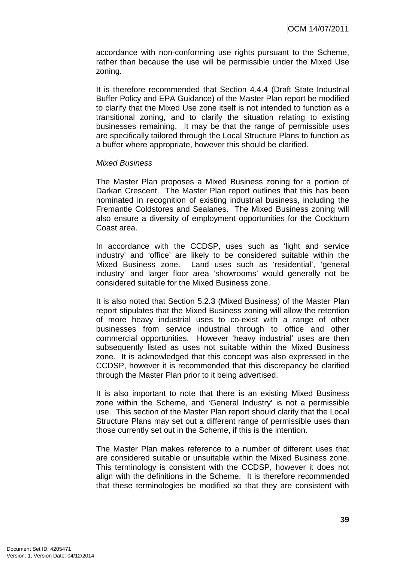accordance with non-conforming use rights pursuant to the Scheme, rather than because the use will be permissible under the Mixed Use zoning.

It is therefore recommended that Section 4.4.4 (Draft State Industrial Buffer Policy and EPA Guidance) of the Master Plan report be modified to clarify that the Mixed Use zone itself is not intended to function as a transitional zoning, and to clarify the situation relating to existing businesses remaining. It may be that the range of permissible uses are specifically tailored through the Local Structure Plans to function as a buffer where appropriate, however this should be clarified.

## Mixed Business

The Master Plan proposes a Mixed Business zoning for a portion of Darkan Crescent. The Master Plan report outlines that this has been nominated in recognition of existing industrial business, including the Fremantle Coldstores and Sealanes. The Mixed Business zoning will also ensure a diversity of employment opportunities for the Cockburn Coast area.

In accordance with the CCDSP, uses such as 'light and service industry' and 'office' are likely to be considered suitable within the Mixed Business zone. Land uses such as 'residential', 'general industry' and larger floor area 'showrooms' would generally not be considered suitable for the Mixed Business zone.

It is also noted that Section 5.2.3 (Mixed Business) of the Master Plan report stipulates that the Mixed Business zoning will allow the retention of more heavy industrial uses to co-exist with a range of other businesses from service industrial through to office and other commercial opportunities. However 'heavy industrial' uses are then subsequently listed as uses not suitable within the Mixed Business zone. It is acknowledged that this concept was also expressed in the CCDSP, however it is recommended that this discrepancy be clarified through the Master Plan prior to it being advertised.

It is also important to note that there is an existing Mixed Business zone within the Scheme, and 'General Industry' is not a permissible use. This section of the Master Plan report should clarify that the Local Structure Plans may set out a different range of permissible uses than those currently set out in the Scheme, if this is the intention.

The Master Plan makes reference to a number of different uses that are considered suitable or unsuitable within the Mixed Business zone. This terminology is consistent with the CCDSP, however it does not align with the definitions in the Scheme. It is therefore recommended that these terminologies be modified so that they are consistent with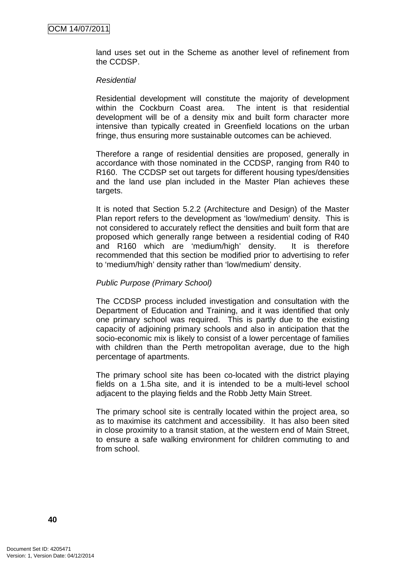land uses set out in the Scheme as another level of refinement from the CCDSP.

#### **Residential**

Residential development will constitute the majority of development within the Cockburn Coast area. The intent is that residential development will be of a density mix and built form character more intensive than typically created in Greenfield locations on the urban fringe, thus ensuring more sustainable outcomes can be achieved.

Therefore a range of residential densities are proposed, generally in accordance with those nominated in the CCDSP, ranging from R40 to R160. The CCDSP set out targets for different housing types/densities and the land use plan included in the Master Plan achieves these targets.

It is noted that Section 5.2.2 (Architecture and Design) of the Master Plan report refers to the development as 'low/medium' density. This is not considered to accurately reflect the densities and built form that are proposed which generally range between a residential coding of R40 and R160 which are 'medium/high' density. It is therefore recommended that this section be modified prior to advertising to refer to 'medium/high' density rather than 'low/medium' density.

## Public Purpose (Primary School)

The CCDSP process included investigation and consultation with the Department of Education and Training, and it was identified that only one primary school was required. This is partly due to the existing capacity of adjoining primary schools and also in anticipation that the socio-economic mix is likely to consist of a lower percentage of families with children than the Perth metropolitan average, due to the high percentage of apartments.

The primary school site has been co-located with the district playing fields on a 1.5ha site, and it is intended to be a multi-level school adjacent to the playing fields and the Robb Jetty Main Street.

The primary school site is centrally located within the project area, so as to maximise its catchment and accessibility. It has also been sited in close proximity to a transit station, at the western end of Main Street, to ensure a safe walking environment for children commuting to and from school.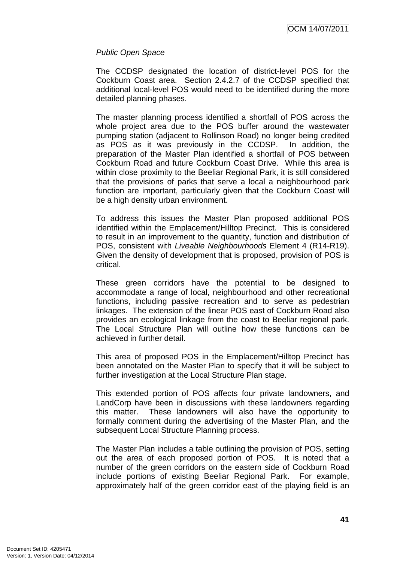## Public Open Space

The CCDSP designated the location of district-level POS for the Cockburn Coast area. Section 2.4.2.7 of the CCDSP specified that additional local-level POS would need to be identified during the more detailed planning phases.

The master planning process identified a shortfall of POS across the whole project area due to the POS buffer around the wastewater pumping station (adjacent to Rollinson Road) no longer being credited as POS as it was previously in the CCDSP. In addition, the preparation of the Master Plan identified a shortfall of POS between Cockburn Road and future Cockburn Coast Drive. While this area is within close proximity to the Beeliar Regional Park, it is still considered that the provisions of parks that serve a local a neighbourhood park function are important, particularly given that the Cockburn Coast will be a high density urban environment.

To address this issues the Master Plan proposed additional POS identified within the Emplacement/Hilltop Precinct. This is considered to result in an improvement to the quantity, function and distribution of POS, consistent with Liveable Neighbourhoods Element 4 (R14-R19). Given the density of development that is proposed, provision of POS is critical.

These green corridors have the potential to be designed to accommodate a range of local, neighbourhood and other recreational functions, including passive recreation and to serve as pedestrian linkages. The extension of the linear POS east of Cockburn Road also provides an ecological linkage from the coast to Beeliar regional park. The Local Structure Plan will outline how these functions can be achieved in further detail.

This area of proposed POS in the Emplacement/Hilltop Precinct has been annotated on the Master Plan to specify that it will be subject to further investigation at the Local Structure Plan stage.

This extended portion of POS affects four private landowners, and LandCorp have been in discussions with these landowners regarding this matter. These landowners will also have the opportunity to formally comment during the advertising of the Master Plan, and the subsequent Local Structure Planning process.

The Master Plan includes a table outlining the provision of POS, setting out the area of each proposed portion of POS. It is noted that a number of the green corridors on the eastern side of Cockburn Road include portions of existing Beeliar Regional Park. For example, approximately half of the green corridor east of the playing field is an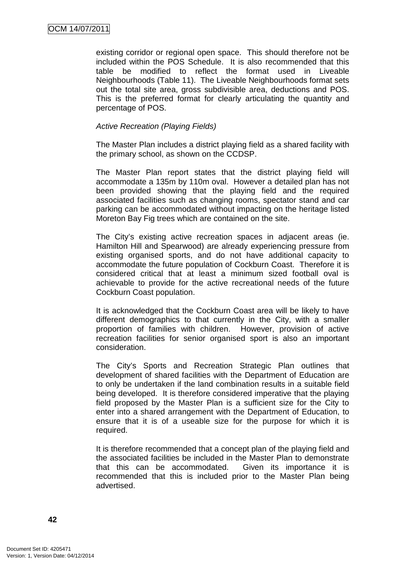existing corridor or regional open space. This should therefore not be included within the POS Schedule. It is also recommended that this table be modified to reflect the format used in Liveable Neighbourhoods (Table 11). The Liveable Neighbourhoods format sets out the total site area, gross subdivisible area, deductions and POS. This is the preferred format for clearly articulating the quantity and percentage of POS.

# Active Recreation (Playing Fields)

The Master Plan includes a district playing field as a shared facility with the primary school, as shown on the CCDSP.

The Master Plan report states that the district playing field will accommodate a 135m by 110m oval. However a detailed plan has not been provided showing that the playing field and the required associated facilities such as changing rooms, spectator stand and car parking can be accommodated without impacting on the heritage listed Moreton Bay Fig trees which are contained on the site.

The City's existing active recreation spaces in adjacent areas (ie. Hamilton Hill and Spearwood) are already experiencing pressure from existing organised sports, and do not have additional capacity to accommodate the future population of Cockburn Coast. Therefore it is considered critical that at least a minimum sized football oval is achievable to provide for the active recreational needs of the future Cockburn Coast population.

It is acknowledged that the Cockburn Coast area will be likely to have different demographics to that currently in the City, with a smaller proportion of families with children. However, provision of active recreation facilities for senior organised sport is also an important consideration.

The City's Sports and Recreation Strategic Plan outlines that development of shared facilities with the Department of Education are to only be undertaken if the land combination results in a suitable field being developed. It is therefore considered imperative that the playing field proposed by the Master Plan is a sufficient size for the City to enter into a shared arrangement with the Department of Education, to ensure that it is of a useable size for the purpose for which it is required.

It is therefore recommended that a concept plan of the playing field and the associated facilities be included in the Master Plan to demonstrate that this can be accommodated. Given its importance it is recommended that this is included prior to the Master Plan being advertised.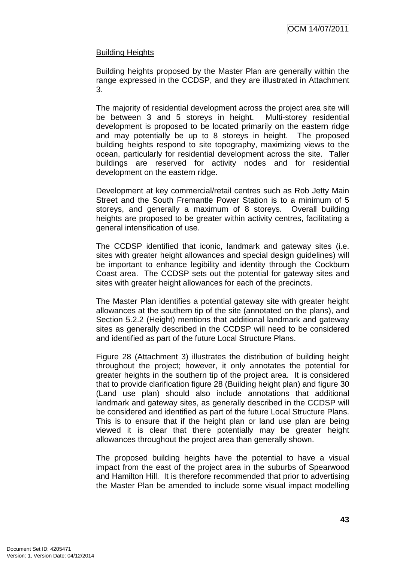# Building Heights

Building heights proposed by the Master Plan are generally within the range expressed in the CCDSP, and they are illustrated in Attachment 3.

The majority of residential development across the project area site will be between 3 and 5 storeys in height. Multi-storey residential development is proposed to be located primarily on the eastern ridge and may potentially be up to 8 storeys in height. The proposed building heights respond to site topography, maximizing views to the ocean, particularly for residential development across the site. Taller buildings are reserved for activity nodes and for residential development on the eastern ridge.

Development at key commercial/retail centres such as Rob Jetty Main Street and the South Fremantle Power Station is to a minimum of 5 storeys, and generally a maximum of 8 storeys. Overall building heights are proposed to be greater within activity centres, facilitating a general intensification of use.

The CCDSP identified that iconic, landmark and gateway sites (i.e. sites with greater height allowances and special design guidelines) will be important to enhance legibility and identity through the Cockburn Coast area. The CCDSP sets out the potential for gateway sites and sites with greater height allowances for each of the precincts.

The Master Plan identifies a potential gateway site with greater height allowances at the southern tip of the site (annotated on the plans), and Section 5.2.2 (Height) mentions that additional landmark and gateway sites as generally described in the CCDSP will need to be considered and identified as part of the future Local Structure Plans.

Figure 28 (Attachment 3) illustrates the distribution of building height throughout the project; however, it only annotates the potential for greater heights in the southern tip of the project area. It is considered that to provide clarification figure 28 (Building height plan) and figure 30 (Land use plan) should also include annotations that additional landmark and gateway sites, as generally described in the CCDSP will be considered and identified as part of the future Local Structure Plans. This is to ensure that if the height plan or land use plan are being viewed it is clear that there potentially may be greater height allowances throughout the project area than generally shown.

The proposed building heights have the potential to have a visual impact from the east of the project area in the suburbs of Spearwood and Hamilton Hill. It is therefore recommended that prior to advertising the Master Plan be amended to include some visual impact modelling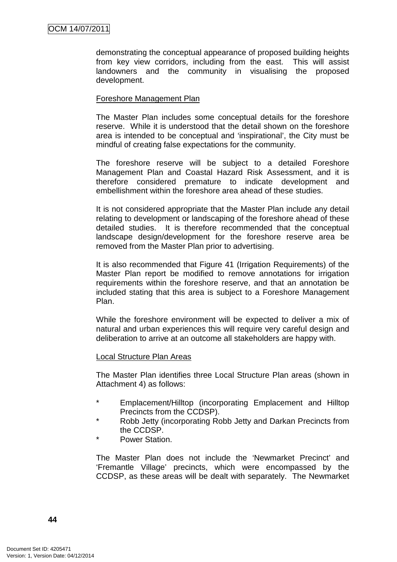demonstrating the conceptual appearance of proposed building heights from key view corridors, including from the east. This will assist landowners and the community in visualising the proposed development.

## Foreshore Management Plan

The Master Plan includes some conceptual details for the foreshore reserve. While it is understood that the detail shown on the foreshore area is intended to be conceptual and 'inspirational', the City must be mindful of creating false expectations for the community.

The foreshore reserve will be subject to a detailed Foreshore Management Plan and Coastal Hazard Risk Assessment, and it is therefore considered premature to indicate development and embellishment within the foreshore area ahead of these studies.

It is not considered appropriate that the Master Plan include any detail relating to development or landscaping of the foreshore ahead of these detailed studies. It is therefore recommended that the conceptual landscape design/development for the foreshore reserve area be removed from the Master Plan prior to advertising.

It is also recommended that Figure 41 (Irrigation Requirements) of the Master Plan report be modified to remove annotations for irrigation requirements within the foreshore reserve, and that an annotation be included stating that this area is subject to a Foreshore Management Plan.

While the foreshore environment will be expected to deliver a mix of natural and urban experiences this will require very careful design and deliberation to arrive at an outcome all stakeholders are happy with.

## Local Structure Plan Areas

The Master Plan identifies three Local Structure Plan areas (shown in Attachment 4) as follows:

- Emplacement/Hilltop (incorporating Emplacement and Hilltop Precincts from the CCDSP).
- \* Robb Jetty (incorporating Robb Jetty and Darkan Precincts from the CCDSP.
- Power Station.

The Master Plan does not include the 'Newmarket Precinct' and 'Fremantle Village' precincts, which were encompassed by the CCDSP, as these areas will be dealt with separately. The Newmarket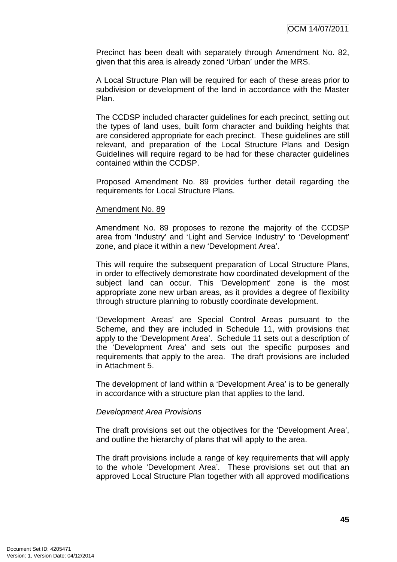Precinct has been dealt with separately through Amendment No. 82, given that this area is already zoned 'Urban' under the MRS.

A Local Structure Plan will be required for each of these areas prior to subdivision or development of the land in accordance with the Master Plan.

The CCDSP included character guidelines for each precinct, setting out the types of land uses, built form character and building heights that are considered appropriate for each precinct. These guidelines are still relevant, and preparation of the Local Structure Plans and Design Guidelines will require regard to be had for these character guidelines contained within the CCDSP.

Proposed Amendment No. 89 provides further detail regarding the requirements for Local Structure Plans.

#### Amendment No. 89

Amendment No. 89 proposes to rezone the majority of the CCDSP area from 'Industry' and 'Light and Service Industry' to 'Development' zone, and place it within a new 'Development Area'.

This will require the subsequent preparation of Local Structure Plans, in order to effectively demonstrate how coordinated development of the subject land can occur. This 'Development' zone is the most appropriate zone new urban areas, as it provides a degree of flexibility through structure planning to robustly coordinate development.

'Development Areas' are Special Control Areas pursuant to the Scheme, and they are included in Schedule 11, with provisions that apply to the 'Development Area'. Schedule 11 sets out a description of the 'Development Area' and sets out the specific purposes and requirements that apply to the area. The draft provisions are included in Attachment 5.

The development of land within a 'Development Area' is to be generally in accordance with a structure plan that applies to the land.

#### Development Area Provisions

The draft provisions set out the objectives for the 'Development Area', and outline the hierarchy of plans that will apply to the area.

The draft provisions include a range of key requirements that will apply to the whole 'Development Area'. These provisions set out that an approved Local Structure Plan together with all approved modifications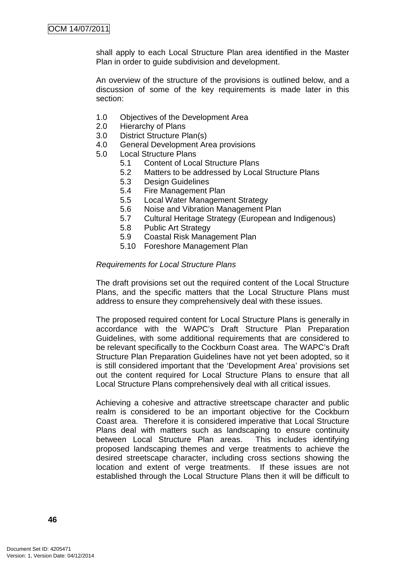shall apply to each Local Structure Plan area identified in the Master Plan in order to guide subdivision and development.

An overview of the structure of the provisions is outlined below, and a discussion of some of the key requirements is made later in this section:

- 1.0 Objectives of the Development Area
- 2.0 Hierarchy of Plans
- 3.0 District Structure Plan(s)
- 4.0 General Development Area provisions
- 5.0 Local Structure Plans
	- 5.1 Content of Local Structure Plans
	- 5.2 Matters to be addressed by Local Structure Plans
	- 5.3 Design Guidelines
	- 5.4 Fire Management Plan
	- 5.5 Local Water Management Strategy
	- 5.6 Noise and Vibration Management Plan
	- 5.7 Cultural Heritage Strategy (European and Indigenous)
	- 5.8 Public Art Strategy
	- 5.9 Coastal Risk Management Plan
	- 5.10 Foreshore Management Plan

#### Requirements for Local Structure Plans

The draft provisions set out the required content of the Local Structure Plans, and the specific matters that the Local Structure Plans must address to ensure they comprehensively deal with these issues.

The proposed required content for Local Structure Plans is generally in accordance with the WAPC's Draft Structure Plan Preparation Guidelines, with some additional requirements that are considered to be relevant specifically to the Cockburn Coast area. The WAPC's Draft Structure Plan Preparation Guidelines have not yet been adopted, so it is still considered important that the 'Development Area' provisions set out the content required for Local Structure Plans to ensure that all Local Structure Plans comprehensively deal with all critical issues.

Achieving a cohesive and attractive streetscape character and public realm is considered to be an important objective for the Cockburn Coast area. Therefore it is considered imperative that Local Structure Plans deal with matters such as landscaping to ensure continuity between Local Structure Plan areas. This includes identifying proposed landscaping themes and verge treatments to achieve the desired streetscape character, including cross sections showing the location and extent of verge treatments. If these issues are not established through the Local Structure Plans then it will be difficult to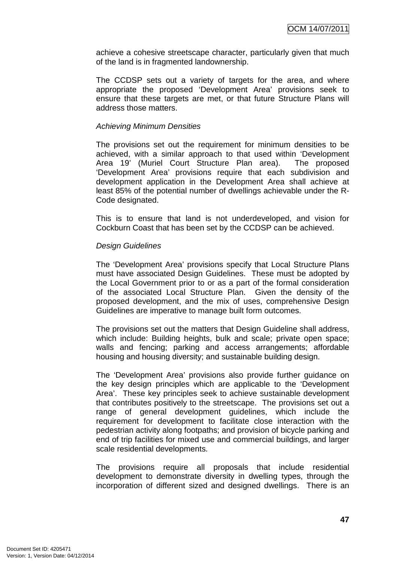achieve a cohesive streetscape character, particularly given that much of the land is in fragmented landownership.

The CCDSP sets out a variety of targets for the area, and where appropriate the proposed 'Development Area' provisions seek to ensure that these targets are met, or that future Structure Plans will address those matters.

## Achieving Minimum Densities

The provisions set out the requirement for minimum densities to be achieved, with a similar approach to that used within 'Development Area 19' (Muriel Court Structure Plan area). The proposed 'Development Area' provisions require that each subdivision and development application in the Development Area shall achieve at least 85% of the potential number of dwellings achievable under the R-Code designated.

This is to ensure that land is not underdeveloped, and vision for Cockburn Coast that has been set by the CCDSP can be achieved.

## Design Guidelines

The 'Development Area' provisions specify that Local Structure Plans must have associated Design Guidelines. These must be adopted by the Local Government prior to or as a part of the formal consideration of the associated Local Structure Plan. Given the density of the proposed development, and the mix of uses, comprehensive Design Guidelines are imperative to manage built form outcomes.

The provisions set out the matters that Design Guideline shall address, which include: Building heights, bulk and scale; private open space; walls and fencing; parking and access arrangements; affordable housing and housing diversity; and sustainable building design.

The 'Development Area' provisions also provide further guidance on the key design principles which are applicable to the 'Development Area'. These key principles seek to achieve sustainable development that contributes positively to the streetscape. The provisions set out a range of general development guidelines, which include the requirement for development to facilitate close interaction with the pedestrian activity along footpaths; and provision of bicycle parking and end of trip facilities for mixed use and commercial buildings, and larger scale residential developments.

The provisions require all proposals that include residential development to demonstrate diversity in dwelling types, through the incorporation of different sized and designed dwellings. There is an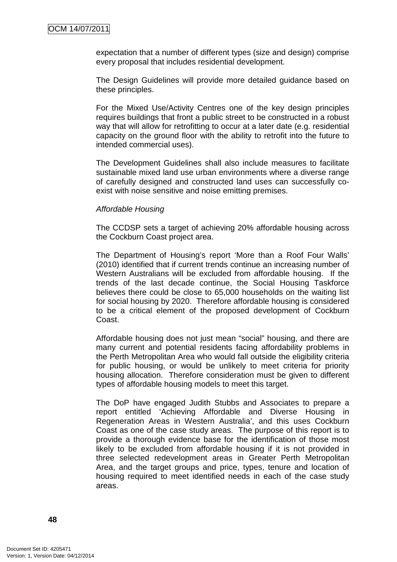expectation that a number of different types (size and design) comprise every proposal that includes residential development.

The Design Guidelines will provide more detailed guidance based on these principles.

For the Mixed Use/Activity Centres one of the key design principles requires buildings that front a public street to be constructed in a robust way that will allow for retrofitting to occur at a later date (e.g. residential capacity on the ground floor with the ability to retrofit into the future to intended commercial uses).

The Development Guidelines shall also include measures to facilitate sustainable mixed land use urban environments where a diverse range of carefully designed and constructed land uses can successfully coexist with noise sensitive and noise emitting premises.

## Affordable Housing

The CCDSP sets a target of achieving 20% affordable housing across the Cockburn Coast project area.

The Department of Housing's report 'More than a Roof Four Walls' (2010) identified that if current trends continue an increasing number of Western Australians will be excluded from affordable housing. If the trends of the last decade continue, the Social Housing Taskforce believes there could be close to 65,000 households on the waiting list for social housing by 2020. Therefore affordable housing is considered to be a critical element of the proposed development of Cockburn Coast.

Affordable housing does not just mean "social" housing, and there are many current and potential residents facing affordability problems in the Perth Metropolitan Area who would fall outside the eligibility criteria for public housing, or would be unlikely to meet criteria for priority housing allocation. Therefore consideration must be given to different types of affordable housing models to meet this target.

The DoP have engaged Judith Stubbs and Associates to prepare a report entitled 'Achieving Affordable and Diverse Housing in Regeneration Areas in Western Australia', and this uses Cockburn Coast as one of the case study areas. The purpose of this report is to provide a thorough evidence base for the identification of those most likely to be excluded from affordable housing if it is not provided in three selected redevelopment areas in Greater Perth Metropolitan Area, and the target groups and price, types, tenure and location of housing required to meet identified needs in each of the case study areas.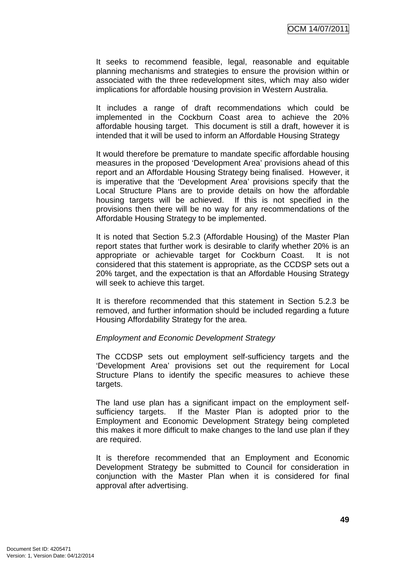It seeks to recommend feasible, legal, reasonable and equitable planning mechanisms and strategies to ensure the provision within or associated with the three redevelopment sites, which may also wider implications for affordable housing provision in Western Australia.

It includes a range of draft recommendations which could be implemented in the Cockburn Coast area to achieve the 20% affordable housing target. This document is still a draft, however it is intended that it will be used to inform an Affordable Housing Strategy

It would therefore be premature to mandate specific affordable housing measures in the proposed 'Development Area' provisions ahead of this report and an Affordable Housing Strategy being finalised. However, it is imperative that the 'Development Area' provisions specify that the Local Structure Plans are to provide details on how the affordable housing targets will be achieved. If this is not specified in the provisions then there will be no way for any recommendations of the Affordable Housing Strategy to be implemented.

It is noted that Section 5.2.3 (Affordable Housing) of the Master Plan report states that further work is desirable to clarify whether 20% is an appropriate or achievable target for Cockburn Coast. It is not considered that this statement is appropriate, as the CCDSP sets out a 20% target, and the expectation is that an Affordable Housing Strategy will seek to achieve this target.

It is therefore recommended that this statement in Section 5.2.3 be removed, and further information should be included regarding a future Housing Affordability Strategy for the area.

## Employment and Economic Development Strategy

The CCDSP sets out employment self-sufficiency targets and the 'Development Area' provisions set out the requirement for Local Structure Plans to identify the specific measures to achieve these targets.

The land use plan has a significant impact on the employment selfsufficiency targets. If the Master Plan is adopted prior to the Employment and Economic Development Strategy being completed this makes it more difficult to make changes to the land use plan if they are required.

It is therefore recommended that an Employment and Economic Development Strategy be submitted to Council for consideration in conjunction with the Master Plan when it is considered for final approval after advertising.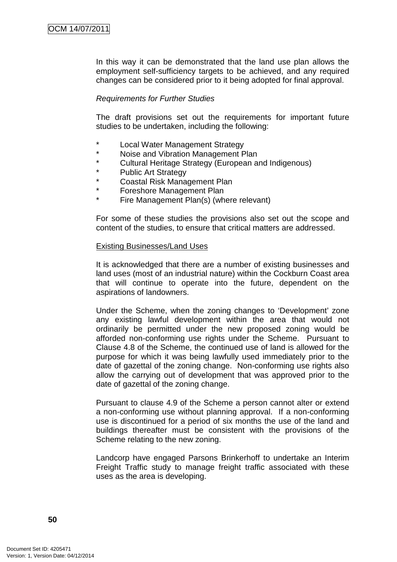In this way it can be demonstrated that the land use plan allows the employment self-sufficiency targets to be achieved, and any required changes can be considered prior to it being adopted for final approval.

## Requirements for Further Studies

The draft provisions set out the requirements for important future studies to be undertaken, including the following:

- \* Local Water Management Strategy
- Noise and Vibration Management Plan
- \* Cultural Heritage Strategy (European and Indigenous)
- Public Art Strategy
- **Coastal Risk Management Plan**
- \* Foreshore Management Plan
- Fire Management Plan(s) (where relevant)

For some of these studies the provisions also set out the scope and content of the studies, to ensure that critical matters are addressed.

#### Existing Businesses/Land Uses

It is acknowledged that there are a number of existing businesses and land uses (most of an industrial nature) within the Cockburn Coast area that will continue to operate into the future, dependent on the aspirations of landowners.

Under the Scheme, when the zoning changes to 'Development' zone any existing lawful development within the area that would not ordinarily be permitted under the new proposed zoning would be afforded non-conforming use rights under the Scheme. Pursuant to Clause 4.8 of the Scheme, the continued use of land is allowed for the purpose for which it was being lawfully used immediately prior to the date of gazettal of the zoning change. Non-conforming use rights also allow the carrying out of development that was approved prior to the date of gazettal of the zoning change.

Pursuant to clause 4.9 of the Scheme a person cannot alter or extend a non-conforming use without planning approval. If a non-conforming use is discontinued for a period of six months the use of the land and buildings thereafter must be consistent with the provisions of the Scheme relating to the new zoning.

Landcorp have engaged Parsons Brinkerhoff to undertake an Interim Freight Traffic study to manage freight traffic associated with these uses as the area is developing.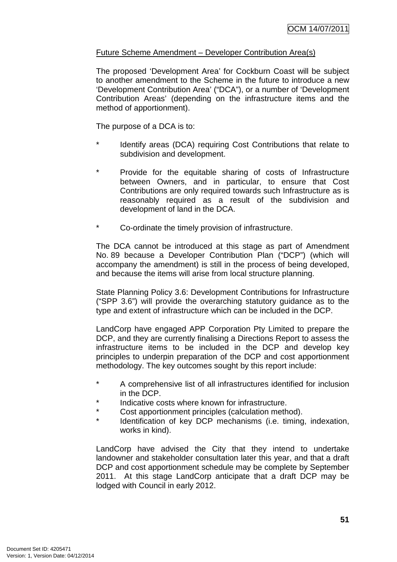# Future Scheme Amendment – Developer Contribution Area(s)

The proposed 'Development Area' for Cockburn Coast will be subject to another amendment to the Scheme in the future to introduce a new 'Development Contribution Area' ("DCA"), or a number of 'Development Contribution Areas' (depending on the infrastructure items and the method of apportionment).

The purpose of a DCA is to:

- Identify areas (DCA) requiring Cost Contributions that relate to subdivision and development.
- \* Provide for the equitable sharing of costs of Infrastructure between Owners, and in particular, to ensure that Cost Contributions are only required towards such Infrastructure as is reasonably required as a result of the subdivision and development of land in the DCA.
- Co-ordinate the timely provision of infrastructure.

The DCA cannot be introduced at this stage as part of Amendment No. 89 because a Developer Contribution Plan ("DCP") (which will accompany the amendment) is still in the process of being developed, and because the items will arise from local structure planning.

State Planning Policy 3.6: Development Contributions for Infrastructure ("SPP 3.6") will provide the overarching statutory guidance as to the type and extent of infrastructure which can be included in the DCP.

LandCorp have engaged APP Corporation Pty Limited to prepare the DCP, and they are currently finalising a Directions Report to assess the infrastructure items to be included in the DCP and develop key principles to underpin preparation of the DCP and cost apportionment methodology. The key outcomes sought by this report include:

- \* A comprehensive list of all infrastructures identified for inclusion in the DCP.
- Indicative costs where known for infrastructure.
- Cost apportionment principles (calculation method).
- Identification of key DCP mechanisms (i.e. timing, indexation, works in kind).

LandCorp have advised the City that they intend to undertake landowner and stakeholder consultation later this year, and that a draft DCP and cost apportionment schedule may be complete by September 2011. At this stage LandCorp anticipate that a draft DCP may be lodged with Council in early 2012.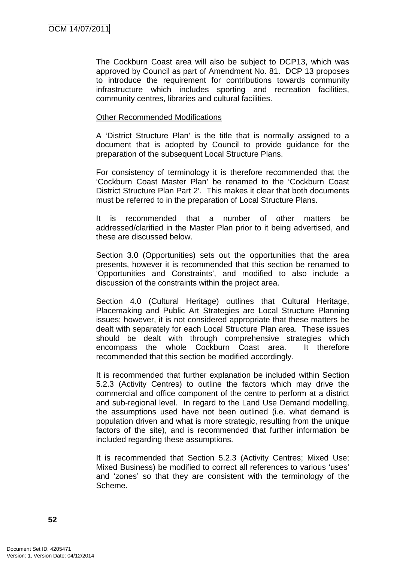The Cockburn Coast area will also be subject to DCP13, which was approved by Council as part of Amendment No. 81. DCP 13 proposes to introduce the requirement for contributions towards community infrastructure which includes sporting and recreation facilities, community centres, libraries and cultural facilities.

## Other Recommended Modifications

A 'District Structure Plan' is the title that is normally assigned to a document that is adopted by Council to provide guidance for the preparation of the subsequent Local Structure Plans.

For consistency of terminology it is therefore recommended that the 'Cockburn Coast Master Plan' be renamed to the 'Cockburn Coast District Structure Plan Part 2'. This makes it clear that both documents must be referred to in the preparation of Local Structure Plans.

It is recommended that a number of other matters be addressed/clarified in the Master Plan prior to it being advertised, and these are discussed below.

Section 3.0 (Opportunities) sets out the opportunities that the area presents, however it is recommended that this section be renamed to 'Opportunities and Constraints', and modified to also include a discussion of the constraints within the project area.

Section 4.0 (Cultural Heritage) outlines that Cultural Heritage, Placemaking and Public Art Strategies are Local Structure Planning issues; however, it is not considered appropriate that these matters be dealt with separately for each Local Structure Plan area. These issues should be dealt with through comprehensive strategies which encompass the whole Cockburn Coast area. It therefore recommended that this section be modified accordingly.

It is recommended that further explanation be included within Section 5.2.3 (Activity Centres) to outline the factors which may drive the commercial and office component of the centre to perform at a district and sub-regional level. In regard to the Land Use Demand modelling, the assumptions used have not been outlined (i.e. what demand is population driven and what is more strategic, resulting from the unique factors of the site), and is recommended that further information be included regarding these assumptions.

It is recommended that Section 5.2.3 (Activity Centres; Mixed Use; Mixed Business) be modified to correct all references to various 'uses' and 'zones' so that they are consistent with the terminology of the Scheme.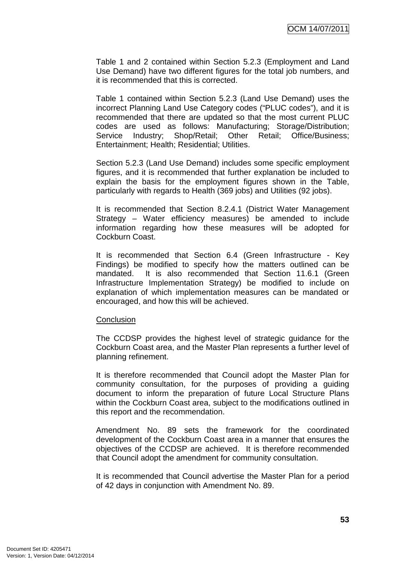Table 1 and 2 contained within Section 5.2.3 (Employment and Land Use Demand) have two different figures for the total job numbers, and it is recommended that this is corrected.

Table 1 contained within Section 5.2.3 (Land Use Demand) uses the incorrect Planning Land Use Category codes ("PLUC codes"), and it is recommended that there are updated so that the most current PLUC codes are used as follows: Manufacturing; Storage/Distribution; Service Industry: Shop/Retail: Other Retail: Office/Business: Entertainment; Health; Residential; Utilities.

Section 5.2.3 (Land Use Demand) includes some specific employment figures, and it is recommended that further explanation be included to explain the basis for the employment figures shown in the Table, particularly with regards to Health (369 jobs) and Utilities (92 jobs).

It is recommended that Section 8.2.4.1 (District Water Management Strategy – Water efficiency measures) be amended to include information regarding how these measures will be adopted for Cockburn Coast.

It is recommended that Section 6.4 (Green Infrastructure - Key Findings) be modified to specify how the matters outlined can be mandated. It is also recommended that Section 11.6.1 (Green Infrastructure Implementation Strategy) be modified to include on explanation of which implementation measures can be mandated or encouraged, and how this will be achieved.

#### **Conclusion**

The CCDSP provides the highest level of strategic guidance for the Cockburn Coast area, and the Master Plan represents a further level of planning refinement.

It is therefore recommended that Council adopt the Master Plan for community consultation, for the purposes of providing a guiding document to inform the preparation of future Local Structure Plans within the Cockburn Coast area, subject to the modifications outlined in this report and the recommendation.

Amendment No. 89 sets the framework for the coordinated development of the Cockburn Coast area in a manner that ensures the objectives of the CCDSP are achieved. It is therefore recommended that Council adopt the amendment for community consultation.

It is recommended that Council advertise the Master Plan for a period of 42 days in conjunction with Amendment No. 89.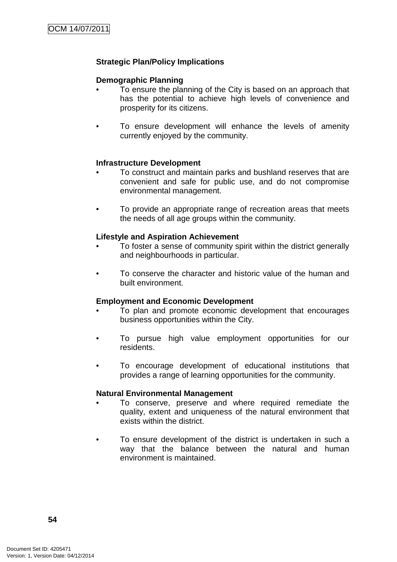# **Strategic Plan/Policy Implications**

# **Demographic Planning**

- To ensure the planning of the City is based on an approach that has the potential to achieve high levels of convenience and prosperity for its citizens.
- To ensure development will enhance the levels of amenity currently enjoyed by the community.

## **Infrastructure Development**

- To construct and maintain parks and bushland reserves that are convenient and safe for public use, and do not compromise environmental management.
- To provide an appropriate range of recreation areas that meets the needs of all age groups within the community.

## **Lifestyle and Aspiration Achievement**

- To foster a sense of community spirit within the district generally and neighbourhoods in particular.
- To conserve the character and historic value of the human and built environment.

## **Employment and Economic Development**

- To plan and promote economic development that encourages business opportunities within the City.
- To pursue high value employment opportunities for our residents.
- To encourage development of educational institutions that provides a range of learning opportunities for the community.

#### **Natural Environmental Management**

- To conserve, preserve and where required remediate the quality, extent and uniqueness of the natural environment that exists within the district.
- To ensure development of the district is undertaken in such a way that the balance between the natural and human environment is maintained.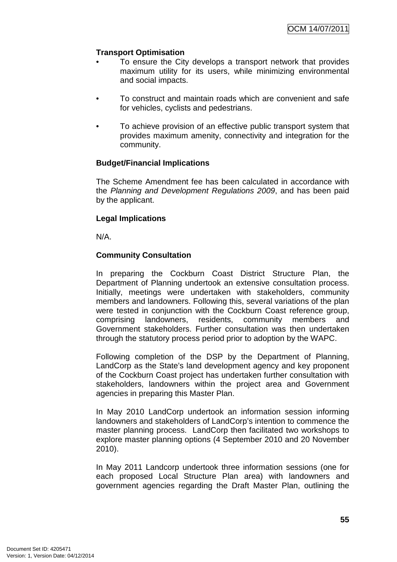# **Transport Optimisation**

- To ensure the City develops a transport network that provides maximum utility for its users, while minimizing environmental and social impacts.
- To construct and maintain roads which are convenient and safe for vehicles, cyclists and pedestrians.
- To achieve provision of an effective public transport system that provides maximum amenity, connectivity and integration for the community.

# **Budget/Financial Implications**

The Scheme Amendment fee has been calculated in accordance with the Planning and Development Regulations 2009, and has been paid by the applicant.

# **Legal Implications**

N/A.

# **Community Consultation**

In preparing the Cockburn Coast District Structure Plan, the Department of Planning undertook an extensive consultation process. Initially, meetings were undertaken with stakeholders, community members and landowners. Following this, several variations of the plan were tested in conjunction with the Cockburn Coast reference group, comprising landowners, residents, community members and Government stakeholders. Further consultation was then undertaken through the statutory process period prior to adoption by the WAPC.

Following completion of the DSP by the Department of Planning, LandCorp as the State's land development agency and key proponent of the Cockburn Coast project has undertaken further consultation with stakeholders, landowners within the project area and Government agencies in preparing this Master Plan.

In May 2010 LandCorp undertook an information session informing landowners and stakeholders of LandCorp's intention to commence the master planning process. LandCorp then facilitated two workshops to explore master planning options (4 September 2010 and 20 November 2010).

In May 2011 Landcorp undertook three information sessions (one for each proposed Local Structure Plan area) with landowners and government agencies regarding the Draft Master Plan, outlining the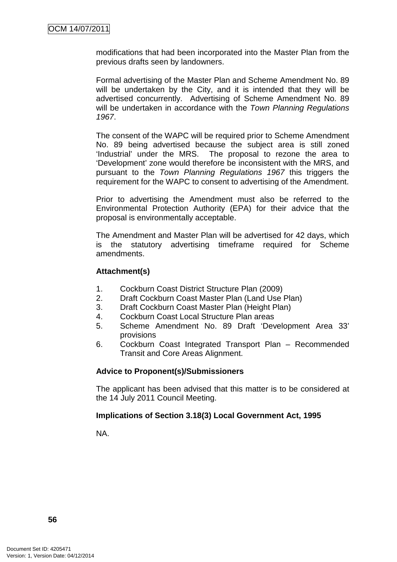modifications that had been incorporated into the Master Plan from the previous drafts seen by landowners.

Formal advertising of the Master Plan and Scheme Amendment No. 89 will be undertaken by the City, and it is intended that they will be advertised concurrently. Advertising of Scheme Amendment No. 89 will be undertaken in accordance with the Town Planning Regulations 1967.

The consent of the WAPC will be required prior to Scheme Amendment No. 89 being advertised because the subject area is still zoned 'Industrial' under the MRS. The proposal to rezone the area to 'Development' zone would therefore be inconsistent with the MRS, and pursuant to the Town Planning Regulations 1967 this triggers the requirement for the WAPC to consent to advertising of the Amendment.

Prior to advertising the Amendment must also be referred to the Environmental Protection Authority (EPA) for their advice that the proposal is environmentally acceptable.

The Amendment and Master Plan will be advertised for 42 days, which is the statutory advertising timeframe required for Scheme amendments.

# **Attachment(s)**

- 1. Cockburn Coast District Structure Plan (2009)
- 2. Draft Cockburn Coast Master Plan (Land Use Plan)
- 3. Draft Cockburn Coast Master Plan (Height Plan)
- 4. Cockburn Coast Local Structure Plan areas
- 5. Scheme Amendment No. 89 Draft 'Development Area 33' provisions
- 6. Cockburn Coast Integrated Transport Plan Recommended Transit and Core Areas Alignment.

# **Advice to Proponent(s)/Submissioners**

The applicant has been advised that this matter is to be considered at the 14 July 2011 Council Meeting.

## **Implications of Section 3.18(3) Local Government Act, 1995**

NA.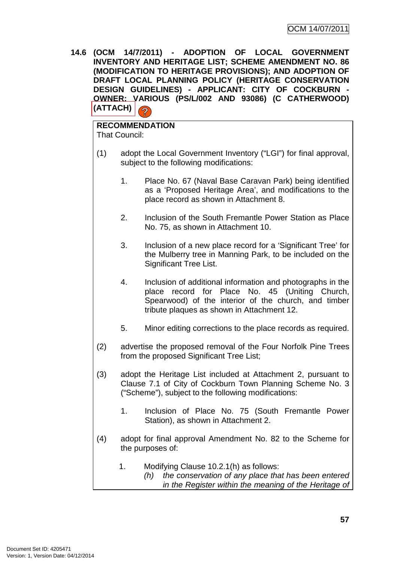**14.6 (OCM 14/7/2011) - ADOPTION OF LOCAL GOVERNMENT INVENTORY AND HERITAGE LIST; SCHEME AMENDMENT NO. 86 (MODIFICATION TO HERITAGE PROVISIONS); AND ADOPTION OF DRAFT LOCAL PLANNING POLICY (HERITAGE CONSERVATION DESIGN GUIDELINES) - APPLICANT: CITY OF COCKBURN - OWNER: VARIOUS (PS/L/002 AND 93086) (C CATHERWOOD) (ATTACH)**   $\overline{\mathbf{z}}$ 

# **RECOMMENDATION**

That Council:

- (1) adopt the Local Government Inventory ("LGI") for final approval, subject to the following modifications:
	- 1. Place No. 67 (Naval Base Caravan Park) being identified as a 'Proposed Heritage Area', and modifications to the place record as shown in Attachment 8.
	- 2. Inclusion of the South Fremantle Power Station as Place No. 75, as shown in Attachment 10.
	- 3. Inclusion of a new place record for a 'Significant Tree' for the Mulberry tree in Manning Park, to be included on the Significant Tree List.
	- 4. Inclusion of additional information and photographs in the place record for Place No. 45 (Uniting Church, Spearwood) of the interior of the church, and timber tribute plaques as shown in Attachment 12.
	- 5. Minor editing corrections to the place records as required.
- (2) advertise the proposed removal of the Four Norfolk Pine Trees from the proposed Significant Tree List;
- (3) adopt the Heritage List included at Attachment 2, pursuant to Clause 7.1 of City of Cockburn Town Planning Scheme No. 3 ("Scheme"), subject to the following modifications:
	- 1. Inclusion of Place No. 75 (South Fremantle Power Station), as shown in Attachment 2.
- (4) adopt for final approval Amendment No. 82 to the Scheme for the purposes of:
	- 1. Modifying Clause 10.2.1(h) as follows: (h) the conservation of any place that has been entered in the Register within the meaning of the Heritage of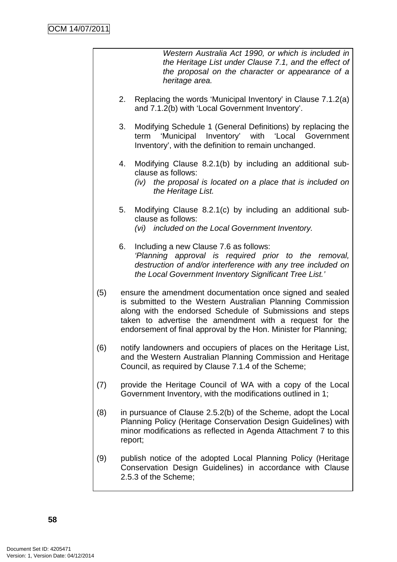Western Australia Act 1990, or which is included in the Heritage List under Clause 7.1, and the effect of the proposal on the character or appearance of a heritage area.

- 2. Replacing the words 'Municipal Inventory' in Clause 7.1.2(a) and 7.1.2(b) with 'Local Government Inventory'.
- 3. Modifying Schedule 1 (General Definitions) by replacing the term 'Municipal Inventory' with 'Local Government Inventory', with the definition to remain unchanged.
- 4. Modifying Clause 8.2.1(b) by including an additional subclause as follows:
	- (iv) the proposal is located on a place that is included on the Heritage List.
- 5. Modifying Clause 8.2.1(c) by including an additional subclause as follows: (vi) included on the Local Government Inventory.
- 6. Including a new Clause 7.6 as follows: 'Planning approval is required prior to the removal, destruction of and/or interference with any tree included on the Local Government Inventory Significant Tree List.'
- (5) ensure the amendment documentation once signed and sealed is submitted to the Western Australian Planning Commission along with the endorsed Schedule of Submissions and steps taken to advertise the amendment with a request for the endorsement of final approval by the Hon. Minister for Planning;
- (6) notify landowners and occupiers of places on the Heritage List, and the Western Australian Planning Commission and Heritage Council, as required by Clause 7.1.4 of the Scheme;
- (7) provide the Heritage Council of WA with a copy of the Local Government Inventory, with the modifications outlined in 1;
- (8) in pursuance of Clause 2.5.2(b) of the Scheme, adopt the Local Planning Policy (Heritage Conservation Design Guidelines) with minor modifications as reflected in Agenda Attachment 7 to this report;
- (9) publish notice of the adopted Local Planning Policy (Heritage Conservation Design Guidelines) in accordance with Clause 2.5.3 of the Scheme;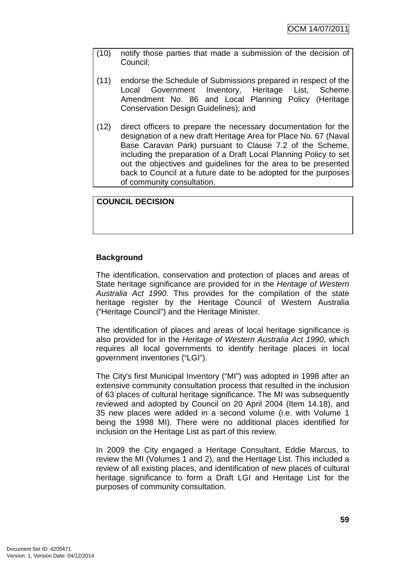- (10) notify those parties that made a submission of the decision of Council;
- (11) endorse the Schedule of Submissions prepared in respect of the Local Government Inventory, Heritage List, Scheme Amendment No. 86 and Local Planning Policy (Heritage Conservation Design Guidelines); and
- (12) direct officers to prepare the necessary documentation for the designation of a new draft Heritage Area for Place No. 67 (Naval Base Caravan Park) pursuant to Clause 7.2 of the Scheme, including the preparation of a Draft Local Planning Policy to set out the objectives and guidelines for the area to be presented back to Council at a future date to be adopted for the purposes of community consultation.

**COUNCIL DECISION**

# **Background**

The identification, conservation and protection of places and areas of State heritage significance are provided for in the Heritage of Western Australia Act 1990. This provides for the compilation of the state heritage register by the Heritage Council of Western Australia ("Heritage Council") and the Heritage Minister.

The identification of places and areas of local heritage significance is also provided for in the Heritage of Western Australia Act 1990, which requires all local governments to identify heritage places in local government inventories ("LGI").

The City's first Municipal Inventory ("MI") was adopted in 1998 after an extensive community consultation process that resulted in the inclusion of 63 places of cultural heritage significance. The MI was subsequently reviewed and adopted by Council on 20 April 2004 (Item 14.18), and 35 new places were added in a second volume (i.e. with Volume 1 being the 1998 MI). There were no additional places identified for inclusion on the Heritage List as part of this review.

In 2009 the City engaged a Heritage Consultant, Eddie Marcus, to review the MI (Volumes 1 and 2), and the Heritage List. This included a review of all existing places, and identification of new places of cultural heritage significance to form a Draft LGI and Heritage List for the purposes of community consultation.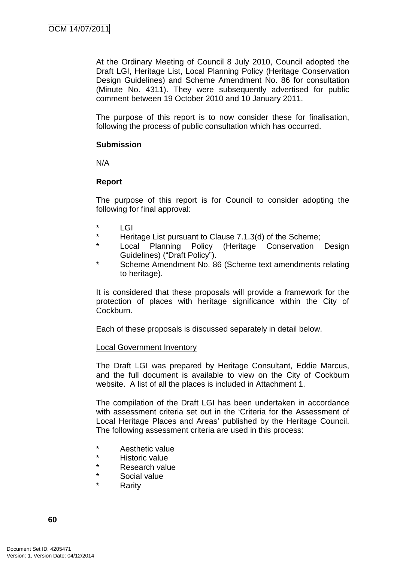At the Ordinary Meeting of Council 8 July 2010, Council adopted the Draft LGI, Heritage List, Local Planning Policy (Heritage Conservation Design Guidelines) and Scheme Amendment No. 86 for consultation (Minute No. 4311). They were subsequently advertised for public comment between 19 October 2010 and 10 January 2011.

The purpose of this report is to now consider these for finalisation, following the process of public consultation which has occurred.

## **Submission**

N/A

# **Report**

The purpose of this report is for Council to consider adopting the following for final approval:

- $*$  LGI
- \* Heritage List pursuant to Clause 7.1.3(d) of the Scheme;
- \* Local Planning Policy (Heritage Conservation Design Guidelines) ("Draft Policy").
- Scheme Amendment No. 86 (Scheme text amendments relating to heritage).

It is considered that these proposals will provide a framework for the protection of places with heritage significance within the City of Cockburn.

Each of these proposals is discussed separately in detail below.

#### Local Government Inventory

The Draft LGI was prepared by Heritage Consultant, Eddie Marcus, and the full document is available to view on the City of Cockburn website. A list of all the places is included in Attachment 1.

The compilation of the Draft LGI has been undertaken in accordance with assessment criteria set out in the 'Criteria for the Assessment of Local Heritage Places and Areas' published by the Heritage Council. The following assessment criteria are used in this process:

- \* Aesthetic value
- \* Historic value
- \* Research value
- Social value
- **Rarity**

**60**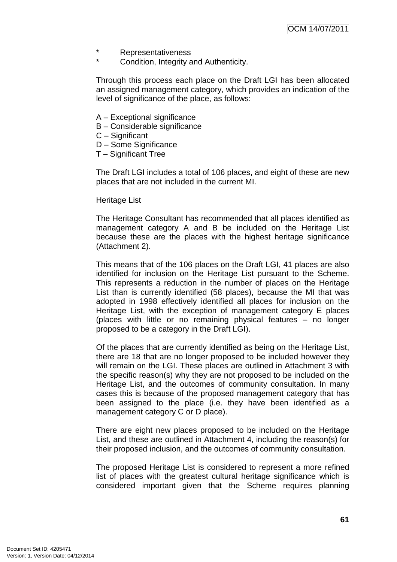- \* Representativeness
- Condition, Integrity and Authenticity.

Through this process each place on the Draft LGI has been allocated an assigned management category, which provides an indication of the level of significance of the place, as follows:

- A Exceptional significance
- B Considerable significance
- C Significant
- D Some Significance
- T Significant Tree

The Draft LGI includes a total of 106 places, and eight of these are new places that are not included in the current MI.

#### Heritage List

The Heritage Consultant has recommended that all places identified as management category A and B be included on the Heritage List because these are the places with the highest heritage significance (Attachment 2).

This means that of the 106 places on the Draft LGI, 41 places are also identified for inclusion on the Heritage List pursuant to the Scheme. This represents a reduction in the number of places on the Heritage List than is currently identified (58 places), because the MI that was adopted in 1998 effectively identified all places for inclusion on the Heritage List, with the exception of management category E places (places with little or no remaining physical features – no longer proposed to be a category in the Draft LGI).

Of the places that are currently identified as being on the Heritage List, there are 18 that are no longer proposed to be included however they will remain on the LGI. These places are outlined in Attachment 3 with the specific reason(s) why they are not proposed to be included on the Heritage List, and the outcomes of community consultation. In many cases this is because of the proposed management category that has been assigned to the place (i.e. they have been identified as a management category C or D place).

There are eight new places proposed to be included on the Heritage List, and these are outlined in Attachment 4, including the reason(s) for their proposed inclusion, and the outcomes of community consultation.

The proposed Heritage List is considered to represent a more refined list of places with the greatest cultural heritage significance which is considered important given that the Scheme requires planning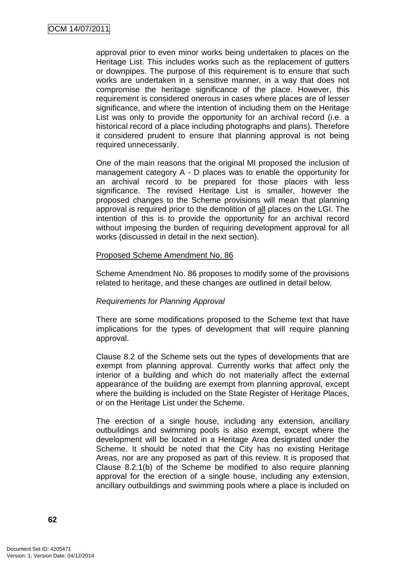approval prior to even minor works being undertaken to places on the Heritage List. This includes works such as the replacement of gutters or downpipes. The purpose of this requirement is to ensure that such works are undertaken in a sensitive manner, in a way that does not compromise the heritage significance of the place. However, this requirement is considered onerous in cases where places are of lesser significance, and where the intention of including them on the Heritage List was only to provide the opportunity for an archival record (i.e. a historical record of a place including photographs and plans). Therefore it considered prudent to ensure that planning approval is not being required unnecessarily.

One of the main reasons that the original MI proposed the inclusion of management category A - D places was to enable the opportunity for an archival record to be prepared for those places with less significance. The revised Heritage List is smaller, however the proposed changes to the Scheme provisions will mean that planning approval is required prior to the demolition of all places on the LGI. The intention of this is to provide the opportunity for an archival record without imposing the burden of requiring development approval for all works (discussed in detail in the next section).

## Proposed Scheme Amendment No. 86

Scheme Amendment No. 86 proposes to modify some of the provisions related to heritage, and these changes are outlined in detail below.

# Requirements for Planning Approval

There are some modifications proposed to the Scheme text that have implications for the types of development that will require planning approval.

Clause 8.2 of the Scheme sets out the types of developments that are exempt from planning approval. Currently works that affect only the interior of a building and which do not materially affect the external appearance of the building are exempt from planning approval, except where the building is included on the State Register of Heritage Places, or on the Heritage List under the Scheme.

The erection of a single house, including any extension, ancillary outbuildings and swimming pools is also exempt, except where the development will be located in a Heritage Area designated under the Scheme. It should be noted that the City has no existing Heritage Areas, nor are any proposed as part of this review. It is proposed that Clause 8.2.1(b) of the Scheme be modified to also require planning approval for the erection of a single house, including any extension, ancillary outbuildings and swimming pools where a place is included on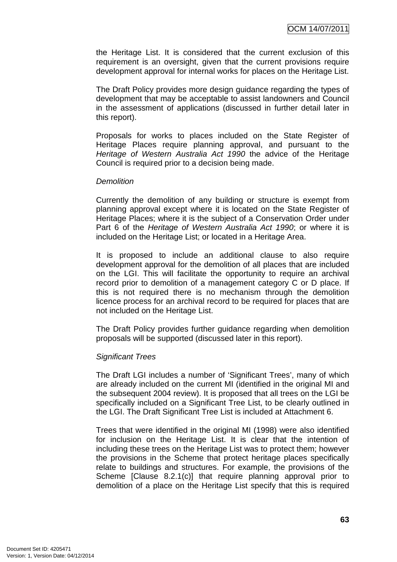the Heritage List. It is considered that the current exclusion of this requirement is an oversight, given that the current provisions require development approval for internal works for places on the Heritage List.

The Draft Policy provides more design guidance regarding the types of development that may be acceptable to assist landowners and Council in the assessment of applications (discussed in further detail later in this report).

Proposals for works to places included on the State Register of Heritage Places require planning approval, and pursuant to the Heritage of Western Australia Act 1990 the advice of the Heritage Council is required prior to a decision being made.

## **Demolition**

Currently the demolition of any building or structure is exempt from planning approval except where it is located on the State Register of Heritage Places; where it is the subject of a Conservation Order under Part 6 of the Heritage of Western Australia Act 1990; or where it is included on the Heritage List; or located in a Heritage Area.

It is proposed to include an additional clause to also require development approval for the demolition of all places that are included on the LGI. This will facilitate the opportunity to require an archival record prior to demolition of a management category C or D place. If this is not required there is no mechanism through the demolition licence process for an archival record to be required for places that are not included on the Heritage List.

The Draft Policy provides further guidance regarding when demolition proposals will be supported (discussed later in this report).

#### Significant Trees

The Draft LGI includes a number of 'Significant Trees', many of which are already included on the current MI (identified in the original MI and the subsequent 2004 review). It is proposed that all trees on the LGI be specifically included on a Significant Tree List, to be clearly outlined in the LGI. The Draft Significant Tree List is included at Attachment 6.

Trees that were identified in the original MI (1998) were also identified for inclusion on the Heritage List. It is clear that the intention of including these trees on the Heritage List was to protect them; however the provisions in the Scheme that protect heritage places specifically relate to buildings and structures. For example, the provisions of the Scheme [Clause 8.2.1(c)] that require planning approval prior to demolition of a place on the Heritage List specify that this is required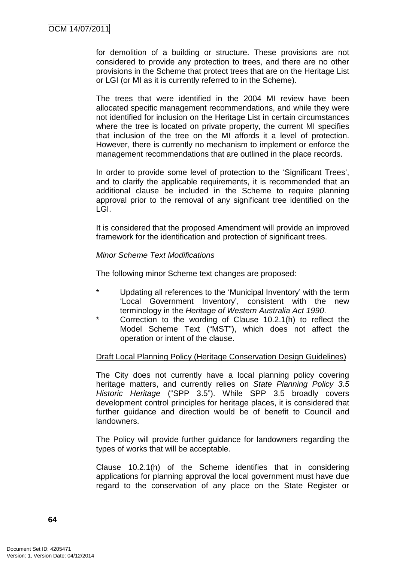for demolition of a building or structure. These provisions are not considered to provide any protection to trees, and there are no other provisions in the Scheme that protect trees that are on the Heritage List or LGI (or MI as it is currently referred to in the Scheme).

The trees that were identified in the 2004 MI review have been allocated specific management recommendations, and while they were not identified for inclusion on the Heritage List in certain circumstances where the tree is located on private property, the current MI specifies that inclusion of the tree on the MI affords it a level of protection. However, there is currently no mechanism to implement or enforce the management recommendations that are outlined in the place records.

In order to provide some level of protection to the 'Significant Trees', and to clarify the applicable requirements, it is recommended that an additional clause be included in the Scheme to require planning approval prior to the removal of any significant tree identified on the LGI.

It is considered that the proposed Amendment will provide an improved framework for the identification and protection of significant trees.

## Minor Scheme Text Modifications

The following minor Scheme text changes are proposed:

- \* Updating all references to the 'Municipal Inventory' with the term 'Local Government Inventory', consistent with the new terminology in the Heritage of Western Australia Act 1990.
- Correction to the wording of Clause  $10.2.1(h)$  to reflect the Model Scheme Text ("MST"), which does not affect the operation or intent of the clause.

# Draft Local Planning Policy (Heritage Conservation Design Guidelines)

The City does not currently have a local planning policy covering heritage matters, and currently relies on State Planning Policy 3.5 Historic Heritage ("SPP 3.5"). While SPP 3.5 broadly covers development control principles for heritage places, it is considered that further guidance and direction would be of benefit to Council and landowners.

The Policy will provide further guidance for landowners regarding the types of works that will be acceptable.

Clause 10.2.1(h) of the Scheme identifies that in considering applications for planning approval the local government must have due regard to the conservation of any place on the State Register or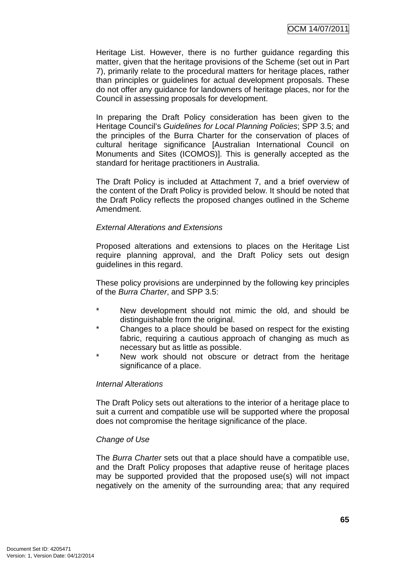Heritage List. However, there is no further guidance regarding this matter, given that the heritage provisions of the Scheme (set out in Part 7), primarily relate to the procedural matters for heritage places, rather than principles or guidelines for actual development proposals. These do not offer any guidance for landowners of heritage places, nor for the Council in assessing proposals for development.

In preparing the Draft Policy consideration has been given to the Heritage Council's Guidelines for Local Planning Policies; SPP 3.5; and the principles of the Burra Charter for the conservation of places of cultural heritage significance [Australian International Council on Monuments and Sites (ICOMOS)]. This is generally accepted as the standard for heritage practitioners in Australia.

The Draft Policy is included at Attachment 7, and a brief overview of the content of the Draft Policy is provided below. It should be noted that the Draft Policy reflects the proposed changes outlined in the Scheme Amendment.

## External Alterations and Extensions

Proposed alterations and extensions to places on the Heritage List require planning approval, and the Draft Policy sets out design guidelines in this regard.

These policy provisions are underpinned by the following key principles of the Burra Charter, and SPP 3.5:

- New development should not mimic the old, and should be distinguishable from the original.
- \* Changes to a place should be based on respect for the existing fabric, requiring a cautious approach of changing as much as necessary but as little as possible.
- New work should not obscure or detract from the heritage significance of a place.

## Internal Alterations

The Draft Policy sets out alterations to the interior of a heritage place to suit a current and compatible use will be supported where the proposal does not compromise the heritage significance of the place.

## Change of Use

The Burra Charter sets out that a place should have a compatible use, and the Draft Policy proposes that adaptive reuse of heritage places may be supported provided that the proposed use(s) will not impact negatively on the amenity of the surrounding area; that any required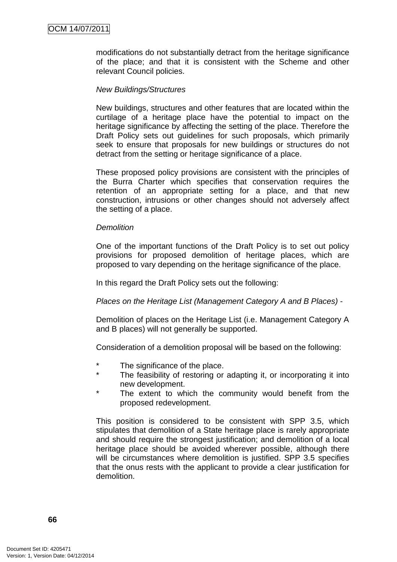modifications do not substantially detract from the heritage significance of the place; and that it is consistent with the Scheme and other relevant Council policies.

## New Buildings/Structures

New buildings, structures and other features that are located within the curtilage of a heritage place have the potential to impact on the heritage significance by affecting the setting of the place. Therefore the Draft Policy sets out guidelines for such proposals, which primarily seek to ensure that proposals for new buildings or structures do not detract from the setting or heritage significance of a place.

These proposed policy provisions are consistent with the principles of the Burra Charter which specifies that conservation requires the retention of an appropriate setting for a place, and that new construction, intrusions or other changes should not adversely affect the setting of a place.

#### Demolition

One of the important functions of the Draft Policy is to set out policy provisions for proposed demolition of heritage places, which are proposed to vary depending on the heritage significance of the place.

In this regard the Draft Policy sets out the following:

## Places on the Heritage List (Management Category A and B Places) -

Demolition of places on the Heritage List (i.e. Management Category A and B places) will not generally be supported.

Consideration of a demolition proposal will be based on the following:

- \* The significance of the place.
- \* The feasibility of restoring or adapting it, or incorporating it into new development.
- The extent to which the community would benefit from the proposed redevelopment.

This position is considered to be consistent with SPP 3.5, which stipulates that demolition of a State heritage place is rarely appropriate and should require the strongest justification; and demolition of a local heritage place should be avoided wherever possible, although there will be circumstances where demolition is justified. SPP 3.5 specifies that the onus rests with the applicant to provide a clear justification for demolition.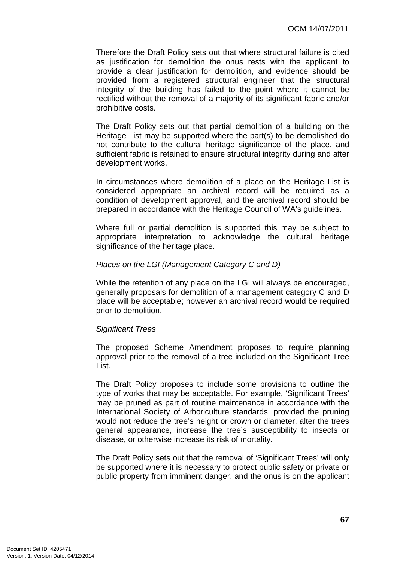Therefore the Draft Policy sets out that where structural failure is cited as justification for demolition the onus rests with the applicant to provide a clear justification for demolition, and evidence should be provided from a registered structural engineer that the structural integrity of the building has failed to the point where it cannot be rectified without the removal of a majority of its significant fabric and/or prohibitive costs.

The Draft Policy sets out that partial demolition of a building on the Heritage List may be supported where the part(s) to be demolished do not contribute to the cultural heritage significance of the place, and sufficient fabric is retained to ensure structural integrity during and after development works.

In circumstances where demolition of a place on the Heritage List is considered appropriate an archival record will be required as a condition of development approval, and the archival record should be prepared in accordance with the Heritage Council of WA's guidelines.

Where full or partial demolition is supported this may be subject to appropriate interpretation to acknowledge the cultural heritage significance of the heritage place.

## Places on the LGI (Management Category C and D)

While the retention of any place on the LGI will always be encouraged, generally proposals for demolition of a management category C and D place will be acceptable; however an archival record would be required prior to demolition.

## Significant Trees

The proposed Scheme Amendment proposes to require planning approval prior to the removal of a tree included on the Significant Tree List.

The Draft Policy proposes to include some provisions to outline the type of works that may be acceptable. For example, 'Significant Trees' may be pruned as part of routine maintenance in accordance with the International Society of Arboriculture standards, provided the pruning would not reduce the tree's height or crown or diameter, alter the trees general appearance, increase the tree's susceptibility to insects or disease, or otherwise increase its risk of mortality.

The Draft Policy sets out that the removal of 'Significant Trees' will only be supported where it is necessary to protect public safety or private or public property from imminent danger, and the onus is on the applicant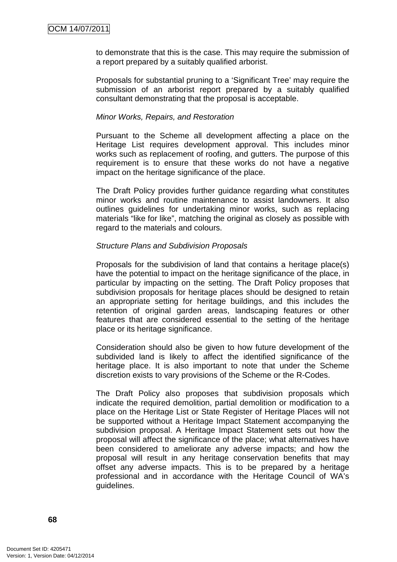to demonstrate that this is the case. This may require the submission of a report prepared by a suitably qualified arborist.

Proposals for substantial pruning to a 'Significant Tree' may require the submission of an arborist report prepared by a suitably qualified consultant demonstrating that the proposal is acceptable.

#### Minor Works, Repairs, and Restoration

Pursuant to the Scheme all development affecting a place on the Heritage List requires development approval. This includes minor works such as replacement of roofing, and gutters. The purpose of this requirement is to ensure that these works do not have a negative impact on the heritage significance of the place.

The Draft Policy provides further guidance regarding what constitutes minor works and routine maintenance to assist landowners. It also outlines guidelines for undertaking minor works, such as replacing materials "like for like", matching the original as closely as possible with regard to the materials and colours.

## Structure Plans and Subdivision Proposals

Proposals for the subdivision of land that contains a heritage place(s) have the potential to impact on the heritage significance of the place, in particular by impacting on the setting. The Draft Policy proposes that subdivision proposals for heritage places should be designed to retain an appropriate setting for heritage buildings, and this includes the retention of original garden areas, landscaping features or other features that are considered essential to the setting of the heritage place or its heritage significance.

Consideration should also be given to how future development of the subdivided land is likely to affect the identified significance of the heritage place. It is also important to note that under the Scheme discretion exists to vary provisions of the Scheme or the R-Codes.

The Draft Policy also proposes that subdivision proposals which indicate the required demolition, partial demolition or modification to a place on the Heritage List or State Register of Heritage Places will not be supported without a Heritage Impact Statement accompanying the subdivision proposal. A Heritage Impact Statement sets out how the proposal will affect the significance of the place; what alternatives have been considered to ameliorate any adverse impacts; and how the proposal will result in any heritage conservation benefits that may offset any adverse impacts. This is to be prepared by a heritage professional and in accordance with the Heritage Council of WA's guidelines.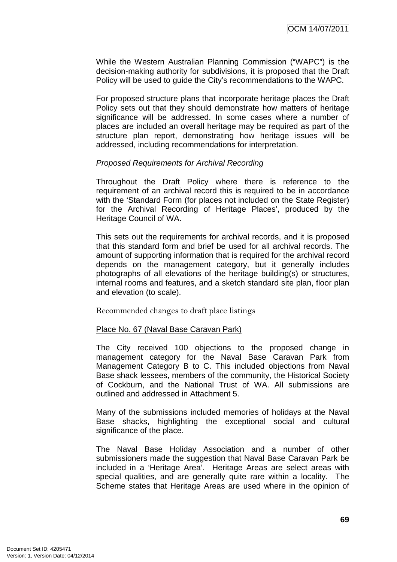While the Western Australian Planning Commission ("WAPC") is the decision-making authority for subdivisions, it is proposed that the Draft Policy will be used to guide the City's recommendations to the WAPC.

For proposed structure plans that incorporate heritage places the Draft Policy sets out that they should demonstrate how matters of heritage significance will be addressed. In some cases where a number of places are included an overall heritage may be required as part of the structure plan report, demonstrating how heritage issues will be addressed, including recommendations for interpretation.

### Proposed Requirements for Archival Recording

Throughout the Draft Policy where there is reference to the requirement of an archival record this is required to be in accordance with the 'Standard Form (for places not included on the State Register) for the Archival Recording of Heritage Places', produced by the Heritage Council of WA.

This sets out the requirements for archival records, and it is proposed that this standard form and brief be used for all archival records. The amount of supporting information that is required for the archival record depends on the management category, but it generally includes photographs of all elevations of the heritage building(s) or structures, internal rooms and features, and a sketch standard site plan, floor plan and elevation (to scale).

Recommended changes to draft place listings

#### Place No. 67 (Naval Base Caravan Park)

The City received 100 objections to the proposed change in management category for the Naval Base Caravan Park from Management Category B to C. This included objections from Naval Base shack lessees, members of the community, the Historical Society of Cockburn, and the National Trust of WA. All submissions are outlined and addressed in Attachment 5.

Many of the submissions included memories of holidays at the Naval Base shacks, highlighting the exceptional social and cultural significance of the place.

The Naval Base Holiday Association and a number of other submissioners made the suggestion that Naval Base Caravan Park be included in a 'Heritage Area'. Heritage Areas are select areas with special qualities, and are generally quite rare within a locality. The Scheme states that Heritage Areas are used where in the opinion of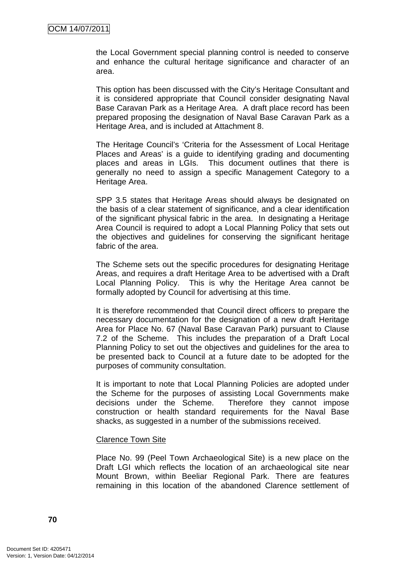the Local Government special planning control is needed to conserve and enhance the cultural heritage significance and character of an area.

This option has been discussed with the City's Heritage Consultant and it is considered appropriate that Council consider designating Naval Base Caravan Park as a Heritage Area. A draft place record has been prepared proposing the designation of Naval Base Caravan Park as a Heritage Area, and is included at Attachment 8.

The Heritage Council's 'Criteria for the Assessment of Local Heritage Places and Areas' is a guide to identifying grading and documenting places and areas in LGIs. This document outlines that there is generally no need to assign a specific Management Category to a Heritage Area.

SPP 3.5 states that Heritage Areas should always be designated on the basis of a clear statement of significance, and a clear identification of the significant physical fabric in the area. In designating a Heritage Area Council is required to adopt a Local Planning Policy that sets out the objectives and guidelines for conserving the significant heritage fabric of the area.

The Scheme sets out the specific procedures for designating Heritage Areas, and requires a draft Heritage Area to be advertised with a Draft Local Planning Policy. This is why the Heritage Area cannot be formally adopted by Council for advertising at this time.

It is therefore recommended that Council direct officers to prepare the necessary documentation for the designation of a new draft Heritage Area for Place No. 67 (Naval Base Caravan Park) pursuant to Clause 7.2 of the Scheme. This includes the preparation of a Draft Local Planning Policy to set out the objectives and guidelines for the area to be presented back to Council at a future date to be adopted for the purposes of community consultation.

It is important to note that Local Planning Policies are adopted under the Scheme for the purposes of assisting Local Governments make decisions under the Scheme. Therefore they cannot impose construction or health standard requirements for the Naval Base shacks, as suggested in a number of the submissions received.

#### Clarence Town Site

Place No. 99 (Peel Town Archaeological Site) is a new place on the Draft LGI which reflects the location of an archaeological site near Mount Brown, within Beeliar Regional Park. There are features remaining in this location of the abandoned Clarence settlement of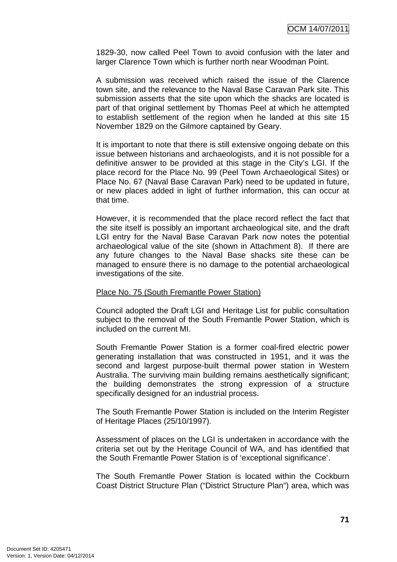1829-30, now called Peel Town to avoid confusion with the later and larger Clarence Town which is further north near Woodman Point.

A submission was received which raised the issue of the Clarence town site, and the relevance to the Naval Base Caravan Park site. This submission asserts that the site upon which the shacks are located is part of that original settlement by Thomas Peel at which he attempted to establish settlement of the region when he landed at this site 15 November 1829 on the Gilmore captained by Geary.

It is important to note that there is still extensive ongoing debate on this issue between historians and archaeologists, and it is not possible for a definitive answer to be provided at this stage in the City's LGI. If the place record for the Place No. 99 (Peel Town Archaeological Sites) or Place No. 67 (Naval Base Caravan Park) need to be updated in future, or new places added in light of further information, this can occur at that time.

However, it is recommended that the place record reflect the fact that the site itself is possibly an important archaeological site, and the draft LGI entry for the Naval Base Caravan Park now notes the potential archaeological value of the site (shown in Attachment 8). If there are any future changes to the Naval Base shacks site these can be managed to ensure there is no damage to the potential archaeological investigations of the site.

#### Place No. 75 (South Fremantle Power Station)

Council adopted the Draft LGI and Heritage List for public consultation subject to the removal of the South Fremantle Power Station, which is included on the current MI.

South Fremantle Power Station is a former coal-fired electric power generating installation that was constructed in 1951, and it was the second and largest purpose-built thermal power station in Western Australia. The surviving main building remains aesthetically significant; the building demonstrates the strong expression of a structure specifically designed for an industrial process.

The South Fremantle Power Station is included on the Interim Register of Heritage Places (25/10/1997).

Assessment of places on the LGI is undertaken in accordance with the criteria set out by the Heritage Council of WA, and has identified that the South Fremantle Power Station is of 'exceptional significance'.

The South Fremantle Power Station is located within the Cockburn Coast District Structure Plan ("District Structure Plan") area, which was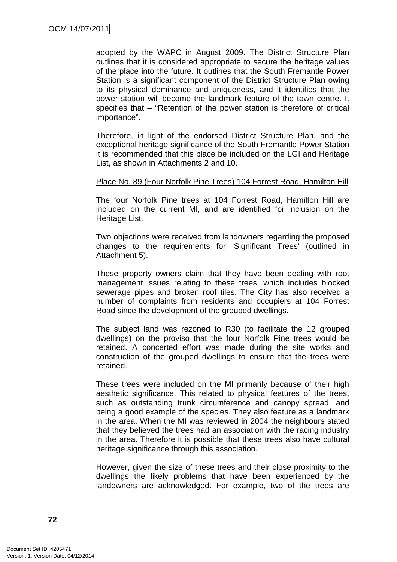adopted by the WAPC in August 2009. The District Structure Plan outlines that it is considered appropriate to secure the heritage values of the place into the future. It outlines that the South Fremantle Power Station is a significant component of the District Structure Plan owing to its physical dominance and uniqueness, and it identifies that the power station will become the landmark feature of the town centre. It specifies that – "Retention of the power station is therefore of critical importance".

Therefore, in light of the endorsed District Structure Plan, and the exceptional heritage significance of the South Fremantle Power Station it is recommended that this place be included on the LGI and Heritage List, as shown in Attachments 2 and 10.

#### Place No. 89 (Four Norfolk Pine Trees) 104 Forrest Road, Hamilton Hill

The four Norfolk Pine trees at 104 Forrest Road, Hamilton Hill are included on the current MI, and are identified for inclusion on the Heritage List.

Two objections were received from landowners regarding the proposed changes to the requirements for 'Significant Trees' (outlined in Attachment 5).

These property owners claim that they have been dealing with root management issues relating to these trees, which includes blocked sewerage pipes and broken roof tiles. The City has also received a number of complaints from residents and occupiers at 104 Forrest Road since the development of the grouped dwellings.

The subject land was rezoned to R30 (to facilitate the 12 grouped dwellings) on the proviso that the four Norfolk Pine trees would be retained. A concerted effort was made during the site works and construction of the grouped dwellings to ensure that the trees were retained.

These trees were included on the MI primarily because of their high aesthetic significance. This related to physical features of the trees, such as outstanding trunk circumference and canopy spread, and being a good example of the species. They also feature as a landmark in the area. When the MI was reviewed in 2004 the neighbours stated that they believed the trees had an association with the racing industry in the area. Therefore it is possible that these trees also have cultural heritage significance through this association.

However, given the size of these trees and their close proximity to the dwellings the likely problems that have been experienced by the landowners are acknowledged. For example, two of the trees are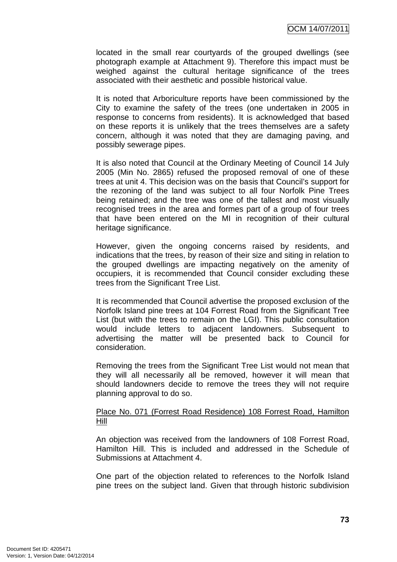located in the small rear courtyards of the grouped dwellings (see photograph example at Attachment 9). Therefore this impact must be weighed against the cultural heritage significance of the trees associated with their aesthetic and possible historical value.

It is noted that Arboriculture reports have been commissioned by the City to examine the safety of the trees (one undertaken in 2005 in response to concerns from residents). It is acknowledged that based on these reports it is unlikely that the trees themselves are a safety concern, although it was noted that they are damaging paving, and possibly sewerage pipes.

It is also noted that Council at the Ordinary Meeting of Council 14 July 2005 (Min No. 2865) refused the proposed removal of one of these trees at unit 4. This decision was on the basis that Council's support for the rezoning of the land was subject to all four Norfolk Pine Trees being retained; and the tree was one of the tallest and most visually recognised trees in the area and formes part of a group of four trees that have been entered on the MI in recognition of their cultural heritage significance.

However, given the ongoing concerns raised by residents, and indications that the trees, by reason of their size and siting in relation to the grouped dwellings are impacting negatively on the amenity of occupiers, it is recommended that Council consider excluding these trees from the Significant Tree List.

It is recommended that Council advertise the proposed exclusion of the Norfolk Island pine trees at 104 Forrest Road from the Significant Tree List (but with the trees to remain on the LGI). This public consultation would include letters to adjacent landowners. Subsequent to advertising the matter will be presented back to Council for consideration.

Removing the trees from the Significant Tree List would not mean that they will all necessarily all be removed, however it will mean that should landowners decide to remove the trees they will not require planning approval to do so.

#### Place No. 071 (Forrest Road Residence) 108 Forrest Road, Hamilton Hill

An objection was received from the landowners of 108 Forrest Road, Hamilton Hill. This is included and addressed in the Schedule of Submissions at Attachment 4.

One part of the objection related to references to the Norfolk Island pine trees on the subject land. Given that through historic subdivision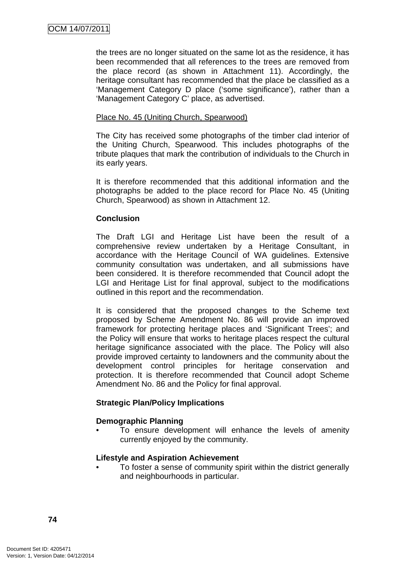the trees are no longer situated on the same lot as the residence, it has been recommended that all references to the trees are removed from the place record (as shown in Attachment 11). Accordingly, the heritage consultant has recommended that the place be classified as a 'Management Category D place ('some significance'), rather than a 'Management Category C' place, as advertised.

### Place No. 45 (Uniting Church, Spearwood)

The City has received some photographs of the timber clad interior of the Uniting Church, Spearwood. This includes photographs of the tribute plaques that mark the contribution of individuals to the Church in its early years.

It is therefore recommended that this additional information and the photographs be added to the place record for Place No. 45 (Uniting Church, Spearwood) as shown in Attachment 12.

### **Conclusion**

The Draft LGI and Heritage List have been the result of a comprehensive review undertaken by a Heritage Consultant, in accordance with the Heritage Council of WA guidelines. Extensive community consultation was undertaken, and all submissions have been considered. It is therefore recommended that Council adopt the LGI and Heritage List for final approval, subject to the modifications outlined in this report and the recommendation.

It is considered that the proposed changes to the Scheme text proposed by Scheme Amendment No. 86 will provide an improved framework for protecting heritage places and 'Significant Trees'; and the Policy will ensure that works to heritage places respect the cultural heritage significance associated with the place. The Policy will also provide improved certainty to landowners and the community about the development control principles for heritage conservation and protection. It is therefore recommended that Council adopt Scheme Amendment No. 86 and the Policy for final approval.

### **Strategic Plan/Policy Implications**

### **Demographic Planning**

To ensure development will enhance the levels of amenity currently enjoyed by the community.

### **Lifestyle and Aspiration Achievement**

• To foster a sense of community spirit within the district generally and neighbourhoods in particular.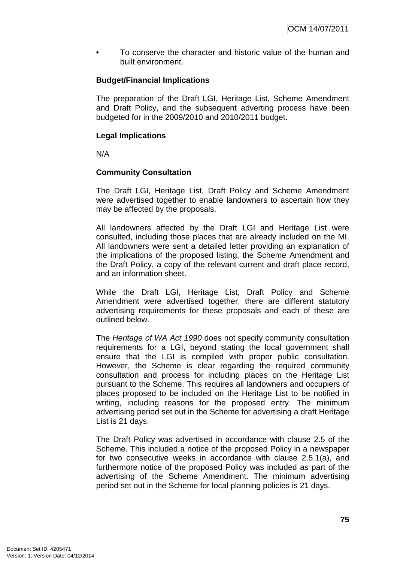• To conserve the character and historic value of the human and built environment.

### **Budget/Financial Implications**

The preparation of the Draft LGI, Heritage List, Scheme Amendment and Draft Policy, and the subsequent adverting process have been budgeted for in the 2009/2010 and 2010/2011 budget.

### **Legal Implications**

N/A

### **Community Consultation**

The Draft LGI, Heritage List, Draft Policy and Scheme Amendment were advertised together to enable landowners to ascertain how they may be affected by the proposals.

All landowners affected by the Draft LGI and Heritage List were consulted, including those places that are already included on the MI. All landowners were sent a detailed letter providing an explanation of the implications of the proposed listing, the Scheme Amendment and the Draft Policy, a copy of the relevant current and draft place record, and an information sheet.

While the Draft LGI, Heritage List, Draft Policy and Scheme Amendment were advertised together, there are different statutory advertising requirements for these proposals and each of these are outlined below.

The Heritage of WA Act 1990 does not specify community consultation requirements for a LGI, beyond stating the local government shall ensure that the LGI is compiled with proper public consultation. However, the Scheme is clear regarding the required community consultation and process for including places on the Heritage List pursuant to the Scheme. This requires all landowners and occupiers of places proposed to be included on the Heritage List to be notified in writing, including reasons for the proposed entry. The minimum advertising period set out in the Scheme for advertising a draft Heritage List is 21 days.

The Draft Policy was advertised in accordance with clause 2.5 of the Scheme. This included a notice of the proposed Policy in a newspaper for two consecutive weeks in accordance with clause 2.5.1(a), and furthermore notice of the proposed Policy was included as part of the advertising of the Scheme Amendment. The minimum advertising period set out in the Scheme for local planning policies is 21 days.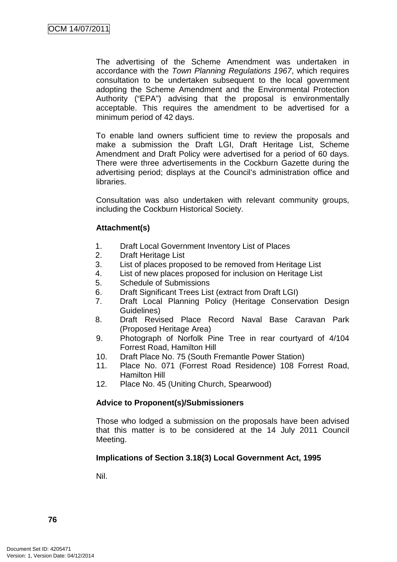The advertising of the Scheme Amendment was undertaken in accordance with the Town Planning Regulations 1967, which requires consultation to be undertaken subsequent to the local government adopting the Scheme Amendment and the Environmental Protection Authority ("EPA") advising that the proposal is environmentally acceptable. This requires the amendment to be advertised for a minimum period of 42 days.

To enable land owners sufficient time to review the proposals and make a submission the Draft LGI, Draft Heritage List, Scheme Amendment and Draft Policy were advertised for a period of 60 days. There were three advertisements in the Cockburn Gazette during the advertising period; displays at the Council's administration office and libraries.

Consultation was also undertaken with relevant community groups, including the Cockburn Historical Society.

### **Attachment(s)**

- 1. Draft Local Government Inventory List of Places
- 2. Draft Heritage List
- 3. List of places proposed to be removed from Heritage List
- 4. List of new places proposed for inclusion on Heritage List
- 5. Schedule of Submissions
- 6. Draft Significant Trees List (extract from Draft LGI)
- 7. Draft Local Planning Policy (Heritage Conservation Design Guidelines)
- 8. Draft Revised Place Record Naval Base Caravan Park (Proposed Heritage Area)
- 9. Photograph of Norfolk Pine Tree in rear courtyard of 4/104 Forrest Road, Hamilton Hill
- 10. Draft Place No. 75 (South Fremantle Power Station)
- 11. Place No. 071 (Forrest Road Residence) 108 Forrest Road, Hamilton Hill
- 12. Place No. 45 (Uniting Church, Spearwood)

# **Advice to Proponent(s)/Submissioners**

Those who lodged a submission on the proposals have been advised that this matter is to be considered at the 14 July 2011 Council Meeting.

# **Implications of Section 3.18(3) Local Government Act, 1995**

Nil.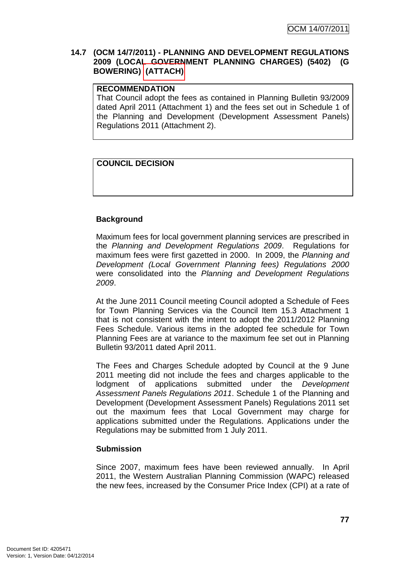### **14.7 (OCM 14/7/2011) - PLANNING AND DEVELOPMENT REGULATIONS 2009 (LOCAL GOVERNMENT PLANNING CHARGES) (5402) (G BOWERING) (ATTACH)**

### **RECOMMENDATION**

That Council adopt the fees as contained in Planning Bulletin 93/2009 dated April 2011 (Attachment 1) and the fees set out in Schedule 1 of the Planning and Development (Development Assessment Panels) Regulations 2011 (Attachment 2).

# **COUNCIL DECISION**

# **Background**

Maximum fees for local government planning services are prescribed in the Planning and Development Regulations 2009. Regulations for maximum fees were first gazetted in 2000. In 2009, the Planning and Development (Local Government Planning fees) Regulations 2000 were consolidated into the Planning and Development Regulations 2009.

At the June 2011 Council meeting Council adopted a Schedule of Fees for Town Planning Services via the Council Item 15.3 Attachment 1 that is not consistent with the intent to adopt the 2011/2012 Planning Fees Schedule. Various items in the adopted fee schedule for Town Planning Fees are at variance to the maximum fee set out in Planning Bulletin 93/2011 dated April 2011.

The Fees and Charges Schedule adopted by Council at the 9 June 2011 meeting did not include the fees and charges applicable to the lodgment of applications submitted under the Development Assessment Panels Regulations 2011. Schedule 1 of the Planning and Development (Development Assessment Panels) Regulations 2011 set out the maximum fees that Local Government may charge for applications submitted under the Regulations. Applications under the Regulations may be submitted from 1 July 2011.

# **Submission**

Since 2007, maximum fees have been reviewed annually. In April 2011, the Western Australian Planning Commission (WAPC) released the new fees, increased by the Consumer Price Index (CPI) at a rate of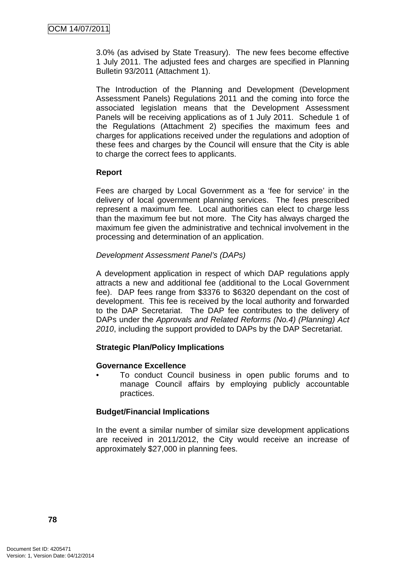3.0% (as advised by State Treasury). The new fees become effective 1 July 2011. The adjusted fees and charges are specified in Planning Bulletin 93/2011 (Attachment 1).

The Introduction of the Planning and Development (Development Assessment Panels) Regulations 2011 and the coming into force the associated legislation means that the Development Assessment Panels will be receiving applications as of 1 July 2011. Schedule 1 of the Regulations (Attachment 2) specifies the maximum fees and charges for applications received under the regulations and adoption of these fees and charges by the Council will ensure that the City is able to charge the correct fees to applicants.

### **Report**

Fees are charged by Local Government as a 'fee for service' in the delivery of local government planning services. The fees prescribed represent a maximum fee. Local authorities can elect to charge less than the maximum fee but not more. The City has always charged the maximum fee given the administrative and technical involvement in the processing and determination of an application.

### Development Assessment Panel's (DAPs)

A development application in respect of which DAP regulations apply attracts a new and additional fee (additional to the Local Government fee). DAP fees range from \$3376 to \$6320 dependant on the cost of development. This fee is received by the local authority and forwarded to the DAP Secretariat. The DAP fee contributes to the delivery of DAPs under the Approvals and Related Reforms (No.4) (Planning) Act 2010, including the support provided to DAPs by the DAP Secretariat.

# **Strategic Plan/Policy Implications**

### **Governance Excellence**

• To conduct Council business in open public forums and to manage Council affairs by employing publicly accountable practices.

### **Budget/Financial Implications**

In the event a similar number of similar size development applications are received in 2011/2012, the City would receive an increase of approximately \$27,000 in planning fees.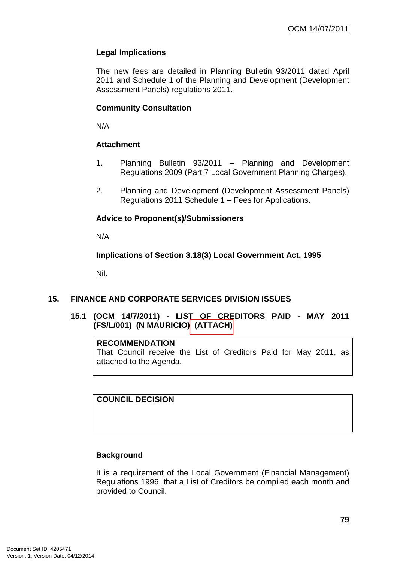### **Legal Implications**

The new fees are detailed in Planning Bulletin 93/2011 dated April 2011 and Schedule 1 of the Planning and Development (Development Assessment Panels) regulations 2011.

### **Community Consultation**

N/A

### **Attachment**

- 1. Planning Bulletin 93/2011 Planning and Development Regulations 2009 (Part 7 Local Government Planning Charges).
- 2. Planning and Development (Development Assessment Panels) Regulations 2011 Schedule 1 – Fees for Applications.

### **Advice to Proponent(s)/Submissioners**

N/A

### **Implications of Section 3.18(3) Local Government Act, 1995**

Nil.

### **15. FINANCE AND CORPORATE SERVICES DIVISION ISSUES**

**15.1 (OCM 14/7/2011) - LIST OF CREDITORS PAID - MAY 2011 (FS/L/001) (N MAURICIO) (ATTACH)** 

#### **RECOMMENDATION**

That Council receive the List of Creditors Paid for May 2011, as attached to the Agenda.

**COUNCIL DECISION**

# **Background**

It is a requirement of the Local Government (Financial Management) Regulations 1996, that a List of Creditors be compiled each month and provided to Council.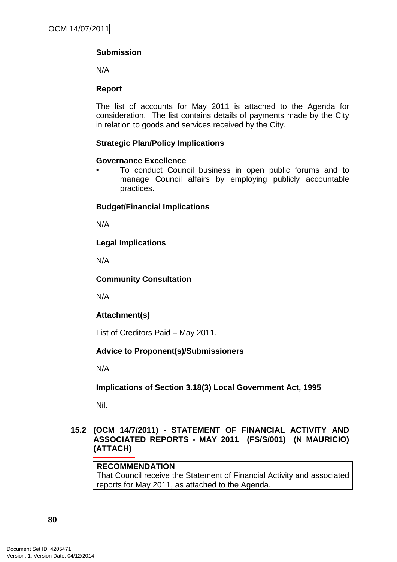# **Submission**

N/A

### **Report**

The list of accounts for May 2011 is attached to the Agenda for consideration. The list contains details of payments made by the City in relation to goods and services received by the City.

### **Strategic Plan/Policy Implications**

### **Governance Excellence**

• To conduct Council business in open public forums and to manage Council affairs by employing publicly accountable practices.

### **Budget/Financial Implications**

N/A

# **Legal Implications**

N/A

### **Community Consultation**

N/A

# **Attachment(s)**

List of Creditors Paid – May 2011.

# **Advice to Proponent(s)/Submissioners**

N/A

**Implications of Section 3.18(3) Local Government Act, 1995**

Nil.

### **15.2 (OCM 14/7/2011) - STATEMENT OF FINANCIAL ACTIVITY AND ASSOCIATED REPORTS - MAY 2011 (FS/S/001) (N MAURICIO) (ATTACH)**

### **RECOMMENDATION**

That Council receive the Statement of Financial Activity and associated reports for May 2011, as attached to the Agenda.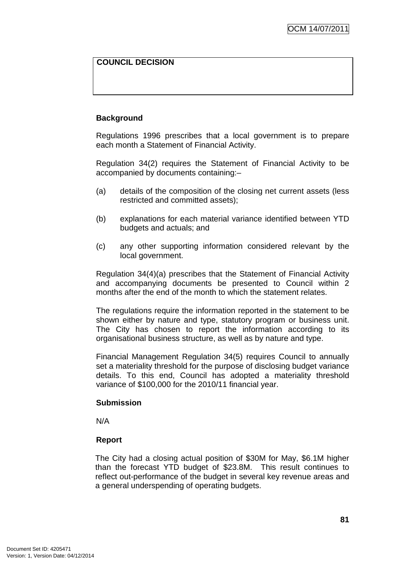# **COUNCIL DECISION**

### **Background**

Regulations 1996 prescribes that a local government is to prepare each month a Statement of Financial Activity.

Regulation 34(2) requires the Statement of Financial Activity to be accompanied by documents containing:–

- (a) details of the composition of the closing net current assets (less restricted and committed assets);
- (b) explanations for each material variance identified between YTD budgets and actuals; and
- (c) any other supporting information considered relevant by the local government.

Regulation 34(4)(a) prescribes that the Statement of Financial Activity and accompanying documents be presented to Council within 2 months after the end of the month to which the statement relates.

The regulations require the information reported in the statement to be shown either by nature and type, statutory program or business unit. The City has chosen to report the information according to its organisational business structure, as well as by nature and type.

Financial Management Regulation 34(5) requires Council to annually set a materiality threshold for the purpose of disclosing budget variance details. To this end, Council has adopted a materiality threshold variance of \$100,000 for the 2010/11 financial year.

### **Submission**

N/A

### **Report**

The City had a closing actual position of \$30M for May, \$6.1M higher than the forecast YTD budget of \$23.8M. This result continues to reflect out-performance of the budget in several key revenue areas and a general underspending of operating budgets.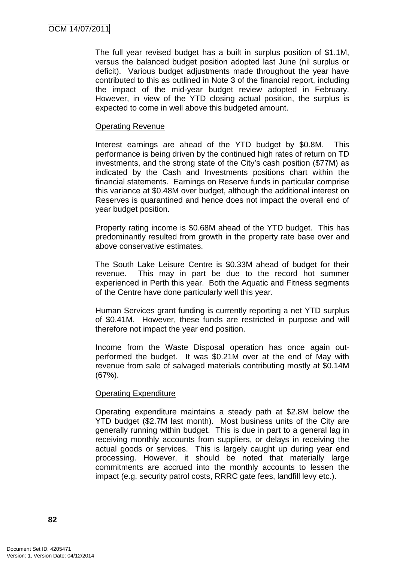The full year revised budget has a built in surplus position of \$1.1M, versus the balanced budget position adopted last June (nil surplus or deficit). Various budget adjustments made throughout the year have contributed to this as outlined in Note 3 of the financial report, including the impact of the mid-year budget review adopted in February. However, in view of the YTD closing actual position, the surplus is expected to come in well above this budgeted amount.

#### Operating Revenue

Interest earnings are ahead of the YTD budget by \$0.8M. This performance is being driven by the continued high rates of return on TD investments, and the strong state of the City's cash position (\$77M) as indicated by the Cash and Investments positions chart within the financial statements. Earnings on Reserve funds in particular comprise this variance at \$0.48M over budget, although the additional interest on Reserves is quarantined and hence does not impact the overall end of year budget position.

Property rating income is \$0.68M ahead of the YTD budget. This has predominantly resulted from growth in the property rate base over and above conservative estimates.

The South Lake Leisure Centre is \$0.33M ahead of budget for their revenue. This may in part be due to the record hot summer experienced in Perth this year. Both the Aquatic and Fitness segments of the Centre have done particularly well this year.

Human Services grant funding is currently reporting a net YTD surplus of \$0.41M. However, these funds are restricted in purpose and will therefore not impact the year end position.

Income from the Waste Disposal operation has once again outperformed the budget. It was \$0.21M over at the end of May with revenue from sale of salvaged materials contributing mostly at \$0.14M (67%).

#### Operating Expenditure

Operating expenditure maintains a steady path at \$2.8M below the YTD budget (\$2.7M last month). Most business units of the City are generally running within budget. This is due in part to a general lag in receiving monthly accounts from suppliers, or delays in receiving the actual goods or services. This is largely caught up during year end processing. However, it should be noted that materially large commitments are accrued into the monthly accounts to lessen the impact (e.g. security patrol costs, RRRC gate fees, landfill levy etc.).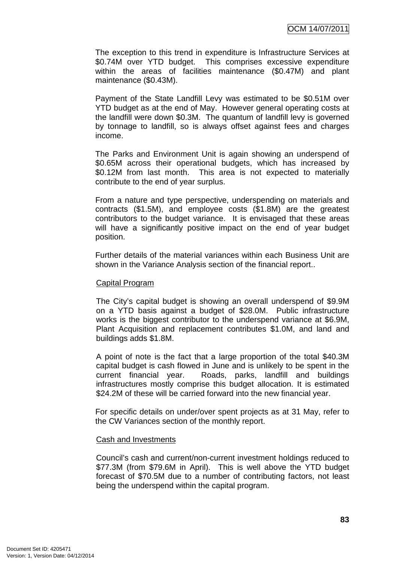The exception to this trend in expenditure is Infrastructure Services at \$0.74M over YTD budget. This comprises excessive expenditure within the areas of facilities maintenance (\$0.47M) and plant maintenance (\$0.43M).

Payment of the State Landfill Levy was estimated to be \$0.51M over YTD budget as at the end of May. However general operating costs at the landfill were down \$0.3M. The quantum of landfill levy is governed by tonnage to landfill, so is always offset against fees and charges income.

The Parks and Environment Unit is again showing an underspend of \$0.65M across their operational budgets, which has increased by \$0.12M from last month. This area is not expected to materially contribute to the end of year surplus.

From a nature and type perspective, underspending on materials and contracts (\$1.5M), and employee costs (\$1.8M) are the greatest contributors to the budget variance. It is envisaged that these areas will have a significantly positive impact on the end of year budget position.

Further details of the material variances within each Business Unit are shown in the Variance Analysis section of the financial report..

#### Capital Program

The City's capital budget is showing an overall underspend of \$9.9M on a YTD basis against a budget of \$28.0M. Public infrastructure works is the biggest contributor to the underspend variance at \$6.9M, Plant Acquisition and replacement contributes \$1.0M, and land and buildings adds \$1.8M.

A point of note is the fact that a large proportion of the total \$40.3M capital budget is cash flowed in June and is unlikely to be spent in the current financial year. Roads, parks, landfill and buildings infrastructures mostly comprise this budget allocation. It is estimated \$24.2M of these will be carried forward into the new financial year.

For specific details on under/over spent projects as at 31 May, refer to the CW Variances section of the monthly report.

#### Cash and Investments

Council's cash and current/non-current investment holdings reduced to \$77.3M (from \$79.6M in April). This is well above the YTD budget forecast of \$70.5M due to a number of contributing factors, not least being the underspend within the capital program.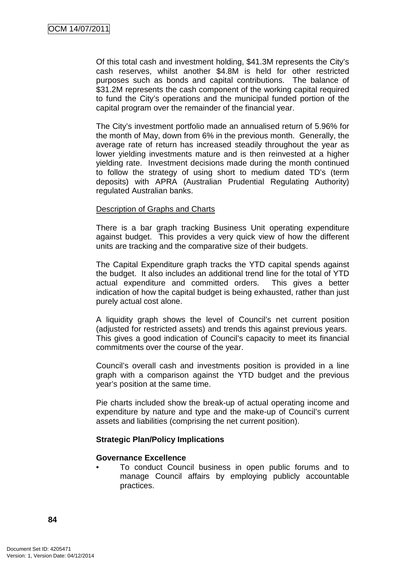Of this total cash and investment holding, \$41.3M represents the City's cash reserves, whilst another \$4.8M is held for other restricted purposes such as bonds and capital contributions. The balance of \$31.2M represents the cash component of the working capital required to fund the City's operations and the municipal funded portion of the capital program over the remainder of the financial year.

The City's investment portfolio made an annualised return of 5.96% for the month of May, down from 6% in the previous month. Generally, the average rate of return has increased steadily throughout the year as lower yielding investments mature and is then reinvested at a higher yielding rate. Investment decisions made during the month continued to follow the strategy of using short to medium dated TD's (term deposits) with APRA (Australian Prudential Regulating Authority) regulated Australian banks.

### Description of Graphs and Charts

There is a bar graph tracking Business Unit operating expenditure against budget. This provides a very quick view of how the different units are tracking and the comparative size of their budgets.

The Capital Expenditure graph tracks the YTD capital spends against the budget. It also includes an additional trend line for the total of YTD actual expenditure and committed orders. This gives a better indication of how the capital budget is being exhausted, rather than just purely actual cost alone.

A liquidity graph shows the level of Council's net current position (adjusted for restricted assets) and trends this against previous years. This gives a good indication of Council's capacity to meet its financial commitments over the course of the year.

Council's overall cash and investments position is provided in a line graph with a comparison against the YTD budget and the previous year's position at the same time.

Pie charts included show the break-up of actual operating income and expenditure by nature and type and the make-up of Council's current assets and liabilities (comprising the net current position).

### **Strategic Plan/Policy Implications**

#### **Governance Excellence**

• To conduct Council business in open public forums and to manage Council affairs by employing publicly accountable practices.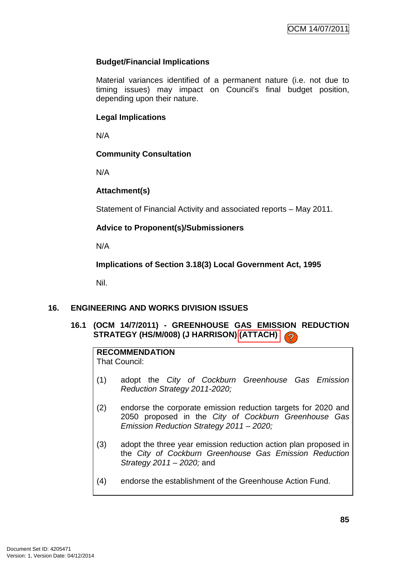### **Budget/Financial Implications**

Material variances identified of a permanent nature (i.e. not due to timing issues) may impact on Council's final budget position, depending upon their nature.

#### **Legal Implications**

N/A

### **Community Consultation**

N/A

### **Attachment(s)**

Statement of Financial Activity and associated reports – May 2011.

### **Advice to Proponent(s)/Submissioners**

N/A

**Implications of Section 3.18(3) Local Government Act, 1995**

Nil.

# **16. ENGINEERING AND WORKS DIVISION ISSUES**

# **16.1 (OCM 14/7/2011) - GREENHOUSE GAS EMISSION REDUCTION STRATEGY (HS/M/008) (J HARRISON) (ATTACH)**

# **RECOMMENDATION**

That Council:

- (1) adopt the City of Cockburn Greenhouse Gas Emission Reduction Strategy 2011-2020;
- (2) endorse the corporate emission reduction targets for 2020 and 2050 proposed in the City of Cockburn Greenhouse Gas Emission Reduction Strategy 2011 – 2020;
- (3) adopt the three year emission reduction action plan proposed in the City of Cockburn Greenhouse Gas Emission Reduction Strategy 2011 – 2020; and
- (4) endorse the establishment of the Greenhouse Action Fund.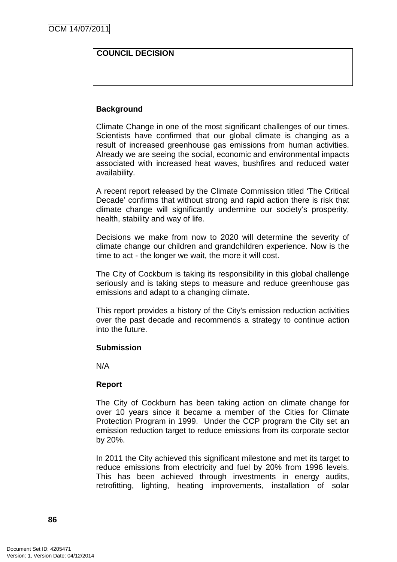### **COUNCIL DECISION**

#### **Background**

Climate Change in one of the most significant challenges of our times. Scientists have confirmed that our global climate is changing as a result of increased greenhouse gas emissions from human activities. Already we are seeing the social, economic and environmental impacts associated with increased heat waves, bushfires and reduced water availability.

A recent report released by the Climate Commission titled 'The Critical Decade' confirms that without strong and rapid action there is risk that climate change will significantly undermine our society's prosperity, health, stability and way of life.

Decisions we make from now to 2020 will determine the severity of climate change our children and grandchildren experience. Now is the time to act - the longer we wait, the more it will cost.

The City of Cockburn is taking its responsibility in this global challenge seriously and is taking steps to measure and reduce greenhouse gas emissions and adapt to a changing climate.

This report provides a history of the City's emission reduction activities over the past decade and recommends a strategy to continue action into the future.

#### **Submission**

N/A

### **Report**

The City of Cockburn has been taking action on climate change for over 10 years since it became a member of the Cities for Climate Protection Program in 1999. Under the CCP program the City set an emission reduction target to reduce emissions from its corporate sector by 20%.

In 2011 the City achieved this significant milestone and met its target to reduce emissions from electricity and fuel by 20% from 1996 levels. This has been achieved through investments in energy audits, retrofitting, lighting, heating improvements, installation of solar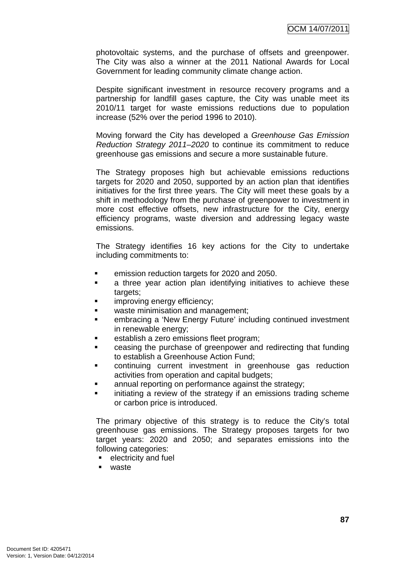photovoltaic systems, and the purchase of offsets and greenpower. The City was also a winner at the 2011 National Awards for Local Government for leading community climate change action.

Despite significant investment in resource recovery programs and a partnership for landfill gases capture, the City was unable meet its 2010/11 target for waste emissions reductions due to population increase (52% over the period 1996 to 2010).

Moving forward the City has developed a Greenhouse Gas Emission Reduction Strategy 2011–2020 to continue its commitment to reduce greenhouse gas emissions and secure a more sustainable future.

The Strategy proposes high but achievable emissions reductions targets for 2020 and 2050, supported by an action plan that identifies initiatives for the first three years. The City will meet these goals by a shift in methodology from the purchase of greenpower to investment in more cost effective offsets, new infrastructure for the City, energy efficiency programs, waste diversion and addressing legacy waste emissions.

The Strategy identifies 16 key actions for the City to undertake including commitments to:

- emission reduction targets for 2020 and 2050.
- **a** three year action plan identifying initiatives to achieve these targets:
- **Example 1** improving energy efficiency;
- **EXEC** waste minimisation and management;
- embracing a 'New Energy Future' including continued investment in renewable energy;
- **EXECUTE:** establish a zero emissions fleet program;
- **EXEC** reasing the purchase of greenpower and redirecting that funding to establish a Greenhouse Action Fund;
- **EXECONTERGIVE CONTINUING** current investment in greenhouse gas reduction activities from operation and capital budgets;
- annual reporting on performance against the strategy;
- initiating a review of the strategy if an emissions trading scheme or carbon price is introduced.

The primary objective of this strategy is to reduce the City's total greenhouse gas emissions. The Strategy proposes targets for two target years: 2020 and 2050; and separates emissions into the following categories:

- **EXECUTE:** electricity and fuel
- waste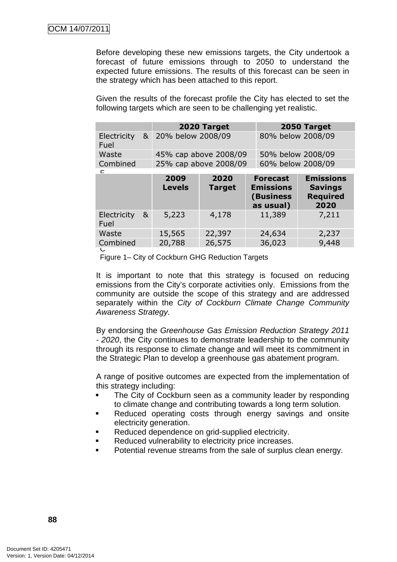Before developing these new emissions targets, the City undertook a forecast of future emissions through to 2050 to understand the expected future emissions. The results of this forecast can be seen in the strategy which has been attached to this report.

Given the results of the forecast profile the City has elected to set the following targets which are seen to be challenging yet realistic.

|          | 2020 Target                     | 2050 Target       |
|----------|---------------------------------|-------------------|
| Fuel     | Electricity & 20% below 2008/09 | 80% below 2008/09 |
| Waste    | 45% cap above 2008/09           | 50% below 2008/09 |
| Combined | 25% cap above 2008/09           | 60% below 2008/09 |

|                     | 2009<br><b>Levels</b>   | 2020<br><b>Target</b> | <b>Forecast</b><br><b>Emissions</b><br>(Business<br>as usual) | <b>Emissions</b><br><b>Savings</b><br><b>Required</b><br>2020 |
|---------------------|-------------------------|-----------------------|---------------------------------------------------------------|---------------------------------------------------------------|
| Electricity<br>Fuel | 5,223<br>8 <sub>k</sub> | 4,178                 | 11,389                                                        | 7,211                                                         |
| Waste               | 15,565                  | 22,397                | 24,634                                                        | 2,237                                                         |
| Combined<br>◡       | 20,788                  | 26,575                | 36,023                                                        | 9,448                                                         |

Figure 1– City of Cockburn GHG Reduction Targets

It is important to note that this strategy is focused on reducing emissions from the City's corporate activities only. Emissions from the community are outside the scope of this strategy and are addressed separately within the City of Cockburn Climate Change Community Awareness Strategy.

By endorsing the Greenhouse Gas Emission Reduction Strategy 2011 - 2020, the City continues to demonstrate leadership to the community through its response to climate change and will meet its commitment in the Strategic Plan to develop a greenhouse gas abatement program.

A range of positive outcomes are expected from the implementation of this strategy including:

- The City of Cockburn seen as a community leader by responding to climate change and contributing towards a long term solution.
- **Reduced operating costs through energy savings and onsite** electricity generation.
- Reduced dependence on grid-supplied electricity.
- **Reduced vulnerability to electricity price increases.**
- Potential revenue streams from the sale of surplus clean energy.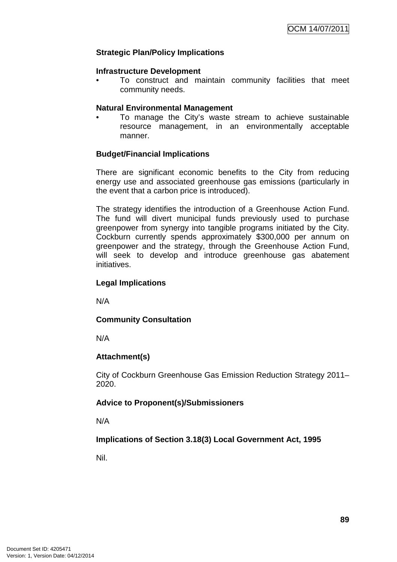### **Strategic Plan/Policy Implications**

#### **Infrastructure Development**

• To construct and maintain community facilities that meet community needs.

#### **Natural Environmental Management**

• To manage the City's waste stream to achieve sustainable resource management, in an environmentally acceptable manner.

### **Budget/Financial Implications**

There are significant economic benefits to the City from reducing energy use and associated greenhouse gas emissions (particularly in the event that a carbon price is introduced).

The strategy identifies the introduction of a Greenhouse Action Fund. The fund will divert municipal funds previously used to purchase greenpower from synergy into tangible programs initiated by the City. Cockburn currently spends approximately \$300,000 per annum on greenpower and the strategy, through the Greenhouse Action Fund, will seek to develop and introduce greenhouse gas abatement initiatives.

### **Legal Implications**

N/A

### **Community Consultation**

N/A

# **Attachment(s)**

City of Cockburn Greenhouse Gas Emission Reduction Strategy 2011– 2020.

### **Advice to Proponent(s)/Submissioners**

N/A

# **Implications of Section 3.18(3) Local Government Act, 1995**

Nil.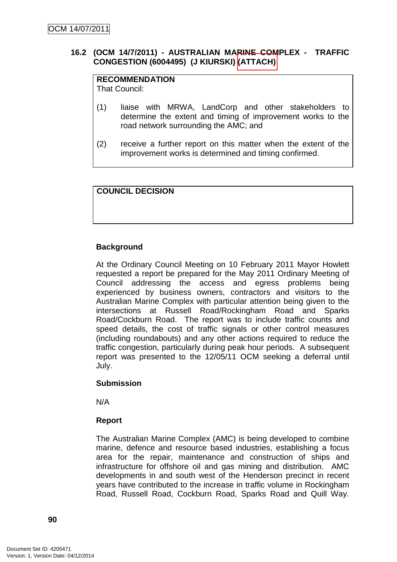### **16.2 (OCM 14/7/2011) - AUSTRALIAN MARINE COMPLEX - TRAFFIC CONGESTION (6004495) (J KIURSKI) (ATTACH)**

# **RECOMMENDATION**

That Council:

- (1) liaise with MRWA, LandCorp and other stakeholders to determine the extent and timing of improvement works to the road network surrounding the AMC; and
- (2) receive a further report on this matter when the extent of the improvement works is determined and timing confirmed.

### **COUNCIL DECISION**

### **Background**

At the Ordinary Council Meeting on 10 February 2011 Mayor Howlett requested a report be prepared for the May 2011 Ordinary Meeting of Council addressing the access and egress problems being experienced by business owners, contractors and visitors to the Australian Marine Complex with particular attention being given to the intersections at Russell Road/Rockingham Road and Sparks Road/Cockburn Road. The report was to include traffic counts and speed details, the cost of traffic signals or other control measures (including roundabouts) and any other actions required to reduce the traffic congestion, particularly during peak hour periods. A subsequent report was presented to the 12/05/11 OCM seeking a deferral until July.

### **Submission**

N/A

### **Report**

The Australian Marine Complex (AMC) is being developed to combine marine, defence and resource based industries, establishing a focus area for the repair, maintenance and construction of ships and infrastructure for offshore oil and gas mining and distribution. AMC developments in and south west of the Henderson precinct in recent years have contributed to the increase in traffic volume in Rockingham Road, Russell Road, Cockburn Road, Sparks Road and Quill Way.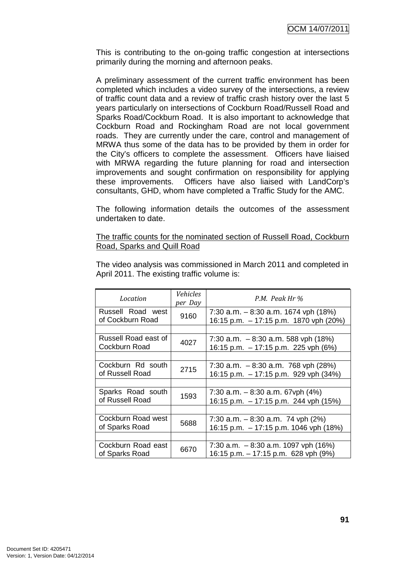This is contributing to the on-going traffic congestion at intersections primarily during the morning and afternoon peaks.

A preliminary assessment of the current traffic environment has been completed which includes a video survey of the intersections, a review of traffic count data and a review of traffic crash history over the last 5 years particularly on intersections of Cockburn Road/Russell Road and Sparks Road/Cockburn Road. It is also important to acknowledge that Cockburn Road and Rockingham Road are not local government roads. They are currently under the care, control and management of MRWA thus some of the data has to be provided by them in order for the City's officers to complete the assessment. Officers have liaised with MRWA regarding the future planning for road and intersection improvements and sought confirmation on responsibility for applying these improvements. Officers have also liaised with LandCorp's consultants, GHD, whom have completed a Traffic Study for the AMC.

The following information details the outcomes of the assessment undertaken to date.

#### The traffic counts for the nominated section of Russell Road, Cockburn Road, Sparks and Quill Road

| Location                              | Vehicles<br>per Day | P.M. Peak Hr %                                                                  |  |  |  |
|---------------------------------------|---------------------|---------------------------------------------------------------------------------|--|--|--|
| Russell Road west<br>of Cockburn Road | 9160                | 7:30 a.m. $-8:30$ a.m. 1674 vph (18%)<br>16:15 p.m. - 17:15 p.m. 1870 vph (20%) |  |  |  |
|                                       |                     |                                                                                 |  |  |  |
| Russell Road east of<br>Cockburn Road | 4027                | 7:30 a.m. $-8:30$ a.m. 588 vph (18%)<br>16:15 p.m. - 17:15 p.m. 225 vph (6%)    |  |  |  |
|                                       |                     |                                                                                 |  |  |  |
| Cockburn Rd south<br>of Russell Road  | 2715                | 7:30 a.m. $-8:30$ a.m. 768 vph (28%)<br>16:15 p.m. - 17:15 p.m. 929 vph (34%)   |  |  |  |
|                                       |                     |                                                                                 |  |  |  |
| Sparks Road south<br>of Russell Road  | 1593                | 7:30 a.m. $-8:30$ a.m. 67vph (4%)<br>16:15 p.m. - 17:15 p.m. 244 vph (15%)      |  |  |  |
|                                       |                     |                                                                                 |  |  |  |
| Cockburn Road west<br>of Sparks Road  | 5688                | 7:30 a.m. $-8:30$ a.m. 74 vph (2%)<br>16:15 p.m. - 17:15 p.m. 1046 vph (18%)    |  |  |  |
|                                       |                     |                                                                                 |  |  |  |
| Cockburn Road east<br>of Sparks Road  | 6670                | 7:30 a.m. $-8:30$ a.m. 1097 vph (16%)<br>16:15 p.m. - 17:15 p.m. 628 vph (9%)   |  |  |  |

The video analysis was commissioned in March 2011 and completed in April 2011. The existing traffic volume is: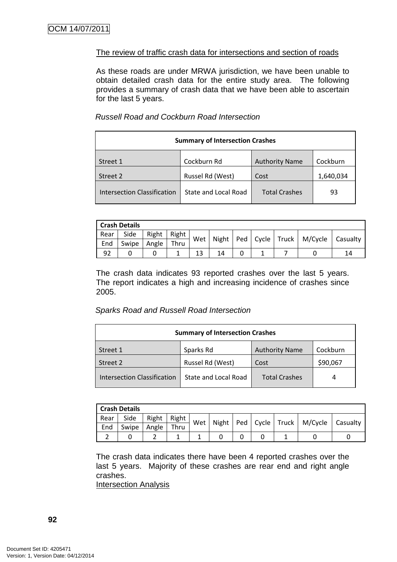### The review of traffic crash data for intersections and section of roads

As these roads are under MRWA jurisdiction, we have been unable to obtain detailed crash data for the entire study area. The following provides a summary of crash data that we have been able to ascertain for the last 5 years.

#### Russell Road and Cockburn Road Intersection

| <b>Summary of Intersection Crashes</b> |                       |                      |           |  |  |  |  |  |
|----------------------------------------|-----------------------|----------------------|-----------|--|--|--|--|--|
| Street 1                               | <b>Authority Name</b> | Cockburn             |           |  |  |  |  |  |
| Street 2                               | Russel Rd (West)      | Cost                 | 1,640,034 |  |  |  |  |  |
| <b>Intersection Classification</b>     | State and Local Road  | <b>Total Crashes</b> | 93        |  |  |  |  |  |

| <b>Crash Details</b> |       |       |       |     |  |  |  |  |                                                  |  |
|----------------------|-------|-------|-------|-----|--|--|--|--|--------------------------------------------------|--|
| Rear                 | Side  | Right | Right | Wet |  |  |  |  | Night   Ped   Cycle   Truck   M/Cycle   Casualty |  |
| End                  | Swipe | Angle | Thru  |     |  |  |  |  |                                                  |  |
| 92                   |       |       |       | 13  |  |  |  |  |                                                  |  |

The crash data indicates 93 reported crashes over the last 5 years. The report indicates a high and increasing incidence of crashes since 2005.

#### Sparks Road and Russell Road Intersection

| <b>Summary of Intersection Crashes</b> |                       |                      |          |  |  |  |  |
|----------------------------------------|-----------------------|----------------------|----------|--|--|--|--|
| Street 1                               | <b>Authority Name</b> | Cockburn             |          |  |  |  |  |
| Street 2                               | Russel Rd (West)      | Cost                 | \$90,067 |  |  |  |  |
| <b>Intersection Classification</b>     | State and Local Road  | <b>Total Crashes</b> | 4        |  |  |  |  |

| <b>Crash Details</b> |       |       |       |     |  |  |  |  |                                                  |  |
|----------------------|-------|-------|-------|-----|--|--|--|--|--------------------------------------------------|--|
| Rear                 | Side  | Right | Right | Wet |  |  |  |  | Night   Ped   Cycle   Truck   M/Cycle   Casualty |  |
| End                  | Swipe | Angle | Thru  |     |  |  |  |  |                                                  |  |
|                      |       |       |       |     |  |  |  |  |                                                  |  |

The crash data indicates there have been 4 reported crashes over the last 5 years. Majority of these crashes are rear end and right angle crashes.

Intersection Analysis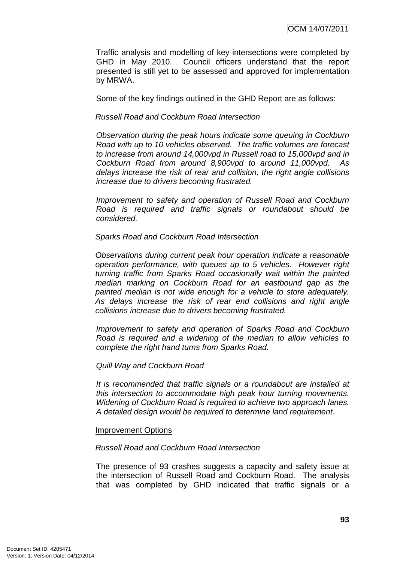Traffic analysis and modelling of key intersections were completed by GHD in May 2010. Council officers understand that the report presented is still yet to be assessed and approved for implementation by MRWA.

Some of the key findings outlined in the GHD Report are as follows:

Russell Road and Cockburn Road Intersection

Observation during the peak hours indicate some queuing in Cockburn Road with up to 10 vehicles observed. The traffic volumes are forecast to increase from around 14,000vpd in Russell road to 15,000vpd and in Cockburn Road from around 8,900vpd to around 11,000vpd. As delays increase the risk of rear and collision, the right angle collisions increase due to drivers becoming frustrated.

Improvement to safety and operation of Russell Road and Cockburn Road is required and traffic signals or roundabout should be considered.

Sparks Road and Cockburn Road Intersection

Observations during current peak hour operation indicate a reasonable operation performance, with queues up to 5 vehicles. However right turning traffic from Sparks Road occasionally wait within the painted median marking on Cockburn Road for an eastbound gap as the painted median is not wide enough for a vehicle to store adequately. As delays increase the risk of rear end collisions and right angle collisions increase due to drivers becoming frustrated.

Improvement to safety and operation of Sparks Road and Cockburn Road is required and a widening of the median to allow vehicles to complete the right hand turns from Sparks Road.

Quill Way and Cockburn Road

It is recommended that traffic signals or a roundabout are installed at this intersection to accommodate high peak hour turning movements. Widening of Cockburn Road is required to achieve two approach lanes. A detailed design would be required to determine land requirement.

### Improvement Options

### Russell Road and Cockburn Road Intersection

The presence of 93 crashes suggests a capacity and safety issue at the intersection of Russell Road and Cockburn Road. The analysis that was completed by GHD indicated that traffic signals or a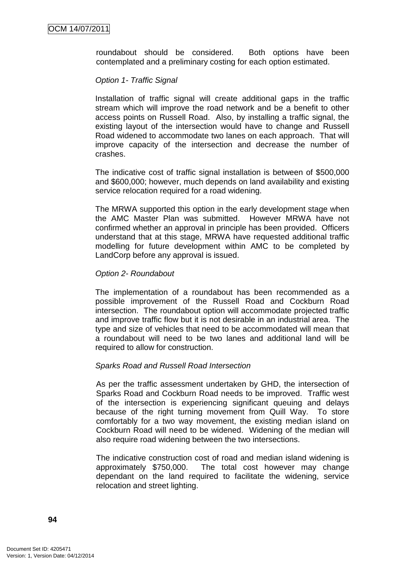roundabout should be considered. Both options have been contemplated and a preliminary costing for each option estimated.

### Option 1- Traffic Signal

Installation of traffic signal will create additional gaps in the traffic stream which will improve the road network and be a benefit to other access points on Russell Road. Also, by installing a traffic signal, the existing layout of the intersection would have to change and Russell Road widened to accommodate two lanes on each approach. That will improve capacity of the intersection and decrease the number of crashes.

The indicative cost of traffic signal installation is between of \$500,000 and \$600,000; however, much depends on land availability and existing service relocation required for a road widening.

The MRWA supported this option in the early development stage when the AMC Master Plan was submitted. However MRWA have not confirmed whether an approval in principle has been provided. Officers understand that at this stage, MRWA have requested additional traffic modelling for future development within AMC to be completed by LandCorp before any approval is issued.

### Option 2- Roundabout

The implementation of a roundabout has been recommended as a possible improvement of the Russell Road and Cockburn Road intersection. The roundabout option will accommodate projected traffic and improve traffic flow but it is not desirable in an industrial area. The type and size of vehicles that need to be accommodated will mean that a roundabout will need to be two lanes and additional land will be required to allow for construction.

### Sparks Road and Russell Road Intersection

As per the traffic assessment undertaken by GHD, the intersection of Sparks Road and Cockburn Road needs to be improved. Traffic west of the intersection is experiencing significant queuing and delays because of the right turning movement from Quill Way. To store comfortably for a two way movement, the existing median island on Cockburn Road will need to be widened. Widening of the median will also require road widening between the two intersections.

The indicative construction cost of road and median island widening is approximately \$750,000. The total cost however may change dependant on the land required to facilitate the widening, service relocation and street lighting.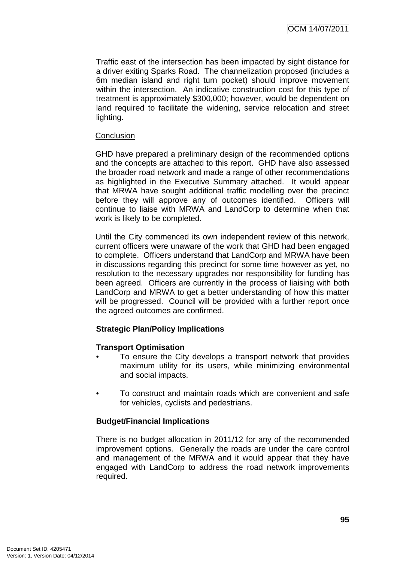Traffic east of the intersection has been impacted by sight distance for a driver exiting Sparks Road. The channelization proposed (includes a 6m median island and right turn pocket) should improve movement within the intersection. An indicative construction cost for this type of treatment is approximately \$300,000; however, would be dependent on land required to facilitate the widening, service relocation and street lighting.

### **Conclusion**

GHD have prepared a preliminary design of the recommended options and the concepts are attached to this report. GHD have also assessed the broader road network and made a range of other recommendations as highlighted in the Executive Summary attached. It would appear that MRWA have sought additional traffic modelling over the precinct before they will approve any of outcomes identified. Officers will continue to liaise with MRWA and LandCorp to determine when that work is likely to be completed.

Until the City commenced its own independent review of this network, current officers were unaware of the work that GHD had been engaged to complete. Officers understand that LandCorp and MRWA have been in discussions regarding this precinct for some time however as yet, no resolution to the necessary upgrades nor responsibility for funding has been agreed. Officers are currently in the process of liaising with both LandCorp and MRWA to get a better understanding of how this matter will be progressed. Council will be provided with a further report once the agreed outcomes are confirmed.

### **Strategic Plan/Policy Implications**

### **Transport Optimisation**

- To ensure the City develops a transport network that provides maximum utility for its users, while minimizing environmental and social impacts.
- To construct and maintain roads which are convenient and safe for vehicles, cyclists and pedestrians.

### **Budget/Financial Implications**

There is no budget allocation in 2011/12 for any of the recommended improvement options. Generally the roads are under the care control and management of the MRWA and it would appear that they have engaged with LandCorp to address the road network improvements required.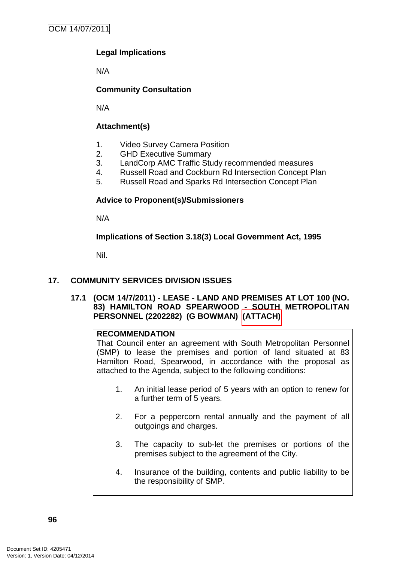# **Legal Implications**

N/A

# **Community Consultation**

N/A

# **Attachment(s)**

- 1. Video Survey Camera Position
- 2. GHD Executive Summary
- 3. LandCorp AMC Traffic Study recommended measures
- 4. Russell Road and Cockburn Rd Intersection Concept Plan
- 5. Russell Road and Sparks Rd Intersection Concept Plan

### **Advice to Proponent(s)/Submissioners**

N/A

**Implications of Section 3.18(3) Local Government Act, 1995**

Nil.

### **17. COMMUNITY SERVICES DIVISION ISSUES**

**17.1 (OCM 14/7/2011) - LEASE - LAND AND PREMISES AT LOT 100 (NO. 83) HAMILTON ROAD SPEARWOOD - SOUTH METROPOLITAN PERSONNEL (2202282) (G BOWMAN) (ATTACH)** 

### **RECOMMENDATION**

That Council enter an agreement with South Metropolitan Personnel (SMP) to lease the premises and portion of land situated at 83 Hamilton Road, Spearwood, in accordance with the proposal as attached to the Agenda, subject to the following conditions:

- 1. An initial lease period of 5 years with an option to renew for a further term of 5 years.
- 2. For a peppercorn rental annually and the payment of all outgoings and charges.
- 3. The capacity to sub-let the premises or portions of the premises subject to the agreement of the City.
- 4. Insurance of the building, contents and public liability to be the responsibility of SMP.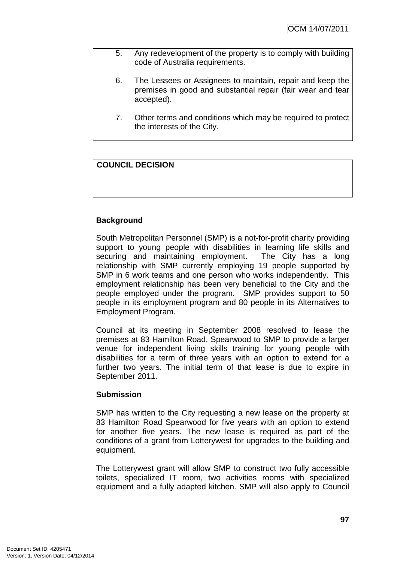- 5. Any redevelopment of the property is to comply with building code of Australia requirements.
- 6. The Lessees or Assignees to maintain, repair and keep the premises in good and substantial repair (fair wear and tear accepted).
- 7. Other terms and conditions which may be required to protect the interests of the City.

# **COUNCIL DECISION**

# **Background**

South Metropolitan Personnel (SMP) is a not-for-profit charity providing support to young people with disabilities in learning life skills and securing and maintaining employment. The City has a long relationship with SMP currently employing 19 people supported by SMP in 6 work teams and one person who works independently. This employment relationship has been very beneficial to the City and the people employed under the program. SMP provides support to 50 people in its employment program and 80 people in its Alternatives to Employment Program.

Council at its meeting in September 2008 resolved to lease the premises at 83 Hamilton Road, Spearwood to SMP to provide a larger venue for independent living skills training for young people with disabilities for a term of three years with an option to extend for a further two years. The initial term of that lease is due to expire in September 2011.

### **Submission**

SMP has written to the City requesting a new lease on the property at 83 Hamilton Road Spearwood for five years with an option to extend for another five years. The new lease is required as part of the conditions of a grant from Lotterywest for upgrades to the building and equipment.

The Lotterywest grant will allow SMP to construct two fully accessible toilets, specialized IT room, two activities rooms with specialized equipment and a fully adapted kitchen. SMP will also apply to Council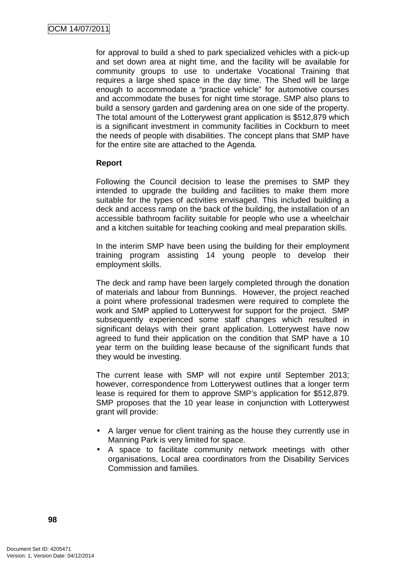for approval to build a shed to park specialized vehicles with a pick-up and set down area at night time, and the facility will be available for community groups to use to undertake Vocational Training that requires a large shed space in the day time. The Shed will be large enough to accommodate a "practice vehicle" for automotive courses and accommodate the buses for night time storage. SMP also plans to build a sensory garden and gardening area on one side of the property. The total amount of the Lotterywest grant application is \$512,879 which is a significant investment in community facilities in Cockburn to meet the needs of people with disabilities. The concept plans that SMP have for the entire site are attached to the Agenda.

# **Report**

Following the Council decision to lease the premises to SMP they intended to upgrade the building and facilities to make them more suitable for the types of activities envisaged. This included building a deck and access ramp on the back of the building, the installation of an accessible bathroom facility suitable for people who use a wheelchair and a kitchen suitable for teaching cooking and meal preparation skills.

In the interim SMP have been using the building for their employment training program assisting 14 young people to develop their employment skills.

The deck and ramp have been largely completed through the donation of materials and labour from Bunnings. However, the project reached a point where professional tradesmen were required to complete the work and SMP applied to Lotterywest for support for the project. SMP subsequently experienced some staff changes which resulted in significant delays with their grant application. Lotterywest have now agreed to fund their application on the condition that SMP have a 10 year term on the building lease because of the significant funds that they would be investing.

The current lease with SMP will not expire until September 2013; however, correspondence from Lotterywest outlines that a longer term lease is required for them to approve SMP's application for \$512,879. SMP proposes that the 10 year lease in conjunction with Lotterywest grant will provide:

- A larger venue for client training as the house they currently use in Manning Park is very limited for space.
- A space to facilitate community network meetings with other organisations, Local area coordinators from the Disability Services Commission and families.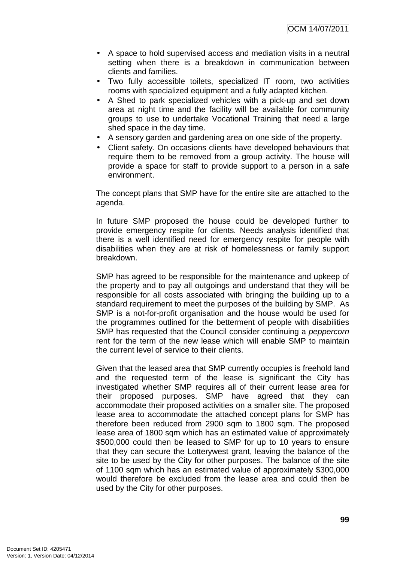- A space to hold supervised access and mediation visits in a neutral setting when there is a breakdown in communication between clients and families.
- Two fully accessible toilets, specialized IT room, two activities rooms with specialized equipment and a fully adapted kitchen.
- A Shed to park specialized vehicles with a pick-up and set down area at night time and the facility will be available for community groups to use to undertake Vocational Training that need a large shed space in the day time.
- A sensory garden and gardening area on one side of the property.
- Client safety. On occasions clients have developed behaviours that require them to be removed from a group activity. The house will provide a space for staff to provide support to a person in a safe environment.

The concept plans that SMP have for the entire site are attached to the agenda.

In future SMP proposed the house could be developed further to provide emergency respite for clients. Needs analysis identified that there is a well identified need for emergency respite for people with disabilities when they are at risk of homelessness or family support breakdown.

SMP has agreed to be responsible for the maintenance and upkeep of the property and to pay all outgoings and understand that they will be responsible for all costs associated with bringing the building up to a standard requirement to meet the purposes of the building by SMP. As SMP is a not-for-profit organisation and the house would be used for the programmes outlined for the betterment of people with disabilities SMP has requested that the Council consider continuing a *peppercorn* rent for the term of the new lease which will enable SMP to maintain the current level of service to their clients.

Given that the leased area that SMP currently occupies is freehold land and the requested term of the lease is significant the City has investigated whether SMP requires all of their current lease area for their proposed purposes. SMP have agreed that they can accommodate their proposed activities on a smaller site. The proposed lease area to accommodate the attached concept plans for SMP has therefore been reduced from 2900 sqm to 1800 sqm. The proposed lease area of 1800 sqm which has an estimated value of approximately \$500,000 could then be leased to SMP for up to 10 years to ensure that they can secure the Lotterywest grant, leaving the balance of the site to be used by the City for other purposes. The balance of the site of 1100 sqm which has an estimated value of approximately \$300,000 would therefore be excluded from the lease area and could then be used by the City for other purposes.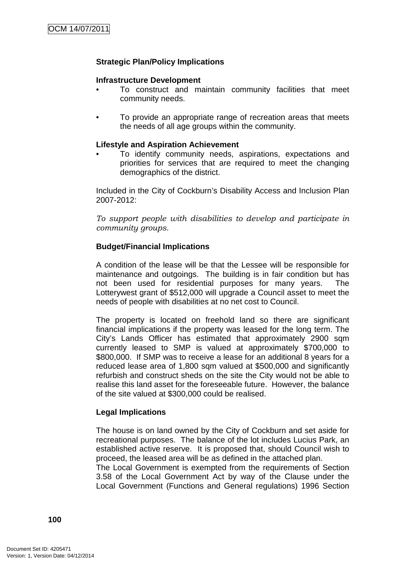### **Strategic Plan/Policy Implications**

### **Infrastructure Development**

- To construct and maintain community facilities that meet community needs.
- To provide an appropriate range of recreation areas that meets the needs of all age groups within the community.

#### **Lifestyle and Aspiration Achievement**

• To identify community needs, aspirations, expectations and priorities for services that are required to meet the changing demographics of the district.

Included in the City of Cockburn's Disability Access and Inclusion Plan 2007-2012:

To support people with disabilities to develop and participate in community groups.

#### **Budget/Financial Implications**

A condition of the lease will be that the Lessee will be responsible for maintenance and outgoings. The building is in fair condition but has not been used for residential purposes for many years. The Lotterywest grant of \$512,000 will upgrade a Council asset to meet the needs of people with disabilities at no net cost to Council.

The property is located on freehold land so there are significant financial implications if the property was leased for the long term. The City's Lands Officer has estimated that approximately 2900 sqm currently leased to SMP is valued at approximately \$700,000 to \$800,000. If SMP was to receive a lease for an additional 8 years for a reduced lease area of 1,800 sqm valued at \$500,000 and significantly refurbish and construct sheds on the site the City would not be able to realise this land asset for the foreseeable future. However, the balance of the site valued at \$300,000 could be realised.

#### **Legal Implications**

The house is on land owned by the City of Cockburn and set aside for recreational purposes. The balance of the lot includes Lucius Park, an established active reserve. It is proposed that, should Council wish to proceed, the leased area will be as defined in the attached plan.

The Local Government is exempted from the requirements of Section 3.58 of the Local Government Act by way of the Clause under the Local Government (Functions and General regulations) 1996 Section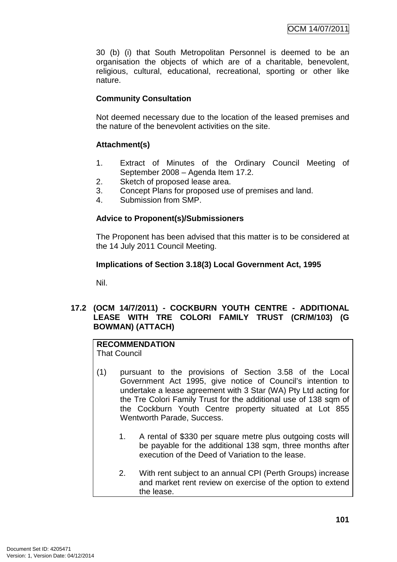30 (b) (i) that South Metropolitan Personnel is deemed to be an organisation the objects of which are of a charitable, benevolent, religious, cultural, educational, recreational, sporting or other like nature.

# **Community Consultation**

Not deemed necessary due to the location of the leased premises and the nature of the benevolent activities on the site.

# **Attachment(s)**

- 1. Extract of Minutes of the Ordinary Council Meeting of September 2008 – Agenda Item 17.2.
- 2. Sketch of proposed lease area.
- 3. Concept Plans for proposed use of premises and land.
- 4. Submission from SMP.

# **Advice to Proponent(s)/Submissioners**

The Proponent has been advised that this matter is to be considered at the 14 July 2011 Council Meeting.

### **Implications of Section 3.18(3) Local Government Act, 1995**

Nil.

### **17.2 (OCM 14/7/2011) - COCKBURN YOUTH CENTRE - ADDITIONAL LEASE WITH TRE COLORI FAMILY TRUST (CR/M/103) (G BOWMAN) (ATTACH)**

#### **RECOMMENDATION** That Council

- (1) pursuant to the provisions of Section 3.58 of the Local Government Act 1995, give notice of Council's intention to undertake a lease agreement with 3 Star (WA) Pty Ltd acting for the Tre Colori Family Trust for the additional use of 138 sqm of the Cockburn Youth Centre property situated at Lot 855 Wentworth Parade, Success.
	- 1. A rental of \$330 per square metre plus outgoing costs will be payable for the additional 138 sqm, three months after execution of the Deed of Variation to the lease.
	- 2. With rent subject to an annual CPI (Perth Groups) increase and market rent review on exercise of the option to extend the lease.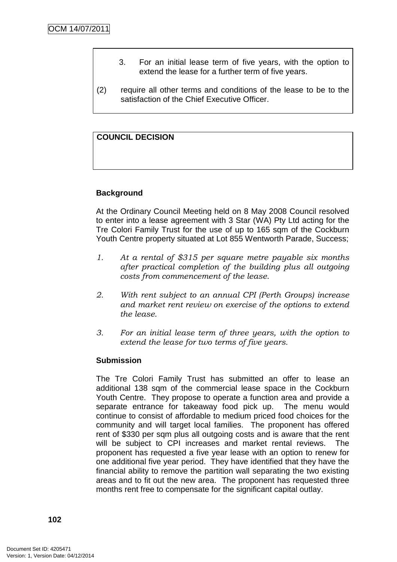- 3. For an initial lease term of five years, with the option to extend the lease for a further term of five years.
- (2) require all other terms and conditions of the lease to be to the satisfaction of the Chief Executive Officer.

### **COUNCIL DECISION**

### **Background**

At the Ordinary Council Meeting held on 8 May 2008 Council resolved to enter into a lease agreement with 3 Star (WA) Pty Ltd acting for the Tre Colori Family Trust for the use of up to 165 sqm of the Cockburn Youth Centre property situated at Lot 855 Wentworth Parade, Success;

- 1. At a rental of \$315 per square metre payable six months after practical completion of the building plus all outgoing costs from commencement of the lease.
- 2. With rent subject to an annual CPI (Perth Groups) increase and market rent review on exercise of the options to extend the lease.
- 3. For an initial lease term of three years, with the option to extend the lease for two terms of five years.

#### **Submission**

The Tre Colori Family Trust has submitted an offer to lease an additional 138 sqm of the commercial lease space in the Cockburn Youth Centre. They propose to operate a function area and provide a separate entrance for takeaway food pick up. The menu would continue to consist of affordable to medium priced food choices for the community and will target local families. The proponent has offered rent of \$330 per sqm plus all outgoing costs and is aware that the rent will be subject to CPI increases and market rental reviews. The proponent has requested a five year lease with an option to renew for one additional five year period. They have identified that they have the financial ability to remove the partition wall separating the two existing areas and to fit out the new area. The proponent has requested three months rent free to compensate for the significant capital outlay.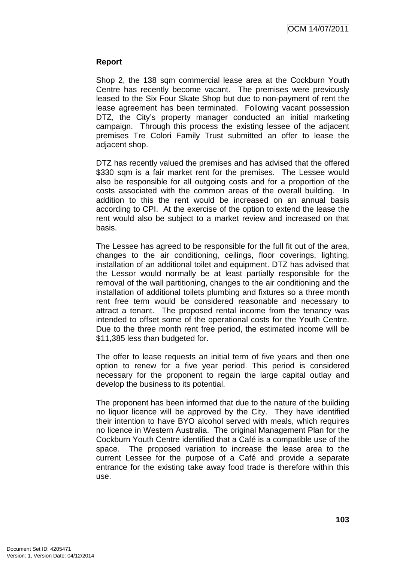### **Report**

Shop 2, the 138 sqm commercial lease area at the Cockburn Youth Centre has recently become vacant. The premises were previously leased to the Six Four Skate Shop but due to non-payment of rent the lease agreement has been terminated. Following vacant possession DTZ, the City's property manager conducted an initial marketing campaign. Through this process the existing lessee of the adjacent premises Tre Colori Family Trust submitted an offer to lease the adjacent shop.

DTZ has recently valued the premises and has advised that the offered \$330 sqm is a fair market rent for the premises. The Lessee would also be responsible for all outgoing costs and for a proportion of the costs associated with the common areas of the overall building. In addition to this the rent would be increased on an annual basis according to CPI. At the exercise of the option to extend the lease the rent would also be subject to a market review and increased on that basis.

The Lessee has agreed to be responsible for the full fit out of the area, changes to the air conditioning, ceilings, floor coverings, lighting, installation of an additional toilet and equipment. DTZ has advised that the Lessor would normally be at least partially responsible for the removal of the wall partitioning, changes to the air conditioning and the installation of additional toilets plumbing and fixtures so a three month rent free term would be considered reasonable and necessary to attract a tenant. The proposed rental income from the tenancy was intended to offset some of the operational costs for the Youth Centre. Due to the three month rent free period, the estimated income will be \$11,385 less than budgeted for.

The offer to lease requests an initial term of five years and then one option to renew for a five year period. This period is considered necessary for the proponent to regain the large capital outlay and develop the business to its potential.

The proponent has been informed that due to the nature of the building no liquor licence will be approved by the City. They have identified their intention to have BYO alcohol served with meals, which requires no licence in Western Australia. The original Management Plan for the Cockburn Youth Centre identified that a Café is a compatible use of the space. The proposed variation to increase the lease area to the current Lessee for the purpose of a Café and provide a separate entrance for the existing take away food trade is therefore within this use.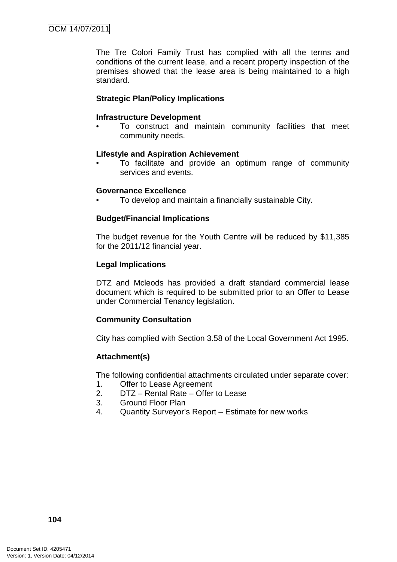The Tre Colori Family Trust has complied with all the terms and conditions of the current lease, and a recent property inspection of the premises showed that the lease area is being maintained to a high standard.

### **Strategic Plan/Policy Implications**

#### **Infrastructure Development**

• To construct and maintain community facilities that meet community needs.

#### **Lifestyle and Aspiration Achievement**

• To facilitate and provide an optimum range of community services and events.

#### **Governance Excellence**

• To develop and maintain a financially sustainable City.

### **Budget/Financial Implications**

The budget revenue for the Youth Centre will be reduced by \$11,385 for the 2011/12 financial year.

### **Legal Implications**

DTZ and Mcleods has provided a draft standard commercial lease document which is required to be submitted prior to an Offer to Lease under Commercial Tenancy legislation.

### **Community Consultation**

City has complied with Section 3.58 of the Local Government Act 1995.

### **Attachment(s)**

The following confidential attachments circulated under separate cover:

- 1. Offer to Lease Agreement
- 2. DTZ Rental Rate Offer to Lease
- 3. Ground Floor Plan
- 4. Quantity Surveyor's Report Estimate for new works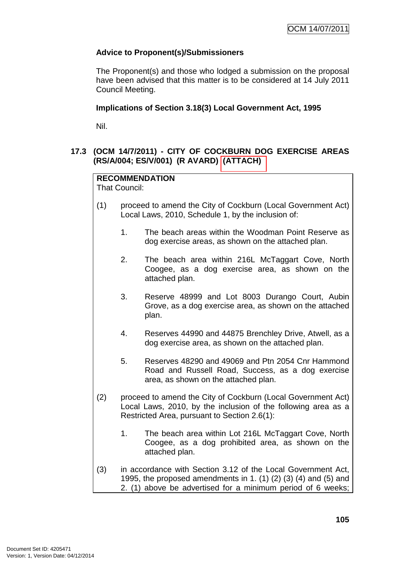## **Advice to Proponent(s)/Submissioners**

The Proponent(s) and those who lodged a submission on the proposal have been advised that this matter is to be considered at 14 July 2011 Council Meeting.

## **Implications of Section 3.18(3) Local Government Act, 1995**

Nil.

# **17.3 (OCM 14/7/2011) - CITY OF COCKBURN DOG EXERCISE AREAS (RS/A/004; ES/V/001) (R AVARD) (ATTACH)**

# **RECOMMENDATION**

That Council:

- (1) proceed to amend the City of Cockburn (Local Government Act) Local Laws, 2010, Schedule 1, by the inclusion of:
	- 1. The beach areas within the Woodman Point Reserve as dog exercise areas, as shown on the attached plan.
	- 2. The beach area within 216L McTaggart Cove, North Coogee, as a dog exercise area, as shown on the attached plan.
	- 3. Reserve 48999 and Lot 8003 Durango Court, Aubin Grove, as a dog exercise area, as shown on the attached plan.
	- 4. Reserves 44990 and 44875 Brenchley Drive, Atwell, as a dog exercise area, as shown on the attached plan.
	- 5. Reserves 48290 and 49069 and Ptn 2054 Cnr Hammond Road and Russell Road, Success, as a dog exercise area, as shown on the attached plan.
- (2) proceed to amend the City of Cockburn (Local Government Act) Local Laws, 2010, by the inclusion of the following area as a Restricted Area, pursuant to Section 2.6(1):
	- 1. The beach area within Lot 216L McTaggart Cove, North Coogee, as a dog prohibited area, as shown on the attached plan.
- (3) in accordance with Section 3.12 of the Local Government Act, 1995, the proposed amendments in 1. (1) (2) (3) (4) and (5) and 2. (1) above be advertised for a minimum period of 6 weeks;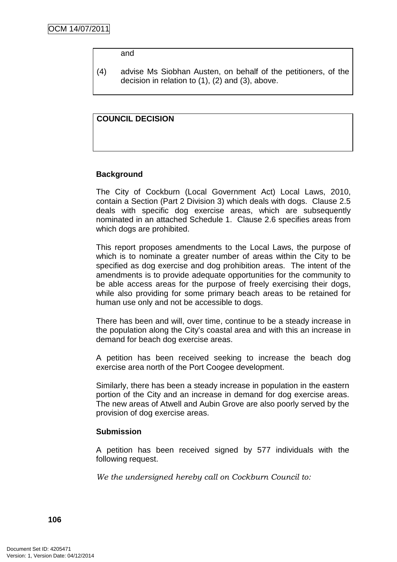#### and

(4) advise Ms Siobhan Austen, on behalf of the petitioners, of the decision in relation to (1), (2) and (3), above.

#### **COUNCIL DECISION**

#### **Background**

The City of Cockburn (Local Government Act) Local Laws, 2010, contain a Section (Part 2 Division 3) which deals with dogs. Clause 2.5 deals with specific dog exercise areas, which are subsequently nominated in an attached Schedule 1. Clause 2.6 specifies areas from which dogs are prohibited.

This report proposes amendments to the Local Laws, the purpose of which is to nominate a greater number of areas within the City to be specified as dog exercise and dog prohibition areas. The intent of the amendments is to provide adequate opportunities for the community to be able access areas for the purpose of freely exercising their dogs, while also providing for some primary beach areas to be retained for human use only and not be accessible to dogs.

There has been and will, over time, continue to be a steady increase in the population along the City's coastal area and with this an increase in demand for beach dog exercise areas.

A petition has been received seeking to increase the beach dog exercise area north of the Port Coogee development.

Similarly, there has been a steady increase in population in the eastern portion of the City and an increase in demand for dog exercise areas. The new areas of Atwell and Aubin Grove are also poorly served by the provision of dog exercise areas.

#### **Submission**

A petition has been received signed by 577 individuals with the following request.

We the undersigned hereby call on Cockburn Council to: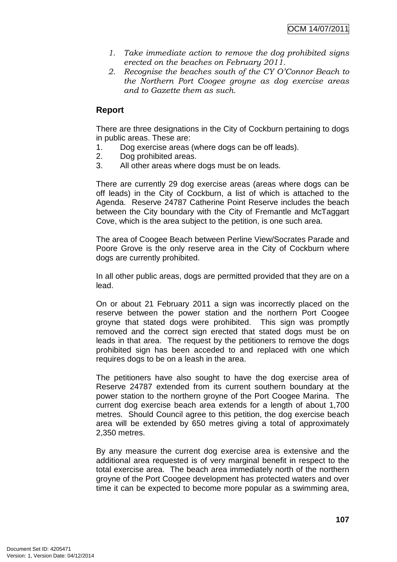- 1. Take immediate action to remove the dog prohibited signs erected on the beaches on February 2011.
- 2. Recognise the beaches south of the CY O'Connor Beach to the Northern Port Coogee groyne as dog exercise areas and to Gazette them as such.

# **Report**

There are three designations in the City of Cockburn pertaining to dogs in public areas. These are:

- 1. Dog exercise areas (where dogs can be off leads).
- 2. Dog prohibited areas.
- 3. All other areas where dogs must be on leads.

There are currently 29 dog exercise areas (areas where dogs can be off leads) in the City of Cockburn, a list of which is attached to the Agenda. Reserve 24787 Catherine Point Reserve includes the beach between the City boundary with the City of Fremantle and McTaggart Cove, which is the area subject to the petition, is one such area.

The area of Coogee Beach between Perline View/Socrates Parade and Poore Grove is the only reserve area in the City of Cockburn where dogs are currently prohibited.

In all other public areas, dogs are permitted provided that they are on a lead.

On or about 21 February 2011 a sign was incorrectly placed on the reserve between the power station and the northern Port Coogee groyne that stated dogs were prohibited. This sign was promptly removed and the correct sign erected that stated dogs must be on leads in that area. The request by the petitioners to remove the dogs prohibited sign has been acceded to and replaced with one which requires dogs to be on a leash in the area.

The petitioners have also sought to have the dog exercise area of Reserve 24787 extended from its current southern boundary at the power station to the northern groyne of the Port Coogee Marina. The current dog exercise beach area extends for a length of about 1,700 metres. Should Council agree to this petition, the dog exercise beach area will be extended by 650 metres giving a total of approximately 2,350 metres.

By any measure the current dog exercise area is extensive and the additional area requested is of very marginal benefit in respect to the total exercise area. The beach area immediately north of the northern groyne of the Port Coogee development has protected waters and over time it can be expected to become more popular as a swimming area,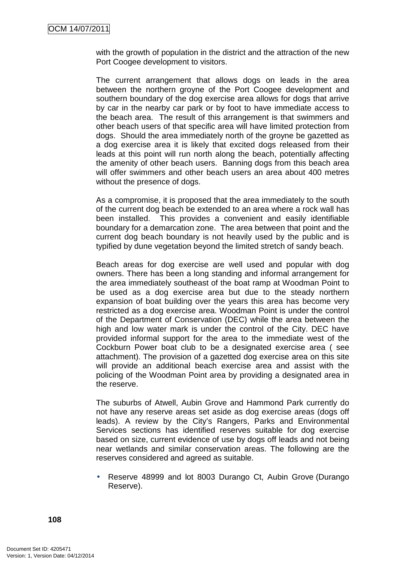with the growth of population in the district and the attraction of the new Port Coogee development to visitors.

The current arrangement that allows dogs on leads in the area between the northern groyne of the Port Coogee development and southern boundary of the dog exercise area allows for dogs that arrive by car in the nearby car park or by foot to have immediate access to the beach area. The result of this arrangement is that swimmers and other beach users of that specific area will have limited protection from dogs. Should the area immediately north of the groyne be gazetted as a dog exercise area it is likely that excited dogs released from their leads at this point will run north along the beach, potentially affecting the amenity of other beach users. Banning dogs from this beach area will offer swimmers and other beach users an area about 400 metres without the presence of dogs.

As a compromise, it is proposed that the area immediately to the south of the current dog beach be extended to an area where a rock wall has been installed. This provides a convenient and easily identifiable boundary for a demarcation zone. The area between that point and the current dog beach boundary is not heavily used by the public and is typified by dune vegetation beyond the limited stretch of sandy beach.

Beach areas for dog exercise are well used and popular with dog owners. There has been a long standing and informal arrangement for the area immediately southeast of the boat ramp at Woodman Point to be used as a dog exercise area but due to the steady northern expansion of boat building over the years this area has become very restricted as a dog exercise area. Woodman Point is under the control of the Department of Conservation (DEC) while the area between the high and low water mark is under the control of the City. DEC have provided informal support for the area to the immediate west of the Cockburn Power boat club to be a designated exercise area ( see attachment). The provision of a gazetted dog exercise area on this site will provide an additional beach exercise area and assist with the policing of the Woodman Point area by providing a designated area in the reserve.

The suburbs of Atwell, Aubin Grove and Hammond Park currently do not have any reserve areas set aside as dog exercise areas (dogs off leads). A review by the City's Rangers, Parks and Environmental Services sections has identified reserves suitable for dog exercise based on size, current evidence of use by dogs off leads and not being near wetlands and similar conservation areas. The following are the reserves considered and agreed as suitable.

• Reserve 48999 and lot 8003 Durango Ct, Aubin Grove (Durango Reserve).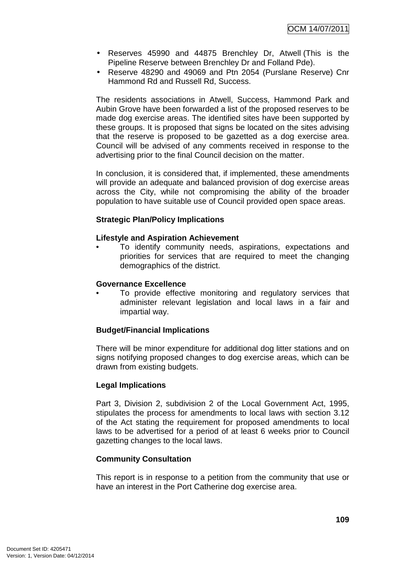- Reserves 45990 and 44875 Brenchley Dr, Atwell (This is the Pipeline Reserve between Brenchley Dr and Folland Pde).
- Reserve 48290 and 49069 and Ptn 2054 (Purslane Reserve) Cnr Hammond Rd and Russell Rd, Success.

The residents associations in Atwell, Success, Hammond Park and Aubin Grove have been forwarded a list of the proposed reserves to be made dog exercise areas. The identified sites have been supported by these groups. It is proposed that signs be located on the sites advising that the reserve is proposed to be gazetted as a dog exercise area. Council will be advised of any comments received in response to the advertising prior to the final Council decision on the matter.

In conclusion, it is considered that, if implemented, these amendments will provide an adequate and balanced provision of dog exercise areas across the City, while not compromising the ability of the broader population to have suitable use of Council provided open space areas.

## **Strategic Plan/Policy Implications**

#### **Lifestyle and Aspiration Achievement**

• To identify community needs, aspirations, expectations and priorities for services that are required to meet the changing demographics of the district.

#### **Governance Excellence**

To provide effective monitoring and regulatory services that administer relevant legislation and local laws in a fair and impartial way.

#### **Budget/Financial Implications**

There will be minor expenditure for additional dog litter stations and on signs notifying proposed changes to dog exercise areas, which can be drawn from existing budgets.

#### **Legal Implications**

Part 3, Division 2, subdivision 2 of the Local Government Act, 1995, stipulates the process for amendments to local laws with section 3.12 of the Act stating the requirement for proposed amendments to local laws to be advertised for a period of at least 6 weeks prior to Council gazetting changes to the local laws.

#### **Community Consultation**

This report is in response to a petition from the community that use or have an interest in the Port Catherine dog exercise area.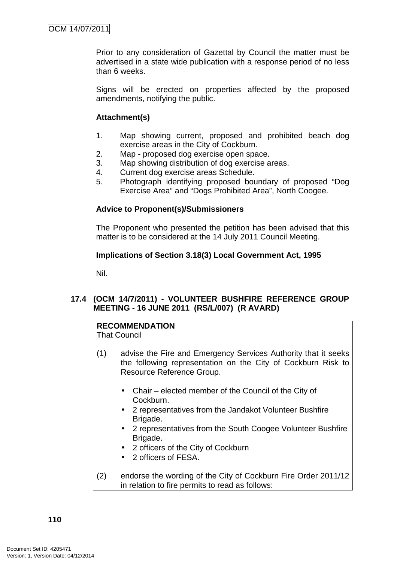Prior to any consideration of Gazettal by Council the matter must be advertised in a state wide publication with a response period of no less than 6 weeks.

Signs will be erected on properties affected by the proposed amendments, notifying the public.

#### **Attachment(s)**

- 1. Map showing current, proposed and prohibited beach dog exercise areas in the City of Cockburn.
- 2. Map proposed dog exercise open space.
- 3. Map showing distribution of dog exercise areas.
- 4. Current dog exercise areas Schedule.
- 5. Photograph identifying proposed boundary of proposed "Dog Exercise Area" and "Dogs Prohibited Area", North Coogee.

## **Advice to Proponent(s)/Submissioners**

The Proponent who presented the petition has been advised that this matter is to be considered at the 14 July 2011 Council Meeting.

## **Implications of Section 3.18(3) Local Government Act, 1995**

Nil.

## **17.4 (OCM 14/7/2011) - VOLUNTEER BUSHFIRE REFERENCE GROUP MEETING - 16 JUNE 2011 (RS/L/007) (R AVARD)**

# **RECOMMENDATION**

That Council

- (1) advise the Fire and Emergency Services Authority that it seeks the following representation on the City of Cockburn Risk to Resource Reference Group.
	- Chair elected member of the Council of the City of Cockburn.
	- 2 representatives from the Jandakot Volunteer Bushfire Brigade.
	- 2 representatives from the South Coogee Volunteer Bushfire Brigade.
	- 2 officers of the City of Cockburn
	- 2 officers of FFSA.
- (2) endorse the wording of the City of Cockburn Fire Order 2011/12 in relation to fire permits to read as follows: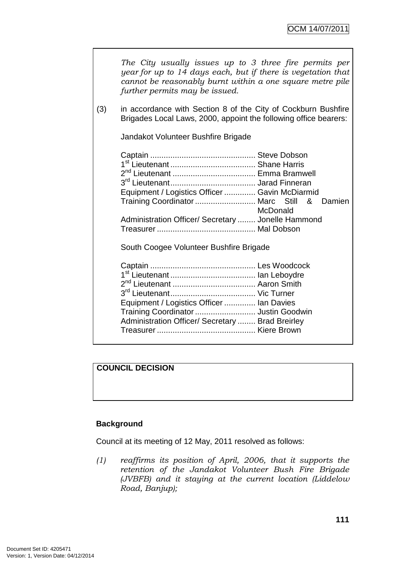|     | The City usually issues up to 3 three fire permits per<br>year for up to 14 days each, but if there is vegetation that<br>cannot be reasonably burnt within a one square metre pile<br>further permits may be issued. |
|-----|-----------------------------------------------------------------------------------------------------------------------------------------------------------------------------------------------------------------------|
| (3) | in accordance with Section 8 of the City of Cockburn Bushfire<br>Brigades Local Laws, 2000, appoint the following office bearers:                                                                                     |
|     | Jandakot Volunteer Bushfire Brigade                                                                                                                                                                                   |
|     | Equipment / Logistics Officer  Gavin McDiarmid<br>Training Coordinator  Marc Still<br>&<br>Damien<br>McDonald<br>Administration Officer/ Secretary  Jonelle Hammond                                                   |
|     | South Coogee Volunteer Bushfire Brigade                                                                                                                                                                               |
|     | Equipment / Logistics Officer  Ian Davies<br>Training Coordinator  Justin Goodwin<br>Administration Officer/ Secretary  Brad Breirley                                                                                 |

# **COUNCIL DECISION**

## **Background**

Council at its meeting of 12 May, 2011 resolved as follows:

(1) reaffirms its position of April, 2006, that it supports the retention of the Jandakot Volunteer Bush Fire Brigade (JVBFB) and it staying at the current location (Liddelow Road, Banjup);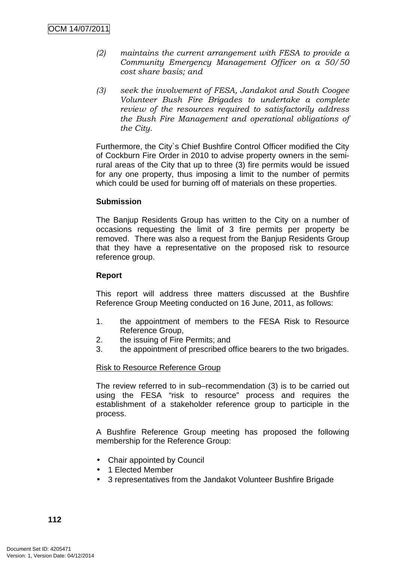- (2) maintains the current arrangement with FESA to provide a Community Emergency Management Officer on a 50/50 cost share basis; and
- (3) seek the involvement of FESA, Jandakot and South Coogee Volunteer Bush Fire Brigades to undertake a complete review of the resources required to satisfactorily address the Bush Fire Management and operational obligations of the City.

Furthermore, the City`s Chief Bushfire Control Officer modified the City of Cockburn Fire Order in 2010 to advise property owners in the semirural areas of the City that up to three (3) fire permits would be issued for any one property, thus imposing a limit to the number of permits which could be used for burning off of materials on these properties.

#### **Submission**

The Banjup Residents Group has written to the City on a number of occasions requesting the limit of 3 fire permits per property be removed. There was also a request from the Banjup Residents Group that they have a representative on the proposed risk to resource reference group.

#### **Report**

This report will address three matters discussed at the Bushfire Reference Group Meeting conducted on 16 June, 2011, as follows:

- 1. the appointment of members to the FESA Risk to Resource Reference Group,
- 2. the issuing of Fire Permits; and
- 3. the appointment of prescribed office bearers to the two brigades.

#### Risk to Resource Reference Group

The review referred to in sub–recommendation (3) is to be carried out using the FESA "risk to resource" process and requires the establishment of a stakeholder reference group to participle in the process.

A Bushfire Reference Group meeting has proposed the following membership for the Reference Group:

- Chair appointed by Council
- 1 Elected Member
- 3 representatives from the Jandakot Volunteer Bushfire Brigade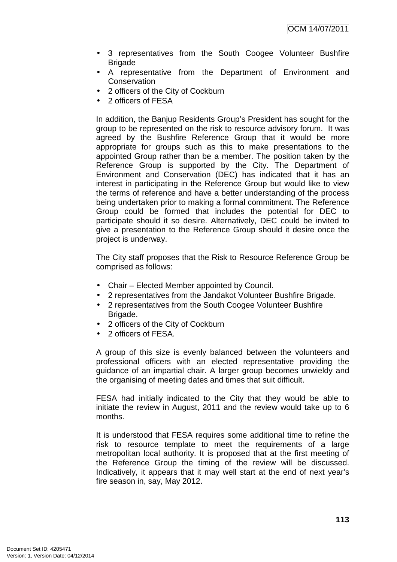- 3 representatives from the South Coogee Volunteer Bushfire Brigade
- A representative from the Department of Environment and **Conservation**
- 2 officers of the City of Cockburn
- 2 officers of FESA

In addition, the Banjup Residents Group's President has sought for the group to be represented on the risk to resource advisory forum. It was agreed by the Bushfire Reference Group that it would be more appropriate for groups such as this to make presentations to the appointed Group rather than be a member. The position taken by the Reference Group is supported by the City. The Department of Environment and Conservation (DEC) has indicated that it has an interest in participating in the Reference Group but would like to view the terms of reference and have a better understanding of the process being undertaken prior to making a formal commitment. The Reference Group could be formed that includes the potential for DEC to participate should it so desire. Alternatively, DEC could be invited to give a presentation to the Reference Group should it desire once the project is underway.

The City staff proposes that the Risk to Resource Reference Group be comprised as follows:

- Chair Elected Member appointed by Council.
- 2 representatives from the Jandakot Volunteer Bushfire Brigade.
- 2 representatives from the South Coogee Volunteer Bushfire Brigade.
- 2 officers of the City of Cockburn
- 2 officers of FESA.

A group of this size is evenly balanced between the volunteers and professional officers with an elected representative providing the guidance of an impartial chair. A larger group becomes unwieldy and the organising of meeting dates and times that suit difficult.

FESA had initially indicated to the City that they would be able to initiate the review in August, 2011 and the review would take up to 6 months.

It is understood that FESA requires some additional time to refine the risk to resource template to meet the requirements of a large metropolitan local authority. It is proposed that at the first meeting of the Reference Group the timing of the review will be discussed. Indicatively, it appears that it may well start at the end of next year's fire season in, say, May 2012.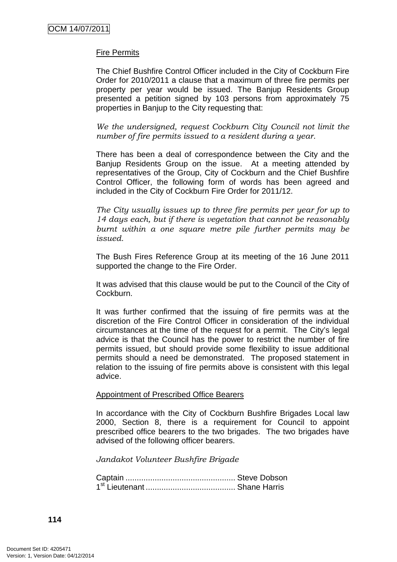## Fire Permits

The Chief Bushfire Control Officer included in the City of Cockburn Fire Order for 2010/2011 a clause that a maximum of three fire permits per property per year would be issued. The Banjup Residents Group presented a petition signed by 103 persons from approximately 75 properties in Banjup to the City requesting that:

We the undersigned, request Cockburn City Council not limit the number of fire permits issued to a resident during a year.

There has been a deal of correspondence between the City and the Banjup Residents Group on the issue. At a meeting attended by representatives of the Group, City of Cockburn and the Chief Bushfire Control Officer, the following form of words has been agreed and included in the City of Cockburn Fire Order for 2011/12.

The City usually issues up to three fire permits per year for up to 14 days each, but if there is vegetation that cannot be reasonably burnt within a one square metre pile further permits may be issued.

The Bush Fires Reference Group at its meeting of the 16 June 2011 supported the change to the Fire Order.

It was advised that this clause would be put to the Council of the City of Cockburn.

It was further confirmed that the issuing of fire permits was at the discretion of the Fire Control Officer in consideration of the individual circumstances at the time of the request for a permit. The City's legal advice is that the Council has the power to restrict the number of fire permits issued, but should provide some flexibility to issue additional permits should a need be demonstrated. The proposed statement in relation to the issuing of fire permits above is consistent with this legal advice.

#### Appointment of Prescribed Office Bearers

In accordance with the City of Cockburn Bushfire Brigades Local law 2000, Section 8, there is a requirement for Council to appoint prescribed office bearers to the two brigades. The two brigades have advised of the following officer bearers.

Jandakot Volunteer Bushfire Brigade

Captain ................................................. Steve Dobson 1 st Lieutenant ........................................ Shane Harris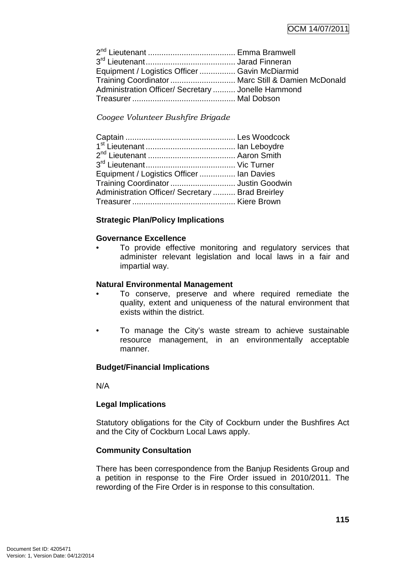| Equipment / Logistics Officer  Gavin McDiarmid     |  |
|----------------------------------------------------|--|
| Training Coordinator  Marc Still & Damien McDonald |  |
| Administration Officer/ Secretary  Jonelle Hammond |  |
|                                                    |  |

Coogee Volunteer Bushfire Brigade

| Equipment / Logistics Officer  Ian Davies        |  |
|--------------------------------------------------|--|
| Training Coordinator  Justin Goodwin             |  |
| Administration Officer/ Secretary  Brad Breirley |  |
|                                                  |  |
|                                                  |  |

## **Strategic Plan/Policy Implications**

## **Governance Excellence**

To provide effective monitoring and regulatory services that administer relevant legislation and local laws in a fair and impartial way.

#### **Natural Environmental Management**

- To conserve, preserve and where required remediate the quality, extent and uniqueness of the natural environment that exists within the district.
- To manage the City's waste stream to achieve sustainable resource management, in an environmentally acceptable manner.

#### **Budget/Financial Implications**

N/A

#### **Legal Implications**

Statutory obligations for the City of Cockburn under the Bushfires Act and the City of Cockburn Local Laws apply.

## **Community Consultation**

There has been correspondence from the Banjup Residents Group and a petition in response to the Fire Order issued in 2010/2011. The rewording of the Fire Order is in response to this consultation.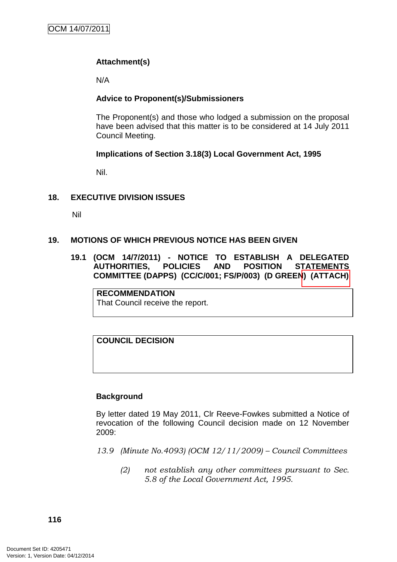# **Attachment(s)**

N/A

## **Advice to Proponent(s)/Submissioners**

The Proponent(s) and those who lodged a submission on the proposal have been advised that this matter is to be considered at 14 July 2011 Council Meeting.

## **Implications of Section 3.18(3) Local Government Act, 1995**

Nil.

## **18. EXECUTIVE DIVISION ISSUES**

Nil

## **19. MOTIONS OF WHICH PREVIOUS NOTICE HAS BEEN GIVEN**

**19.1 (OCM 14/7/2011) - NOTICE TO ESTABLISH A DELEGATED AUTHORITIES, POLICIES AND POSITION STATEMENTS COMMITTEE (DAPPS) (CC/C/001; FS/P/003) (D GREEN) (ATTACH)** 

**RECOMMENDATION** That Council receive the report.

**COUNCIL DECISION**

#### **Background**

By letter dated 19 May 2011, Clr Reeve-Fowkes submitted a Notice of revocation of the following Council decision made on 12 November 2009:

- 13.9 (Minute No.4093) (OCM 12/11/2009) Council Committees
	- (2) not establish any other committees pursuant to Sec. 5.8 of the Local Government Act, 1995.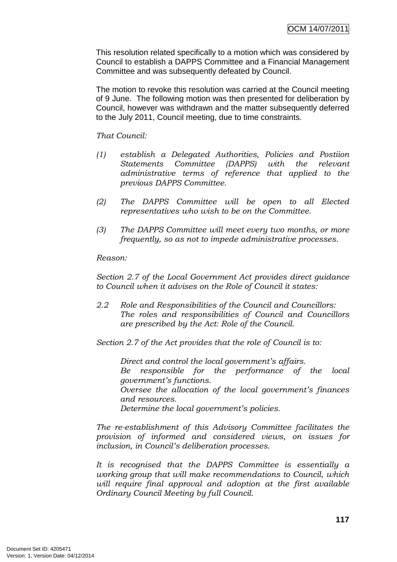This resolution related specifically to a motion which was considered by Council to establish a DAPPS Committee and a Financial Management Committee and was subsequently defeated by Council.

The motion to revoke this resolution was carried at the Council meeting of 9 June. The following motion was then presented for deliberation by Council, however was withdrawn and the matter subsequently deferred to the July 2011, Council meeting, due to time constraints.

## That Council:

- (1) establish a Delegated Authorities, Policies and Postiion Statements Committee (DAPPS) with the relevant administrative terms of reference that applied to the previous DAPPS Committee.
- (2) The DAPPS Committee will be open to all Elected representatives who wish to be on the Committee.
- (3) The DAPPS Committee will meet every two months, or more frequently, so as not to impede administrative processes.

#### Reason:

Section 2.7 of the Local Government Act provides direct guidance to Council when it advises on the Role of Council it states:

2.2 Role and Responsibilities of the Council and Councillors: The roles and responsibilities of Council and Councillors are prescribed by the Act: Role of the Council.

Section 2.7 of the Act provides that the role of Council is to:

Direct and control the local government's affairs. Be responsible for the performance of the local government's functions. Oversee the allocation of the local government's finances and resources. Determine the local government's policies.

The re-establishment of this Advisory Committee facilitates the provision of informed and considered views, on issues for inclusion, in Council's deliberation processes.

It is recognised that the DAPPS Committee is essentially a working group that will make recommendations to Council, which will require final approval and adoption at the first available Ordinary Council Meeting by full Council.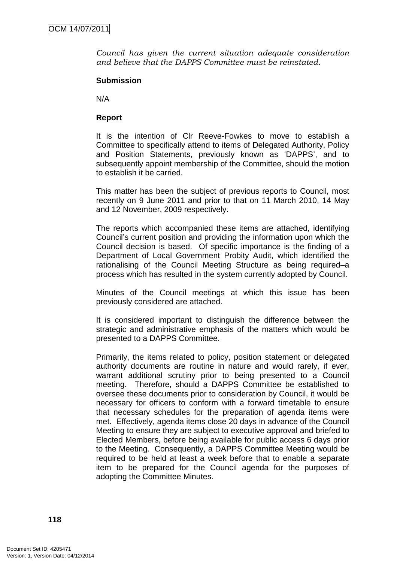Council has given the current situation adequate consideration and believe that the DAPPS Committee must be reinstated.

#### **Submission**

N/A

## **Report**

It is the intention of Clr Reeve-Fowkes to move to establish a Committee to specifically attend to items of Delegated Authority, Policy and Position Statements, previously known as 'DAPPS', and to subsequently appoint membership of the Committee, should the motion to establish it be carried.

This matter has been the subject of previous reports to Council, most recently on 9 June 2011 and prior to that on 11 March 2010, 14 May and 12 November, 2009 respectively.

The reports which accompanied these items are attached, identifying Council's current position and providing the information upon which the Council decision is based. Of specific importance is the finding of a Department of Local Government Probity Audit, which identified the rationalising of the Council Meeting Structure as being required–a process which has resulted in the system currently adopted by Council.

Minutes of the Council meetings at which this issue has been previously considered are attached.

It is considered important to distinguish the difference between the strategic and administrative emphasis of the matters which would be presented to a DAPPS Committee.

Primarily, the items related to policy, position statement or delegated authority documents are routine in nature and would rarely, if ever, warrant additional scrutiny prior to being presented to a Council meeting. Therefore, should a DAPPS Committee be established to oversee these documents prior to consideration by Council, it would be necessary for officers to conform with a forward timetable to ensure that necessary schedules for the preparation of agenda items were met. Effectively, agenda items close 20 days in advance of the Council Meeting to ensure they are subject to executive approval and briefed to Elected Members, before being available for public access 6 days prior to the Meeting. Consequently, a DAPPS Committee Meeting would be required to be held at least a week before that to enable a separate item to be prepared for the Council agenda for the purposes of adopting the Committee Minutes.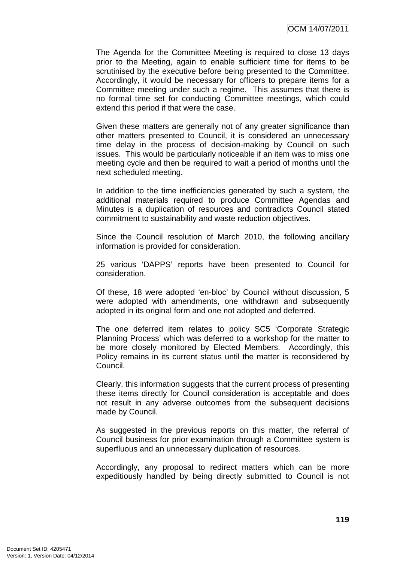The Agenda for the Committee Meeting is required to close 13 days prior to the Meeting, again to enable sufficient time for items to be scrutinised by the executive before being presented to the Committee. Accordingly, it would be necessary for officers to prepare items for a Committee meeting under such a regime. This assumes that there is no formal time set for conducting Committee meetings, which could extend this period if that were the case.

Given these matters are generally not of any greater significance than other matters presented to Council, it is considered an unnecessary time delay in the process of decision-making by Council on such issues. This would be particularly noticeable if an item was to miss one meeting cycle and then be required to wait a period of months until the next scheduled meeting.

In addition to the time inefficiencies generated by such a system, the additional materials required to produce Committee Agendas and Minutes is a duplication of resources and contradicts Council stated commitment to sustainability and waste reduction objectives.

Since the Council resolution of March 2010, the following ancillary information is provided for consideration.

25 various 'DAPPS' reports have been presented to Council for consideration.

Of these, 18 were adopted 'en-bloc' by Council without discussion, 5 were adopted with amendments, one withdrawn and subsequently adopted in its original form and one not adopted and deferred.

The one deferred item relates to policy SC5 'Corporate Strategic Planning Process' which was deferred to a workshop for the matter to be more closely monitored by Elected Members. Accordingly, this Policy remains in its current status until the matter is reconsidered by Council.

Clearly, this information suggests that the current process of presenting these items directly for Council consideration is acceptable and does not result in any adverse outcomes from the subsequent decisions made by Council.

As suggested in the previous reports on this matter, the referral of Council business for prior examination through a Committee system is superfluous and an unnecessary duplication of resources.

Accordingly, any proposal to redirect matters which can be more expeditiously handled by being directly submitted to Council is not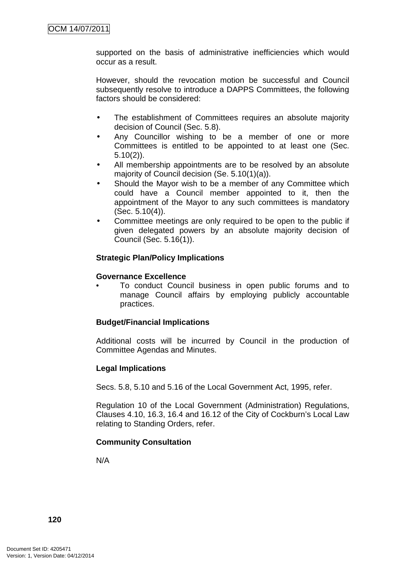supported on the basis of administrative inefficiencies which would occur as a result.

However, should the revocation motion be successful and Council subsequently resolve to introduce a DAPPS Committees, the following factors should be considered:

- The establishment of Committees requires an absolute majority decision of Council (Sec. 5.8).
- Any Councillor wishing to be a member of one or more Committees is entitled to be appointed to at least one (Sec. 5.10(2)).
- All membership appointments are to be resolved by an absolute majority of Council decision (Se. 5.10(1)(a)).
- Should the Mavor wish to be a member of any Committee which could have a Council member appointed to it, then the appointment of the Mayor to any such committees is mandatory (Sec. 5.10(4)).
- Committee meetings are only required to be open to the public if given delegated powers by an absolute majority decision of Council (Sec. 5.16(1)).

#### **Strategic Plan/Policy Implications**

#### **Governance Excellence**

• To conduct Council business in open public forums and to manage Council affairs by employing publicly accountable practices.

#### **Budget/Financial Implications**

Additional costs will be incurred by Council in the production of Committee Agendas and Minutes.

#### **Legal Implications**

Secs. 5.8, 5.10 and 5.16 of the Local Government Act, 1995, refer.

Regulation 10 of the Local Government (Administration) Regulations, Clauses 4.10, 16.3, 16.4 and 16.12 of the City of Cockburn's Local Law relating to Standing Orders, refer.

#### **Community Consultation**

N/A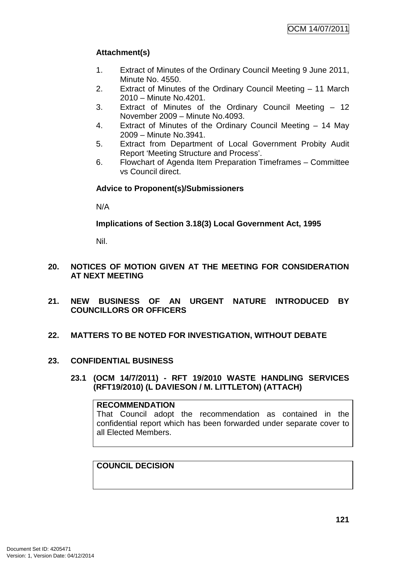# **Attachment(s)**

- 1. Extract of Minutes of the Ordinary Council Meeting 9 June 2011, Minute No. 4550.
- 2. Extract of Minutes of the Ordinary Council Meeting 11 March 2010 – Minute No.4201.
- 3. Extract of Minutes of the Ordinary Council Meeting 12 November 2009 – Minute No.4093.
- 4. Extract of Minutes of the Ordinary Council Meeting 14 May 2009 – Minute No.3941.
- 5. Extract from Department of Local Government Probity Audit Report 'Meeting Structure and Process'.
- 6. Flowchart of Agenda Item Preparation Timeframes Committee vs Council direct.

## **Advice to Proponent(s)/Submissioners**

N/A

**Implications of Section 3.18(3) Local Government Act, 1995**

Nil.

- **20. NOTICES OF MOTION GIVEN AT THE MEETING FOR CONSIDERATION AT NEXT MEETING**
- **21. NEW BUSINESS OF AN URGENT NATURE INTRODUCED BY COUNCILLORS OR OFFICERS**
- **22. MATTERS TO BE NOTED FOR INVESTIGATION, WITHOUT DEBATE**
- **23. CONFIDENTIAL BUSINESS** 
	- **23.1 (OCM 14/7/2011) RFT 19/2010 WASTE HANDLING SERVICES (RFT19/2010) (L DAVIESON / M. LITTLETON) (ATTACH)**

#### **RECOMMENDATION**

That Council adopt the recommendation as contained in the confidential report which has been forwarded under separate cover to all Elected Members.

**COUNCIL DECISION**